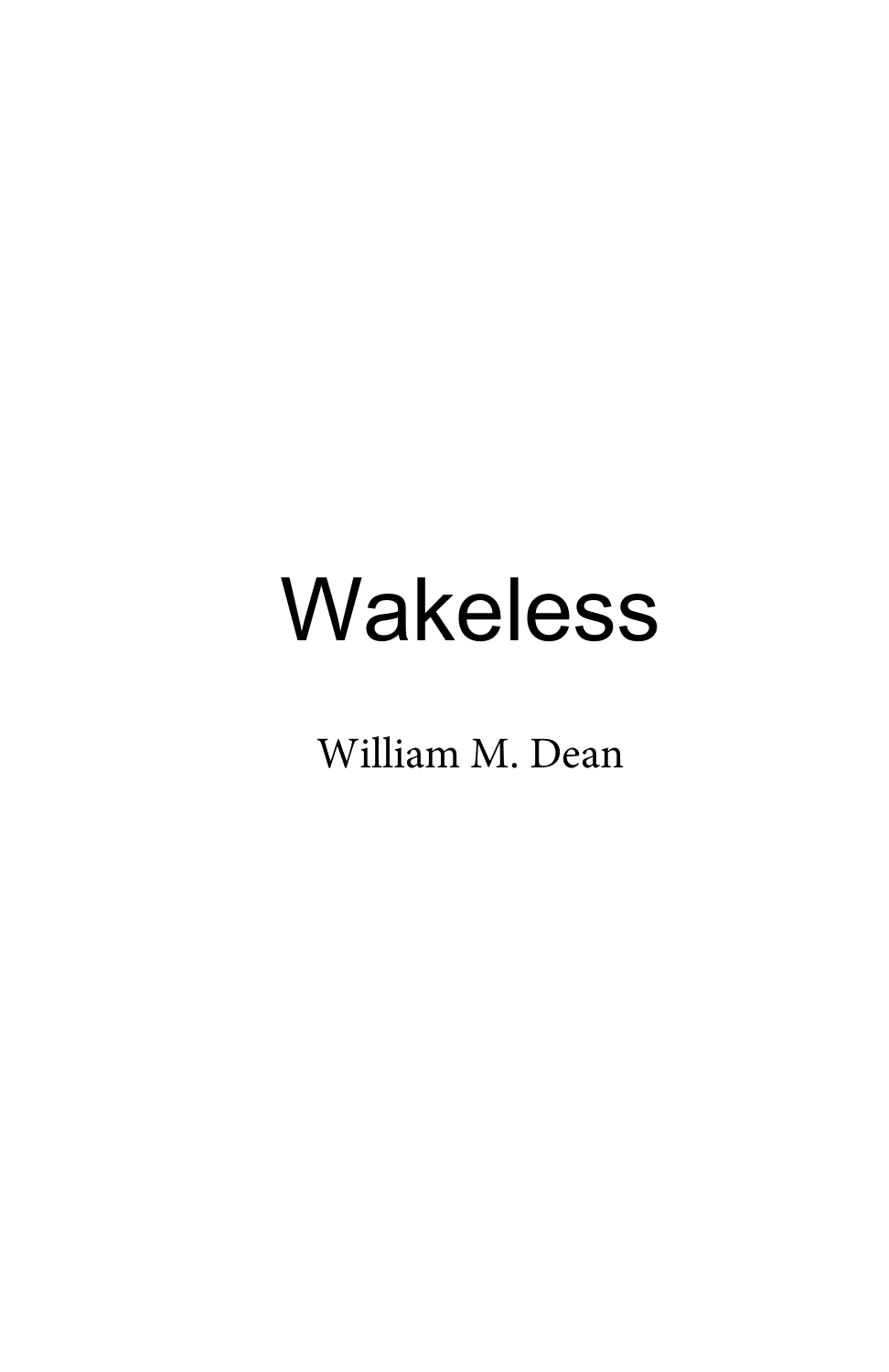William M. Dean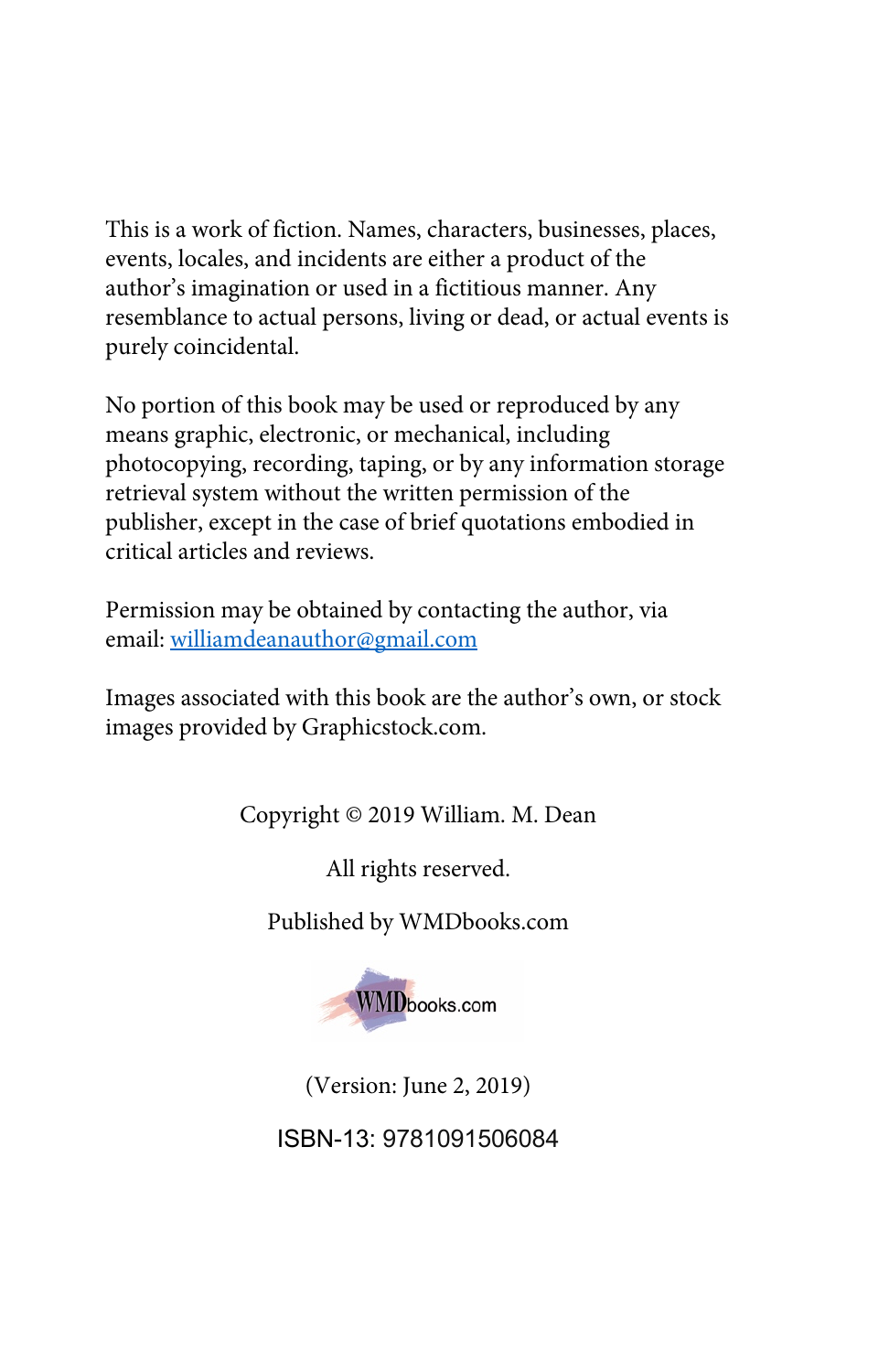This is a work of fiction. Names, characters, businesses, places, events, locales, and incidents are either a product of the author's imagination or used in a fictitious manner. Any resemblance to actual persons, living or dead, or actual events is purely coincidental.

No portion of this book may be used or reproduced by any means graphic, electronic, or mechanical, including photocopying, recording, taping, or by any information storage retrieval system without the written permission of the publisher, except in the case of brief quotations embodied in critical articles and reviews.

Permission may be obtained by contacting the author, via email: williamdeanauthor@gmail.com

Images associated with this book are the author's own, or stock images provided by Graphicstock.com.

Copyright © 2019 William. M. Dean

All rights reserved.

Published by WMDbooks.com



(Version: June 2, 2019)

ISBN-13: 9781091506084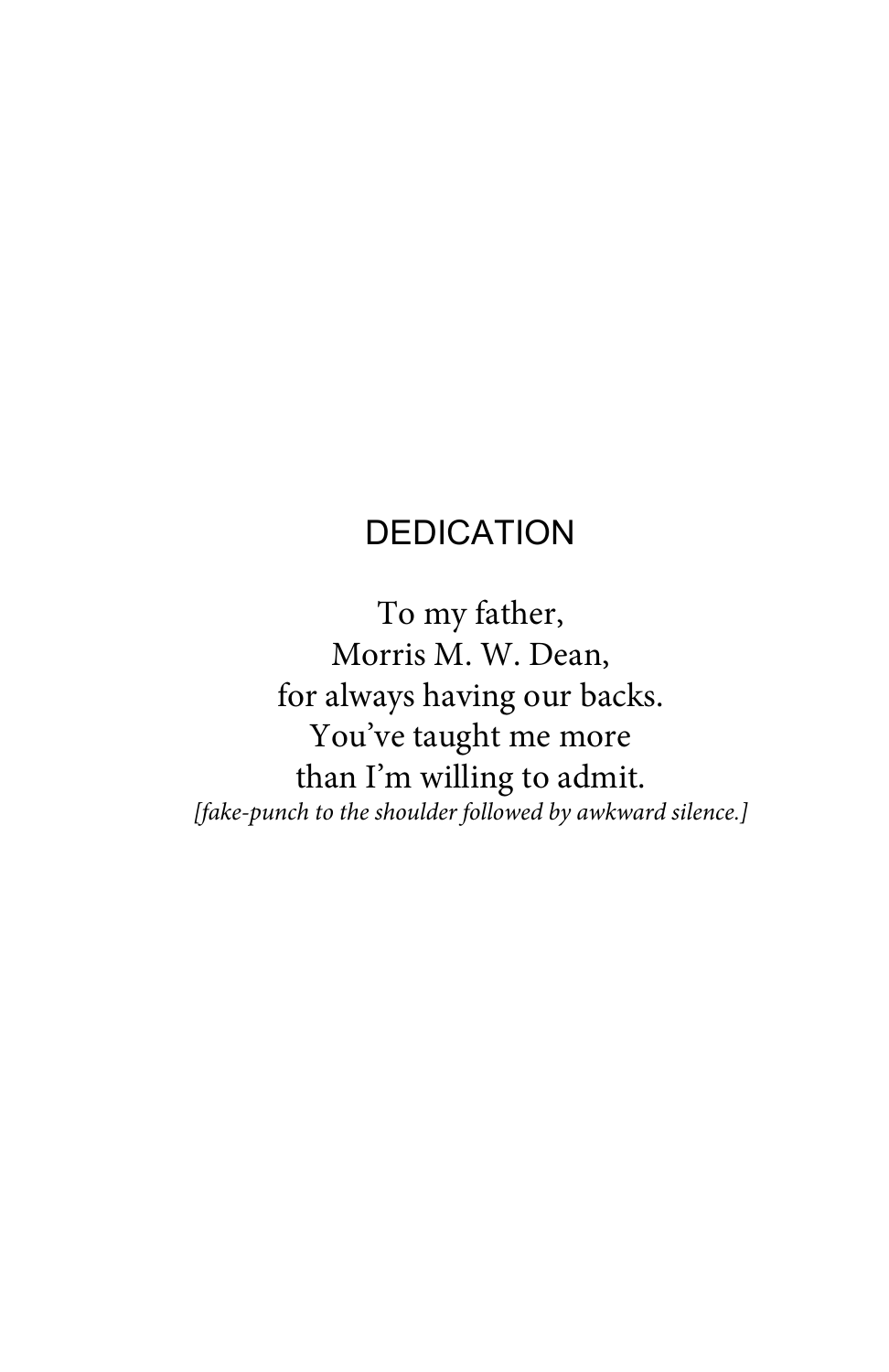# **DEDICATION**

To my father, Morris M. W. Dean, for always having our backs. You've taught me more than I'm willing to admit. *[fake-punch to the shoulder followed by awkward silence.]*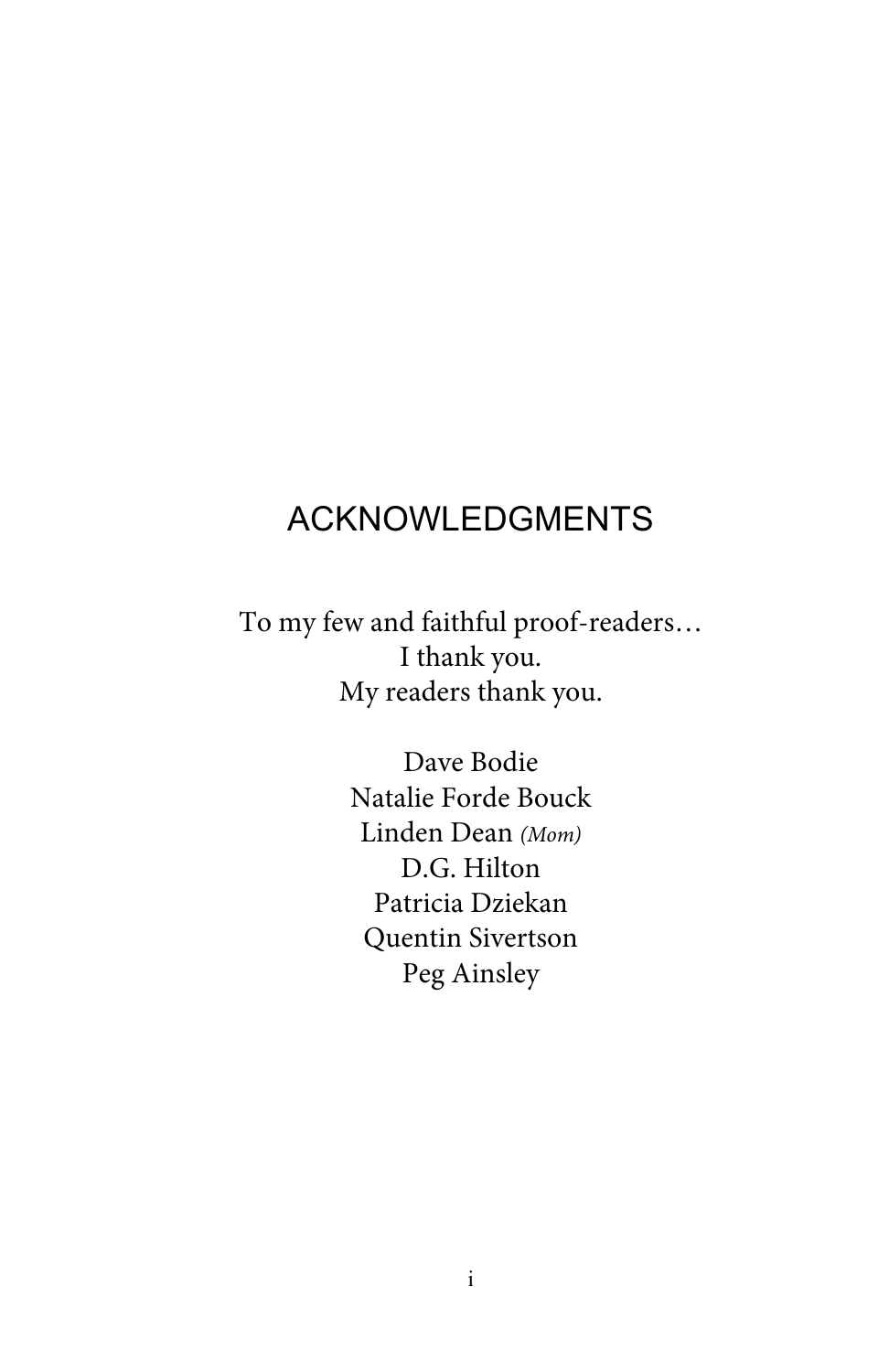# ACKNOWLEDGMENTS

To my few and faithful proof-readers… I thank you. My readers thank you.

> Dave Bodie Natalie Forde Bouck Linden Dean *(Mom)* D.G. Hilton Patricia Dziekan Quentin Sivertson Peg Ainsley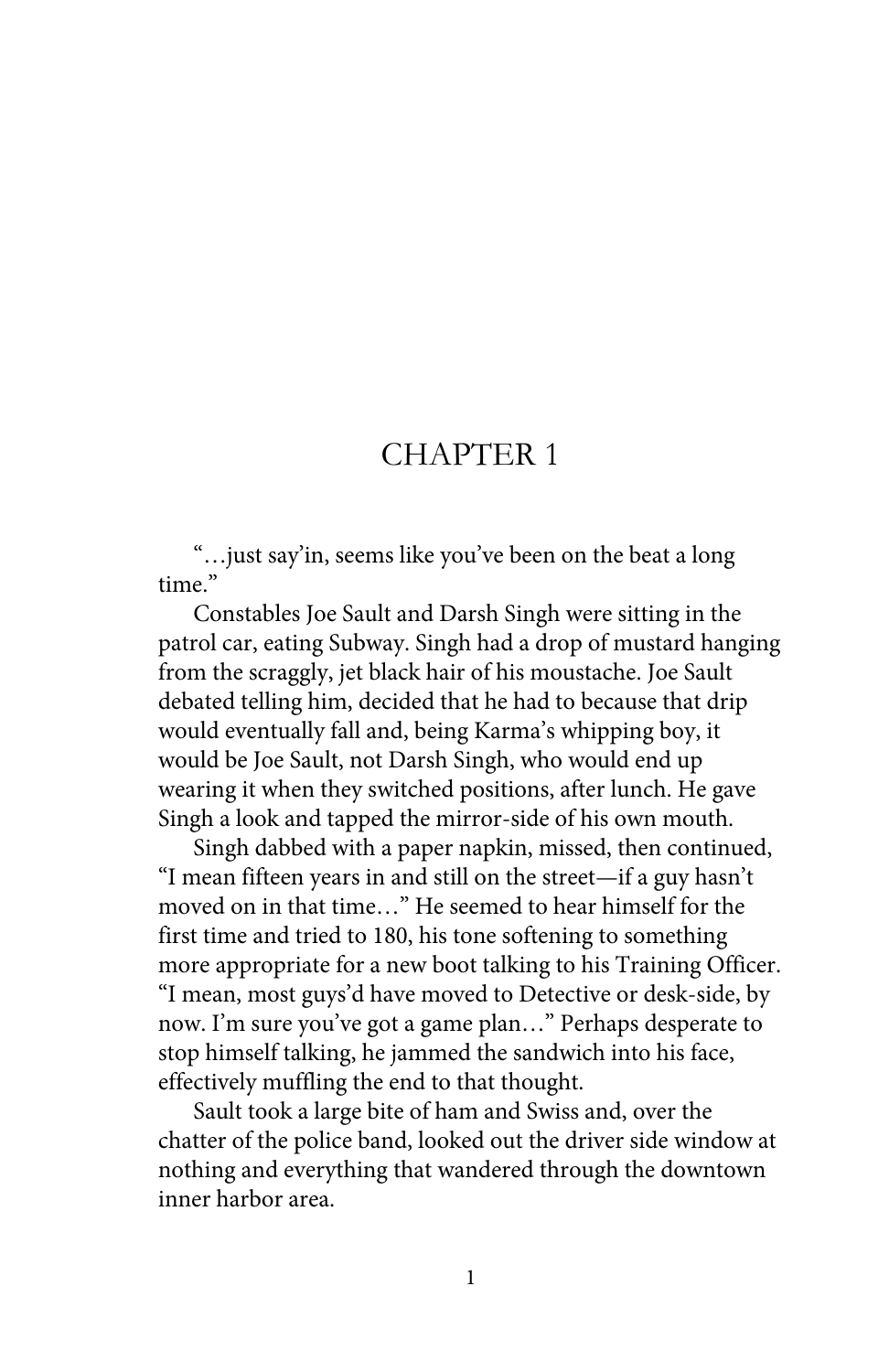## CHAPTER 1

"…just say'in, seems like you've been on the beat a long time"

Constables Joe Sault and Darsh Singh were sitting in the patrol car, eating Subway. Singh had a drop of mustard hanging from the scraggly, jet black hair of his moustache. Joe Sault debated telling him, decided that he had to because that drip would eventually fall and, being Karma's whipping boy, it would be Joe Sault, not Darsh Singh, who would end up wearing it when they switched positions, after lunch. He gave Singh a look and tapped the mirror-side of his own mouth.

Singh dabbed with a paper napkin, missed, then continued, "I mean fifteen years in and still on the street—if a guy hasn't moved on in that time…" He seemed to hear himself for the first time and tried to 180, his tone softening to something more appropriate for a new boot talking to his Training Officer. "I mean, most guys'd have moved to Detective or desk-side, by now. I'm sure you've got a game plan…" Perhaps desperate to stop himself talking, he jammed the sandwich into his face, effectively muffling the end to that thought.

Sault took a large bite of ham and Swiss and, over the chatter of the police band, looked out the driver side window at nothing and everything that wandered through the downtown inner harbor area.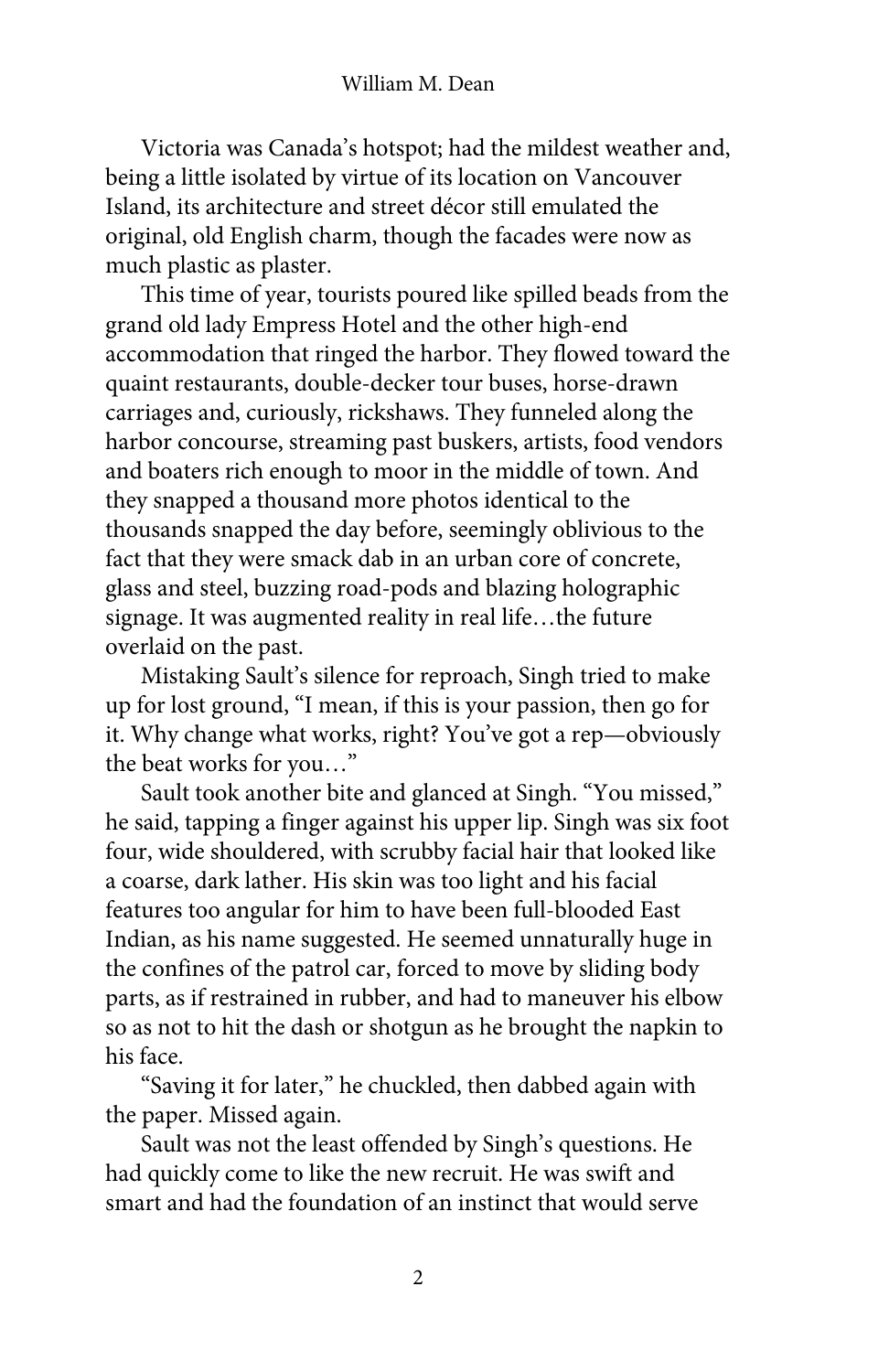#### William M. Dean

Victoria was Canada's hotspot; had the mildest weather and, being a little isolated by virtue of its location on Vancouver Island, its architecture and street décor still emulated the original, old English charm, though the facades were now as much plastic as plaster.

This time of year, tourists poured like spilled beads from the grand old lady Empress Hotel and the other high-end accommodation that ringed the harbor. They flowed toward the quaint restaurants, double-decker tour buses, horse-drawn carriages and, curiously, rickshaws. They funneled along the harbor concourse, streaming past buskers, artists, food vendors and boaters rich enough to moor in the middle of town. And they snapped a thousand more photos identical to the thousands snapped the day before, seemingly oblivious to the fact that they were smack dab in an urban core of concrete, glass and steel, buzzing road-pods and blazing holographic signage. It was augmented reality in real life…the future overlaid on the past.

Mistaking Sault's silence for reproach, Singh tried to make up for lost ground, "I mean, if this is your passion, then go for it. Why change what works, right? You've got a rep—obviously the beat works for you…"

Sault took another bite and glanced at Singh. "You missed," he said, tapping a finger against his upper lip. Singh was six foot four, wide shouldered, with scrubby facial hair that looked like a coarse, dark lather. His skin was too light and his facial features too angular for him to have been full-blooded East Indian, as his name suggested. He seemed unnaturally huge in the confines of the patrol car, forced to move by sliding body parts, as if restrained in rubber, and had to maneuver his elbow so as not to hit the dash or shotgun as he brought the napkin to his face.

"Saving it for later," he chuckled, then dabbed again with the paper. Missed again.

Sault was not the least offended by Singh's questions. He had quickly come to like the new recruit. He was swift and smart and had the foundation of an instinct that would serve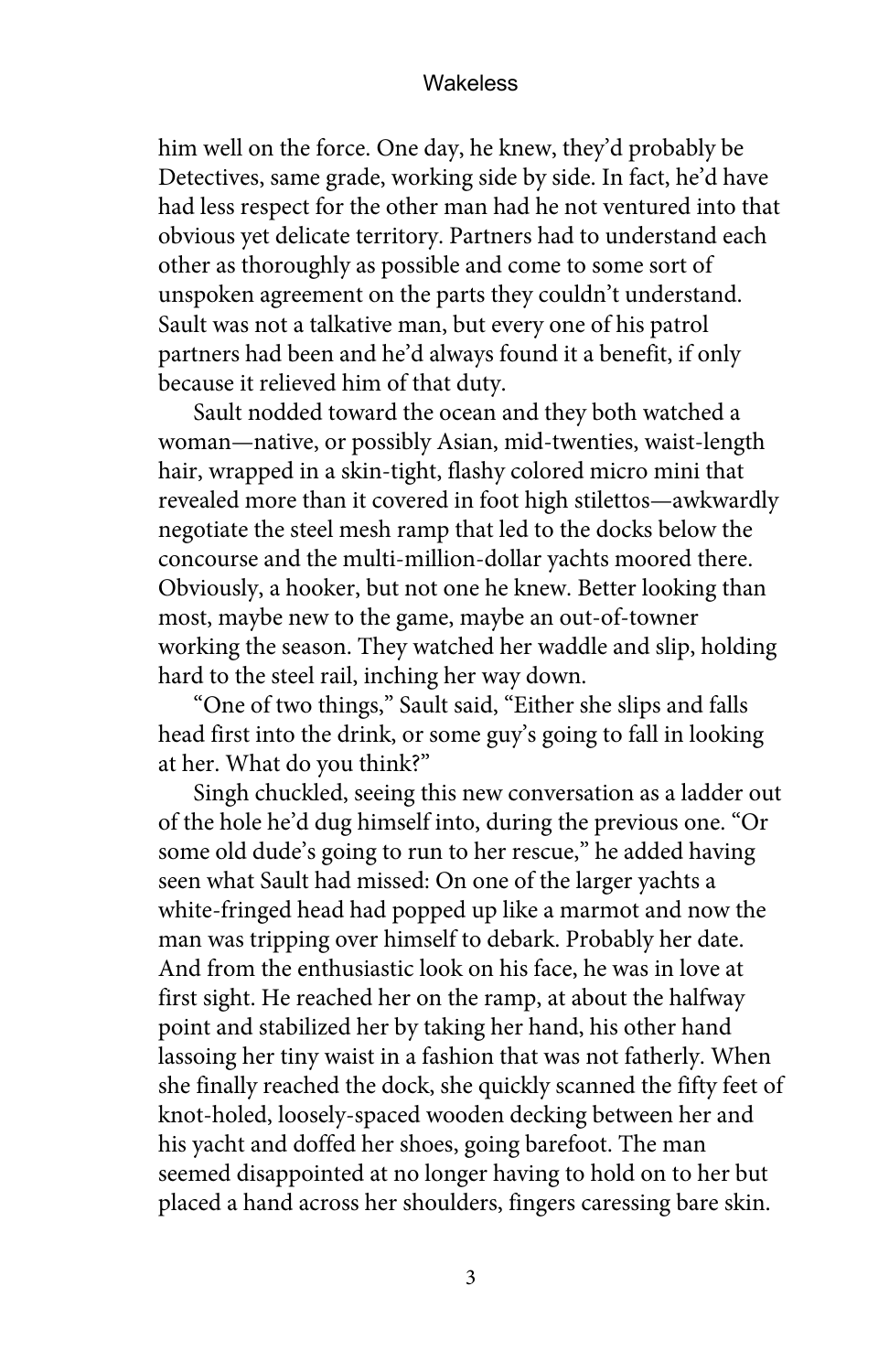him well on the force. One day, he knew, they'd probably be Detectives, same grade, working side by side. In fact, he'd have had less respect for the other man had he not ventured into that obvious yet delicate territory. Partners had to understand each other as thoroughly as possible and come to some sort of unspoken agreement on the parts they couldn't understand. Sault was not a talkative man, but every one of his patrol partners had been and he'd always found it a benefit, if only because it relieved him of that duty.

Sault nodded toward the ocean and they both watched a woman—native, or possibly Asian, mid-twenties, waist-length hair, wrapped in a skin-tight, flashy colored micro mini that revealed more than it covered in foot high stilettos—awkwardly negotiate the steel mesh ramp that led to the docks below the concourse and the multi-million-dollar yachts moored there. Obviously, a hooker, but not one he knew. Better looking than most, maybe new to the game, maybe an out-of-towner working the season. They watched her waddle and slip, holding hard to the steel rail, inching her way down.

"One of two things," Sault said, "Either she slips and falls head first into the drink, or some guy's going to fall in looking at her. What do you think?"

Singh chuckled, seeing this new conversation as a ladder out of the hole he'd dug himself into, during the previous one. "Or some old dude's going to run to her rescue," he added having seen what Sault had missed: On one of the larger yachts a white-fringed head had popped up like a marmot and now the man was tripping over himself to debark. Probably her date. And from the enthusiastic look on his face, he was in love at first sight. He reached her on the ramp, at about the halfway point and stabilized her by taking her hand, his other hand lassoing her tiny waist in a fashion that was not fatherly. When she finally reached the dock, she quickly scanned the fifty feet of knot-holed, loosely-spaced wooden decking between her and his yacht and doffed her shoes, going barefoot. The man seemed disappointed at no longer having to hold on to her but placed a hand across her shoulders, fingers caressing bare skin.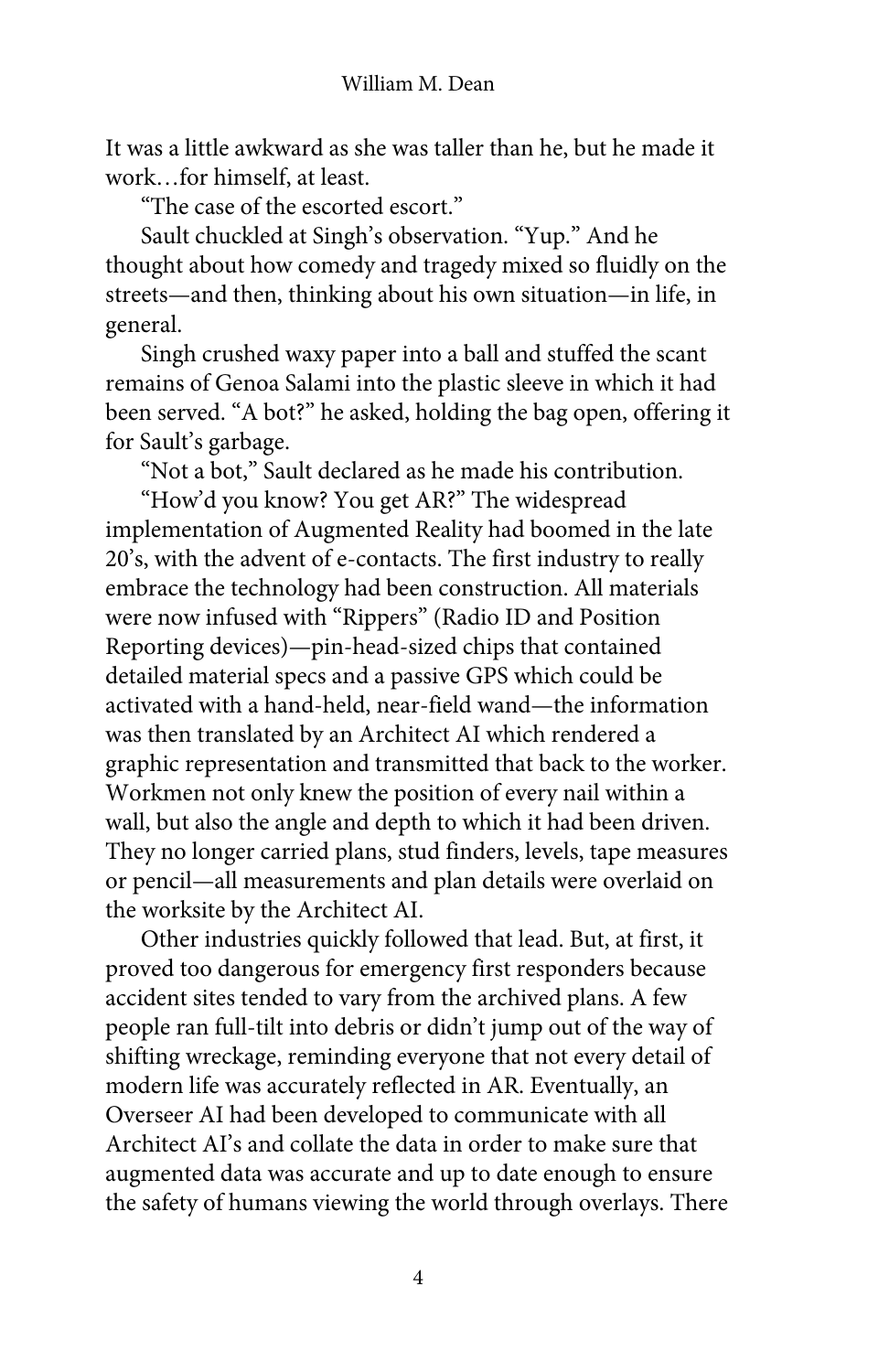It was a little awkward as she was taller than he, but he made it work…for himself, at least.

"The case of the escorted escort."

Sault chuckled at Singh's observation. "Yup." And he thought about how comedy and tragedy mixed so fluidly on the streets—and then, thinking about his own situation—in life, in general.

Singh crushed waxy paper into a ball and stuffed the scant remains of Genoa Salami into the plastic sleeve in which it had been served. "A bot?" he asked, holding the bag open, offering it for Sault's garbage.

"Not a bot," Sault declared as he made his contribution.

"How'd you know? You get AR?" The widespread implementation of Augmented Reality had boomed in the late 20's, with the advent of e-contacts. The first industry to really embrace the technology had been construction. All materials were now infused with "Rippers" (Radio ID and Position Reporting devices)—pin-head-sized chips that contained detailed material specs and a passive GPS which could be activated with a hand-held, near-field wand—the information was then translated by an Architect AI which rendered a graphic representation and transmitted that back to the worker. Workmen not only knew the position of every nail within a wall, but also the angle and depth to which it had been driven. They no longer carried plans, stud finders, levels, tape measures or pencil—all measurements and plan details were overlaid on the worksite by the Architect AI.

Other industries quickly followed that lead. But, at first, it proved too dangerous for emergency first responders because accident sites tended to vary from the archived plans. A few people ran full-tilt into debris or didn't jump out of the way of shifting wreckage, reminding everyone that not every detail of modern life was accurately reflected in AR. Eventually, an Overseer AI had been developed to communicate with all Architect AI's and collate the data in order to make sure that augmented data was accurate and up to date enough to ensure the safety of humans viewing the world through overlays. There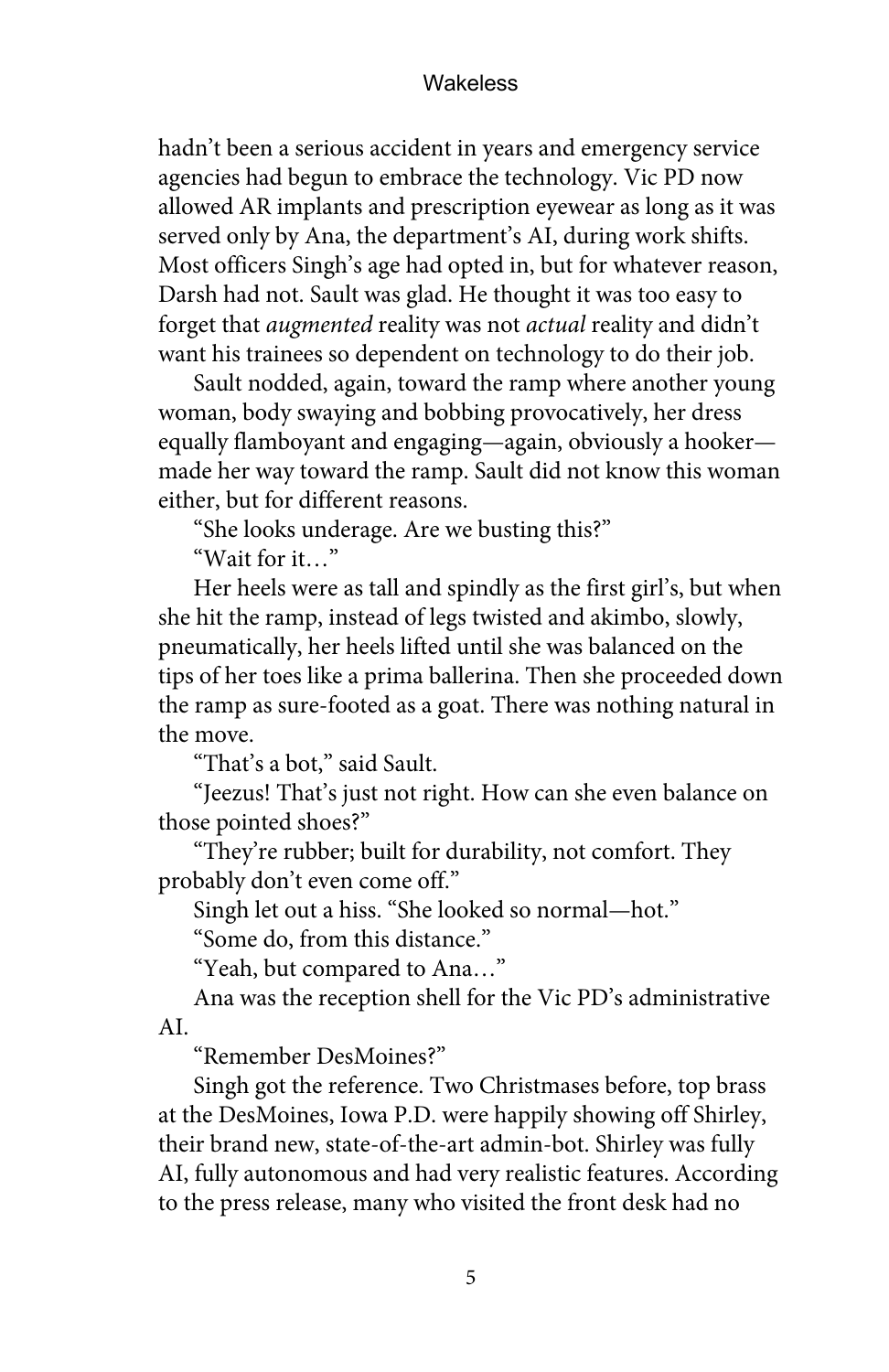hadn't been a serious accident in years and emergency service agencies had begun to embrace the technology. Vic PD now allowed AR implants and prescription eyewear as long as it was served only by Ana, the department's AI, during work shifts. Most officers Singh's age had opted in, but for whatever reason, Darsh had not. Sault was glad. He thought it was too easy to forget that *augmented* reality was not *actual* reality and didn't want his trainees so dependent on technology to do their job.

Sault nodded, again, toward the ramp where another young woman, body swaying and bobbing provocatively, her dress equally flamboyant and engaging—again, obviously a hooker made her way toward the ramp. Sault did not know this woman either, but for different reasons.

"She looks underage. Are we busting this?"

"Wait for it…"

Her heels were as tall and spindly as the first girl's, but when she hit the ramp, instead of legs twisted and akimbo, slowly, pneumatically, her heels lifted until she was balanced on the tips of her toes like a prima ballerina. Then she proceeded down the ramp as sure-footed as a goat. There was nothing natural in the move.

"That's a bot," said Sault.

"Jeezus! That's just not right. How can she even balance on those pointed shoes?"

"They're rubber; built for durability, not comfort. They probably don't even come off."

Singh let out a hiss. "She looked so normal—hot."

"Some do, from this distance."

"Yeah, but compared to Ana…"

Ana was the reception shell for the Vic PD's administrative AI.

"Remember DesMoines?"

Singh got the reference. Two Christmases before, top brass at the DesMoines, Iowa P.D. were happily showing off Shirley, their brand new, state-of-the-art admin-bot. Shirley was fully AI, fully autonomous and had very realistic features. According to the press release, many who visited the front desk had no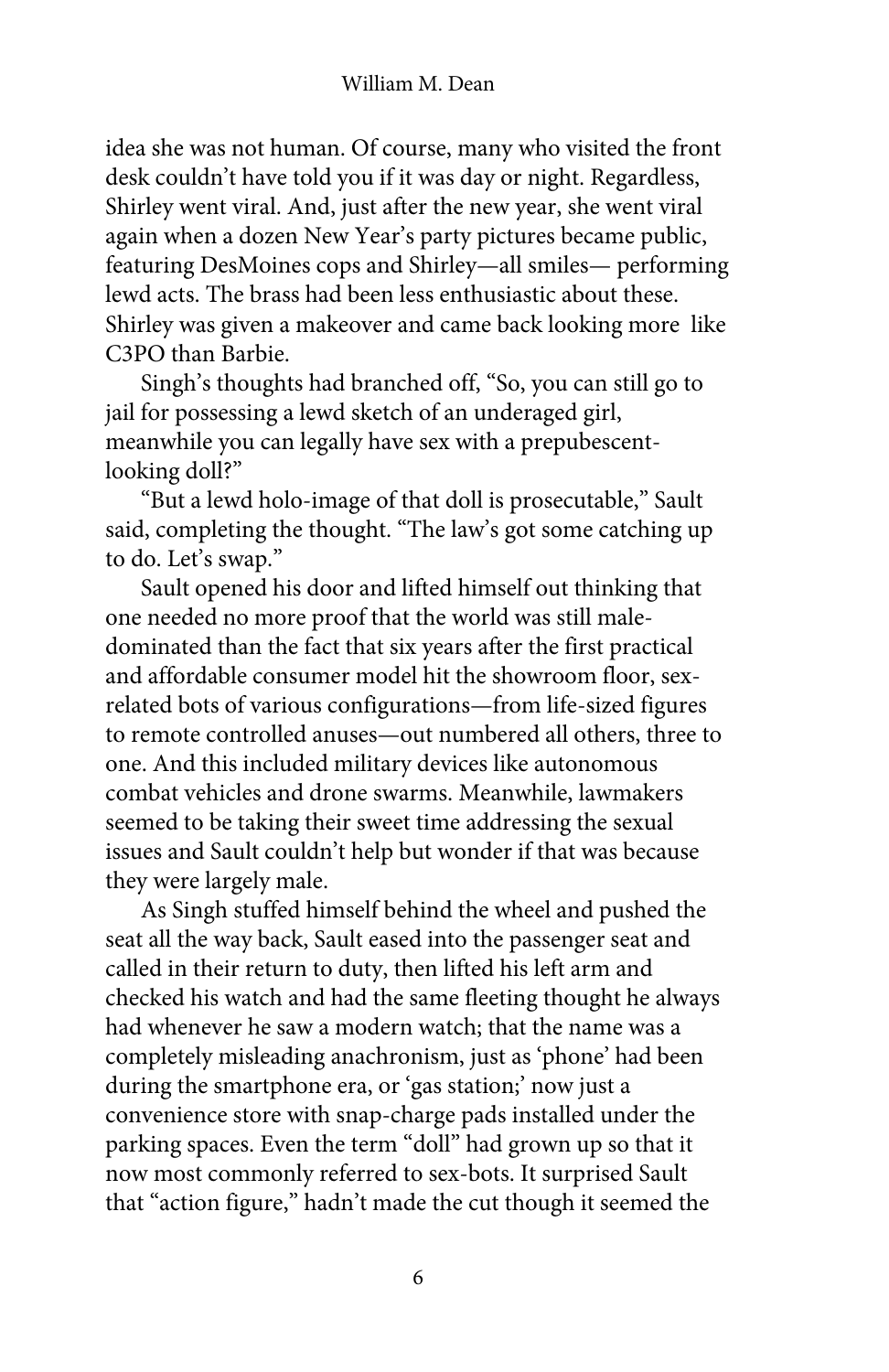idea she was not human. Of course, many who visited the front desk couldn't have told you if it was day or night. Regardless, Shirley went viral. And, just after the new year, she went viral again when a dozen New Year's party pictures became public, featuring DesMoines cops and Shirley—all smiles— performing lewd acts. The brass had been less enthusiastic about these. Shirley was given a makeover and came back looking more like C3PO than Barbie.

Singh's thoughts had branched off, "So, you can still go to jail for possessing a lewd sketch of an underaged girl, meanwhile you can legally have sex with a prepubescentlooking doll?"

"But a lewd holo-image of that doll is prosecutable," Sault said, completing the thought. "The law's got some catching up to do. Let's swap."

Sault opened his door and lifted himself out thinking that one needed no more proof that the world was still maledominated than the fact that six years after the first practical and affordable consumer model hit the showroom floor, sexrelated bots of various configurations—from life-sized figures to remote controlled anuses—out numbered all others, three to one. And this included military devices like autonomous combat vehicles and drone swarms. Meanwhile, lawmakers seemed to be taking their sweet time addressing the sexual issues and Sault couldn't help but wonder if that was because they were largely male.

As Singh stuffed himself behind the wheel and pushed the seat all the way back, Sault eased into the passenger seat and called in their return to duty, then lifted his left arm and checked his watch and had the same fleeting thought he always had whenever he saw a modern watch; that the name was a completely misleading anachronism, just as 'phone' had been during the smartphone era, or 'gas station;' now just a convenience store with snap-charge pads installed under the parking spaces. Even the term "doll" had grown up so that it now most commonly referred to sex-bots. It surprised Sault that "action figure," hadn't made the cut though it seemed the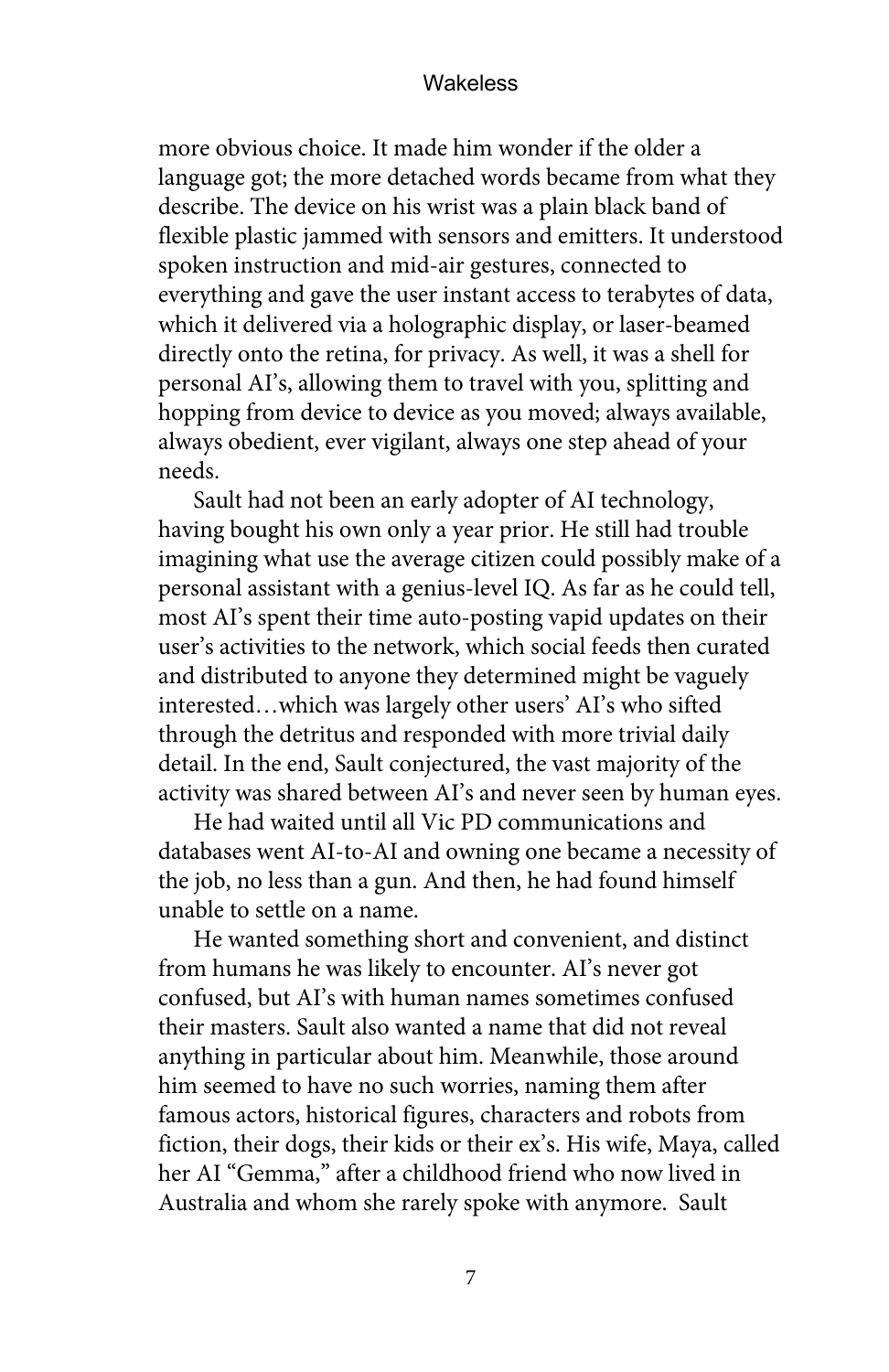more obvious choice. It made him wonder if the older a language got; the more detached words became from what they describe. The device on his wrist was a plain black band of flexible plastic jammed with sensors and emitters. It understood spoken instruction and mid-air gestures, connected to everything and gave the user instant access to terabytes of data, which it delivered via a holographic display, or laser-beamed directly onto the retina, for privacy. As well, it was a shell for personal AI's, allowing them to travel with you, splitting and hopping from device to device as you moved; always available, always obedient, ever vigilant, always one step ahead of your needs.

Sault had not been an early adopter of AI technology, having bought his own only a year prior. He still had trouble imagining what use the average citizen could possibly make of a personal assistant with a genius-level IQ. As far as he could tell, most AI's spent their time auto-posting vapid updates on their user's activities to the network, which social feeds then curated and distributed to anyone they determined might be vaguely interested…which was largely other users' AI's who sifted through the detritus and responded with more trivial daily detail. In the end, Sault conjectured, the vast majority of the activity was shared between AI's and never seen by human eyes.

He had waited until all Vic PD communications and databases went AI-to-AI and owning one became a necessity of the job, no less than a gun. And then, he had found himself unable to settle on a name.

He wanted something short and convenient, and distinct from humans he was likely to encounter. AI's never got confused, but AI's with human names sometimes confused their masters. Sault also wanted a name that did not reveal anything in particular about him. Meanwhile, those around him seemed to have no such worries, naming them after famous actors, historical figures, characters and robots from fiction, their dogs, their kids or their ex's. His wife, Maya, called her AI "Gemma," after a childhood friend who now lived in Australia and whom she rarely spoke with anymore. Sault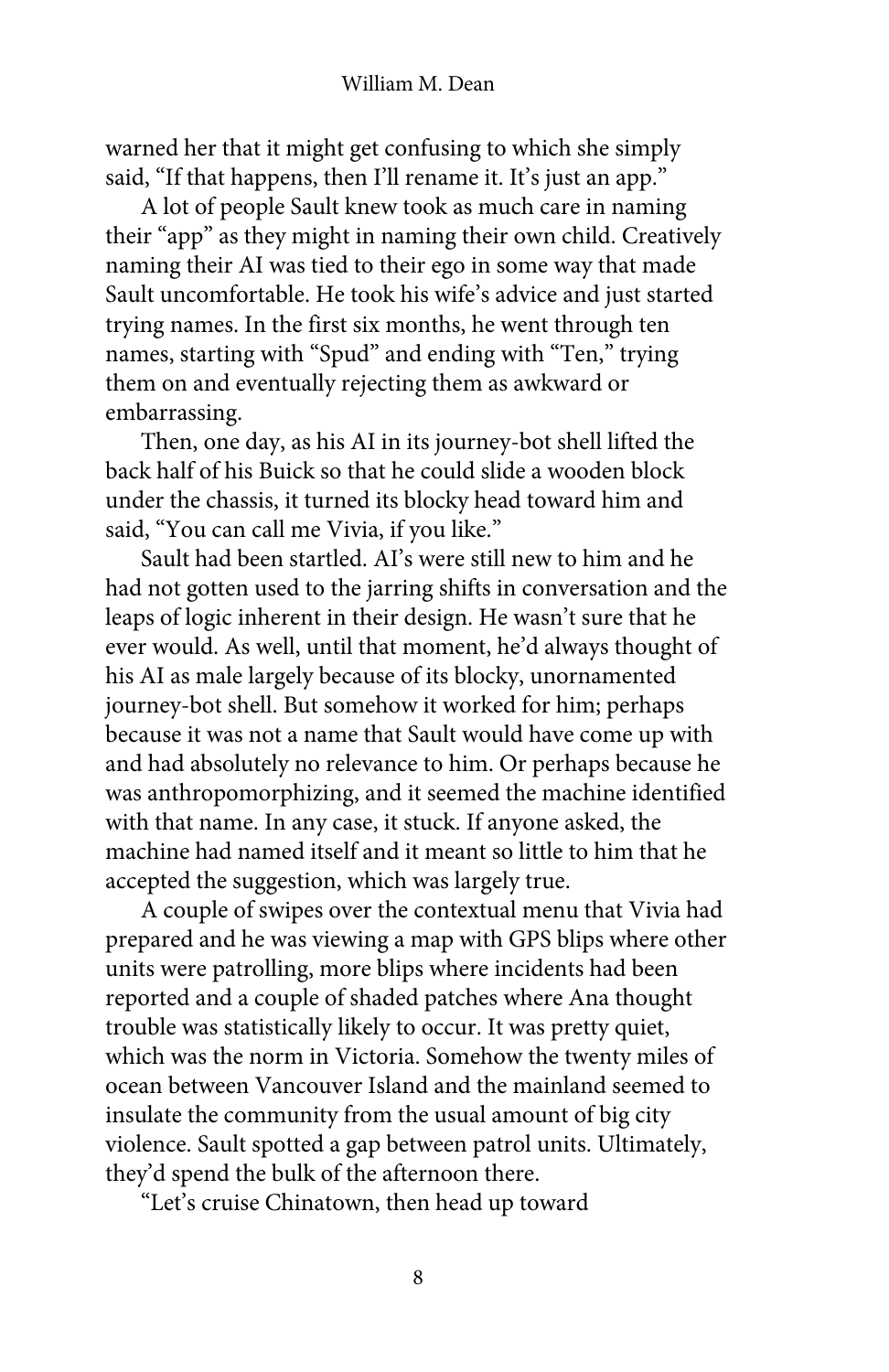warned her that it might get confusing to which she simply said, "If that happens, then I'll rename it. It's just an app."

A lot of people Sault knew took as much care in naming their "app" as they might in naming their own child. Creatively naming their AI was tied to their ego in some way that made Sault uncomfortable. He took his wife's advice and just started trying names. In the first six months, he went through ten names, starting with "Spud" and ending with "Ten," trying them on and eventually rejecting them as awkward or embarrassing.

Then, one day, as his AI in its journey-bot shell lifted the back half of his Buick so that he could slide a wooden block under the chassis, it turned its blocky head toward him and said, "You can call me Vivia, if you like."

Sault had been startled. AI's were still new to him and he had not gotten used to the jarring shifts in conversation and the leaps of logic inherent in their design. He wasn't sure that he ever would. As well, until that moment, he'd always thought of his AI as male largely because of its blocky, unornamented journey-bot shell. But somehow it worked for him; perhaps because it was not a name that Sault would have come up with and had absolutely no relevance to him. Or perhaps because he was anthropomorphizing, and it seemed the machine identified with that name. In any case, it stuck. If anyone asked, the machine had named itself and it meant so little to him that he accepted the suggestion, which was largely true.

A couple of swipes over the contextual menu that Vivia had prepared and he was viewing a map with GPS blips where other units were patrolling, more blips where incidents had been reported and a couple of shaded patches where Ana thought trouble was statistically likely to occur. It was pretty quiet, which was the norm in Victoria. Somehow the twenty miles of ocean between Vancouver Island and the mainland seemed to insulate the community from the usual amount of big city violence. Sault spotted a gap between patrol units. Ultimately, they'd spend the bulk of the afternoon there.

"Let's cruise Chinatown, then head up toward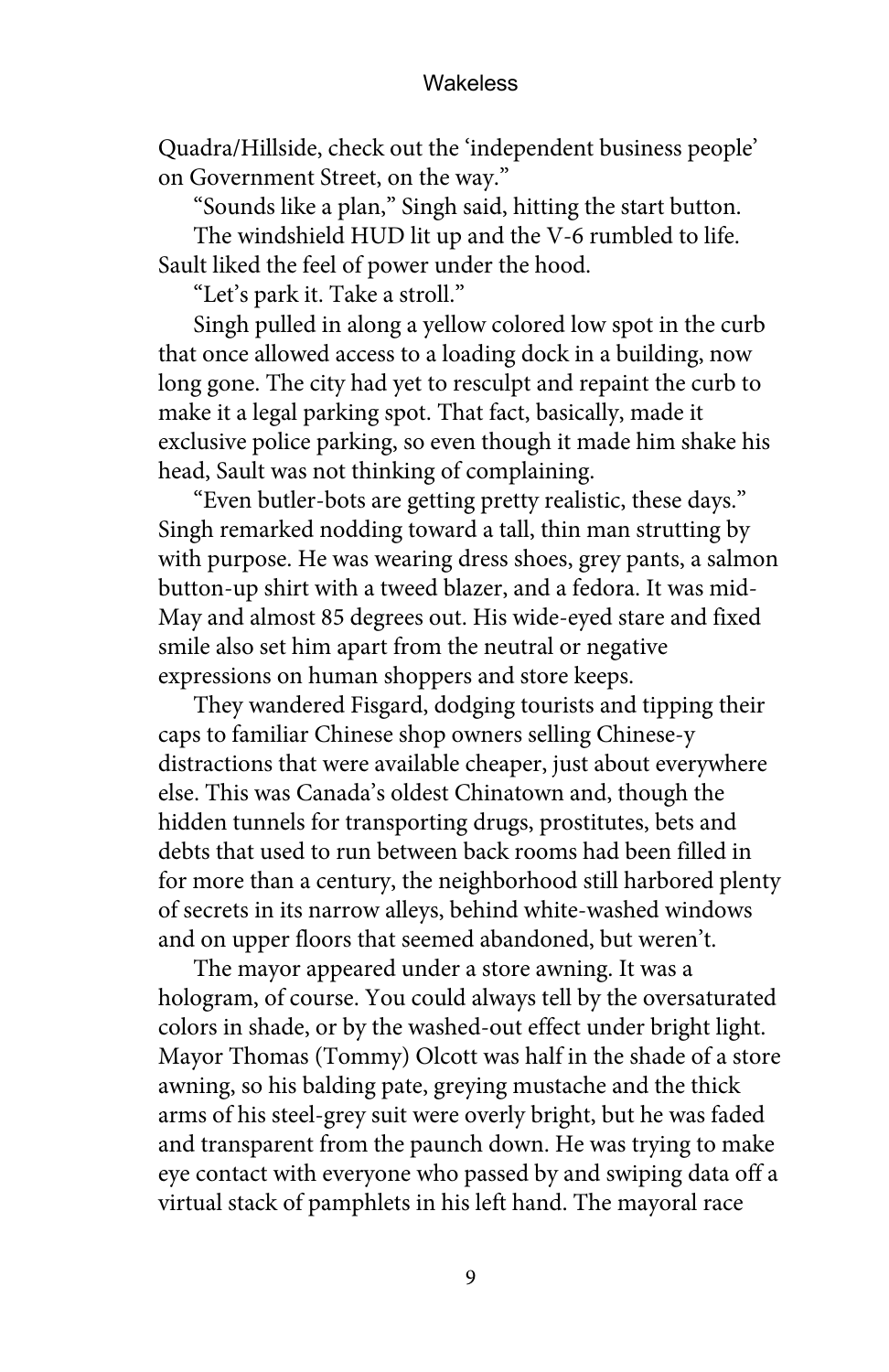Quadra/Hillside, check out the 'independent business people' on Government Street, on the way."

"Sounds like a plan," Singh said, hitting the start button.

The windshield HUD lit up and the V-6 rumbled to life. Sault liked the feel of power under the hood.

"Let's park it. Take a stroll."

Singh pulled in along a yellow colored low spot in the curb that once allowed access to a loading dock in a building, now long gone. The city had yet to resculpt and repaint the curb to make it a legal parking spot. That fact, basically, made it exclusive police parking, so even though it made him shake his head, Sault was not thinking of complaining.

"Even butler-bots are getting pretty realistic, these days." Singh remarked nodding toward a tall, thin man strutting by with purpose. He was wearing dress shoes, grey pants, a salmon button-up shirt with a tweed blazer, and a fedora. It was mid-May and almost 85 degrees out. His wide-eyed stare and fixed smile also set him apart from the neutral or negative expressions on human shoppers and store keeps.

They wandered Fisgard, dodging tourists and tipping their caps to familiar Chinese shop owners selling Chinese-y distractions that were available cheaper, just about everywhere else. This was Canada's oldest Chinatown and, though the hidden tunnels for transporting drugs, prostitutes, bets and debts that used to run between back rooms had been filled in for more than a century, the neighborhood still harbored plenty of secrets in its narrow alleys, behind white-washed windows and on upper floors that seemed abandoned, but weren't.

The mayor appeared under a store awning. It was a hologram, of course. You could always tell by the oversaturated colors in shade, or by the washed-out effect under bright light. Mayor Thomas (Tommy) Olcott was half in the shade of a store awning, so his balding pate, greying mustache and the thick arms of his steel-grey suit were overly bright, but he was faded and transparent from the paunch down. He was trying to make eye contact with everyone who passed by and swiping data off a virtual stack of pamphlets in his left hand. The mayoral race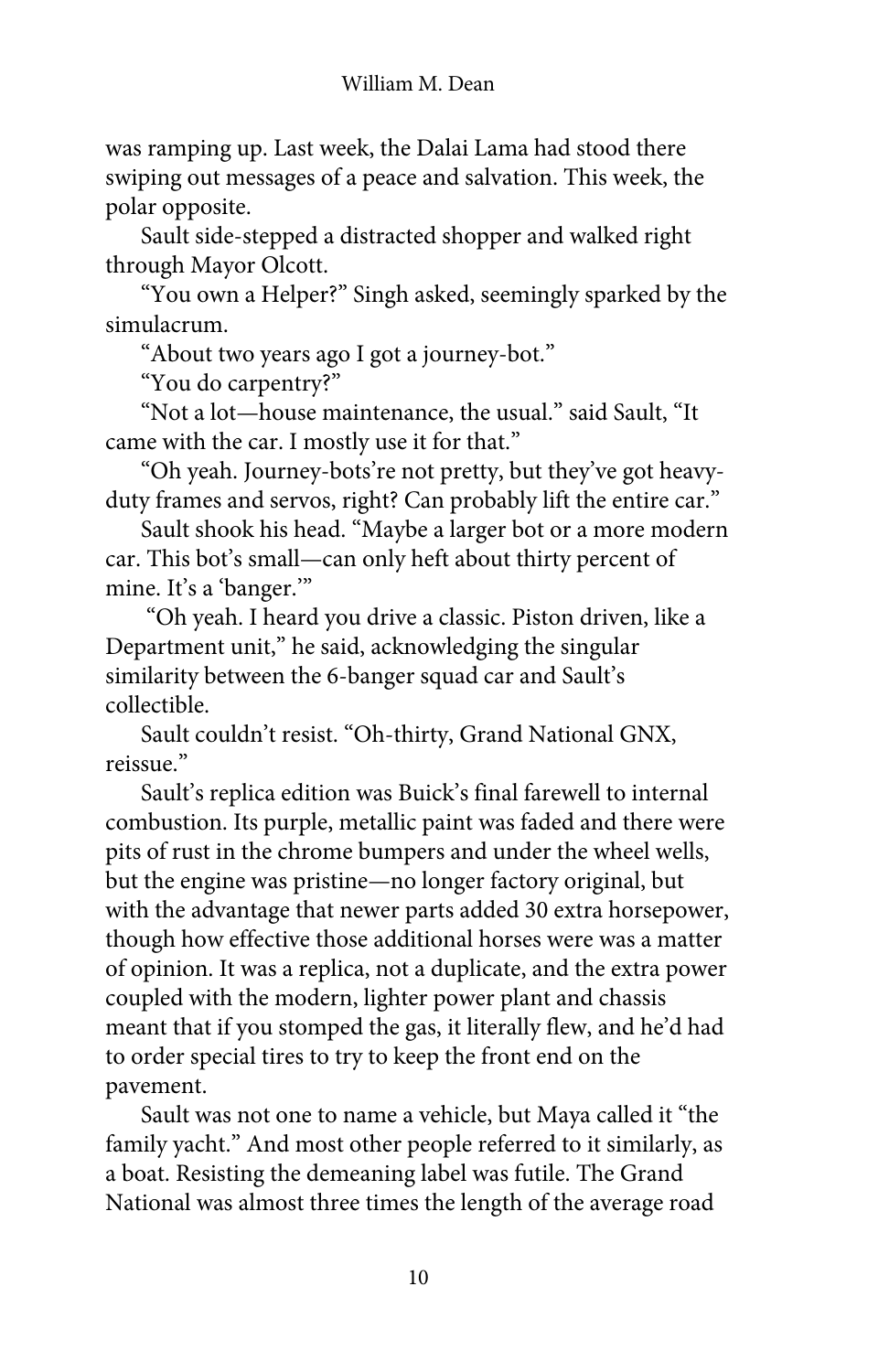was ramping up. Last week, the Dalai Lama had stood there swiping out messages of a peace and salvation. This week, the polar opposite.

Sault side-stepped a distracted shopper and walked right through Mayor Olcott.

"You own a Helper?" Singh asked, seemingly sparked by the simulacrum.

"About two years ago I got a journey-bot."

"You do carpentry?"

"Not a lot—house maintenance, the usual." said Sault, "It came with the car. I mostly use it for that."

"Oh yeah. Journey-bots're not pretty, but they've got heavyduty frames and servos, right? Can probably lift the entire car."

Sault shook his head. "Maybe a larger bot or a more modern car. This bot's small—can only heft about thirty percent of mine. It's a 'banger.'"

"Oh yeah. I heard you drive a classic. Piston driven, like a Department unit," he said, acknowledging the singular similarity between the 6-banger squad car and Sault's collectible.

Sault couldn't resist. "Oh-thirty, Grand National GNX, reissue."

Sault's replica edition was Buick's final farewell to internal combustion. Its purple, metallic paint was faded and there were pits of rust in the chrome bumpers and under the wheel wells, but the engine was pristine—no longer factory original, but with the advantage that newer parts added 30 extra horsepower, though how effective those additional horses were was a matter of opinion. It was a replica, not a duplicate, and the extra power coupled with the modern, lighter power plant and chassis meant that if you stomped the gas, it literally flew, and he'd had to order special tires to try to keep the front end on the pavement.

Sault was not one to name a vehicle, but Maya called it "the family yacht." And most other people referred to it similarly, as a boat. Resisting the demeaning label was futile. The Grand National was almost three times the length of the average road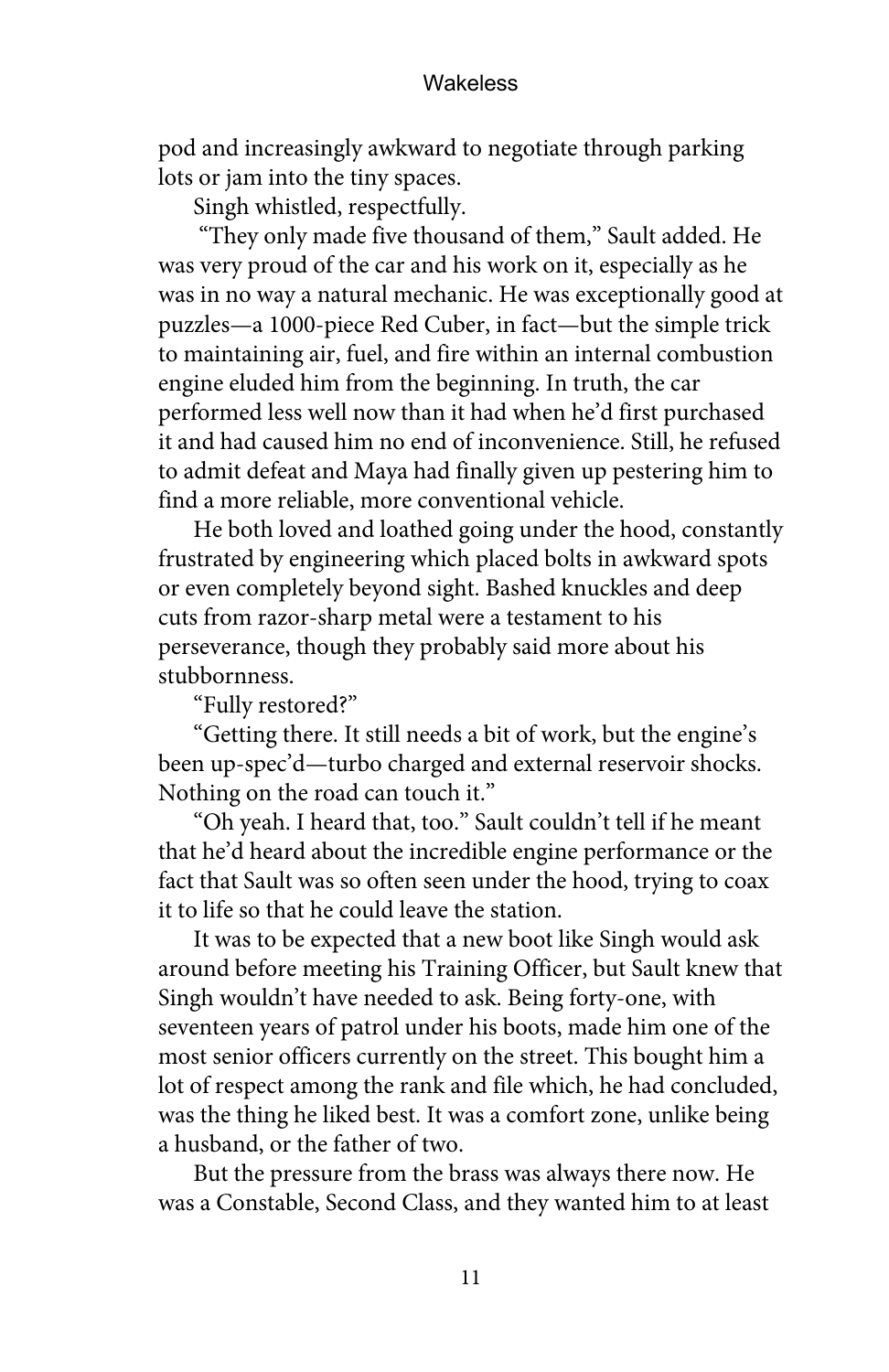pod and increasingly awkward to negotiate through parking lots or jam into the tiny spaces.

Singh whistled, respectfully.

"They only made five thousand of them," Sault added. He was very proud of the car and his work on it, especially as he was in no way a natural mechanic. He was exceptionally good at puzzles—a 1000-piece Red Cuber, in fact—but the simple trick to maintaining air, fuel, and fire within an internal combustion engine eluded him from the beginning. In truth, the car performed less well now than it had when he'd first purchased it and had caused him no end of inconvenience. Still, he refused to admit defeat and Maya had finally given up pestering him to find a more reliable, more conventional vehicle.

He both loved and loathed going under the hood, constantly frustrated by engineering which placed bolts in awkward spots or even completely beyond sight. Bashed knuckles and deep cuts from razor-sharp metal were a testament to his perseverance, though they probably said more about his stubbornness.

"Fully restored?"

"Getting there. It still needs a bit of work, but the engine's been up-spec'd—turbo charged and external reservoir shocks. Nothing on the road can touch it."

"Oh yeah. I heard that, too." Sault couldn't tell if he meant that he'd heard about the incredible engine performance or the fact that Sault was so often seen under the hood, trying to coax it to life so that he could leave the station.

It was to be expected that a new boot like Singh would ask around before meeting his Training Officer, but Sault knew that Singh wouldn't have needed to ask. Being forty-one, with seventeen years of patrol under his boots, made him one of the most senior officers currently on the street. This bought him a lot of respect among the rank and file which, he had concluded, was the thing he liked best. It was a comfort zone, unlike being a husband, or the father of two.

But the pressure from the brass was always there now. He was a Constable, Second Class, and they wanted him to at least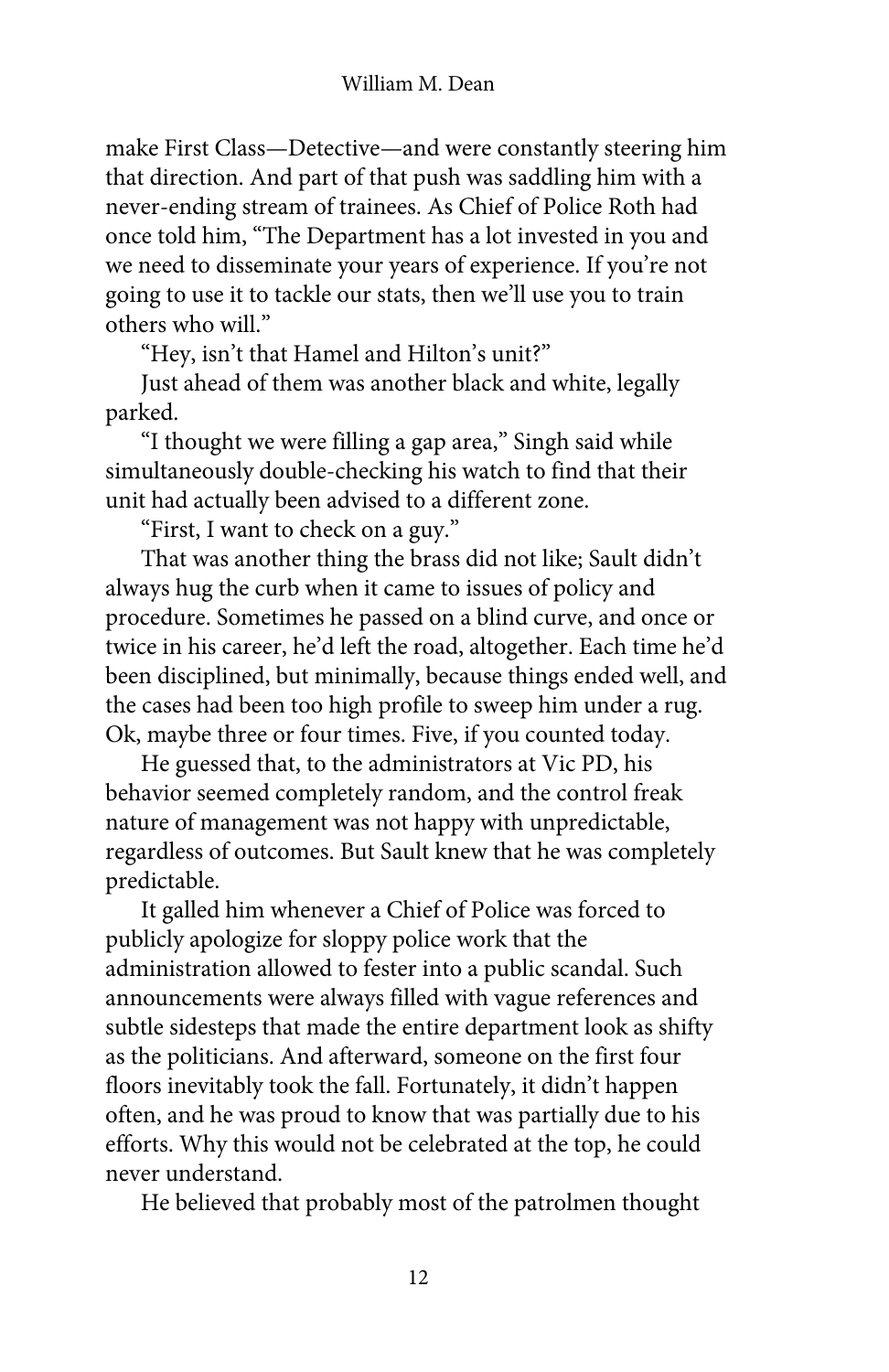make First Class—Detective—and were constantly steering him that direction. And part of that push was saddling him with a never-ending stream of trainees. As Chief of Police Roth had once told him, "The Department has a lot invested in you and we need to disseminate your years of experience. If you're not going to use it to tackle our stats, then we'll use you to train others who will."

"Hey, isn't that Hamel and Hilton's unit?"

Just ahead of them was another black and white, legally parked.

"I thought we were filling a gap area," Singh said while simultaneously double-checking his watch to find that their unit had actually been advised to a different zone.

"First, I want to check on a guy."

That was another thing the brass did not like; Sault didn't always hug the curb when it came to issues of policy and procedure. Sometimes he passed on a blind curve, and once or twice in his career, he'd left the road, altogether. Each time he'd been disciplined, but minimally, because things ended well, and the cases had been too high profile to sweep him under a rug. Ok, maybe three or four times. Five, if you counted today.

He guessed that, to the administrators at Vic PD, his behavior seemed completely random, and the control freak nature of management was not happy with unpredictable, regardless of outcomes. But Sault knew that he was completely predictable.

It galled him whenever a Chief of Police was forced to publicly apologize for sloppy police work that the administration allowed to fester into a public scandal. Such announcements were always filled with vague references and subtle sidesteps that made the entire department look as shifty as the politicians. And afterward, someone on the first four floors inevitably took the fall. Fortunately, it didn't happen often, and he was proud to know that was partially due to his efforts. Why this would not be celebrated at the top, he could never understand.

He believed that probably most of the patrolmen thought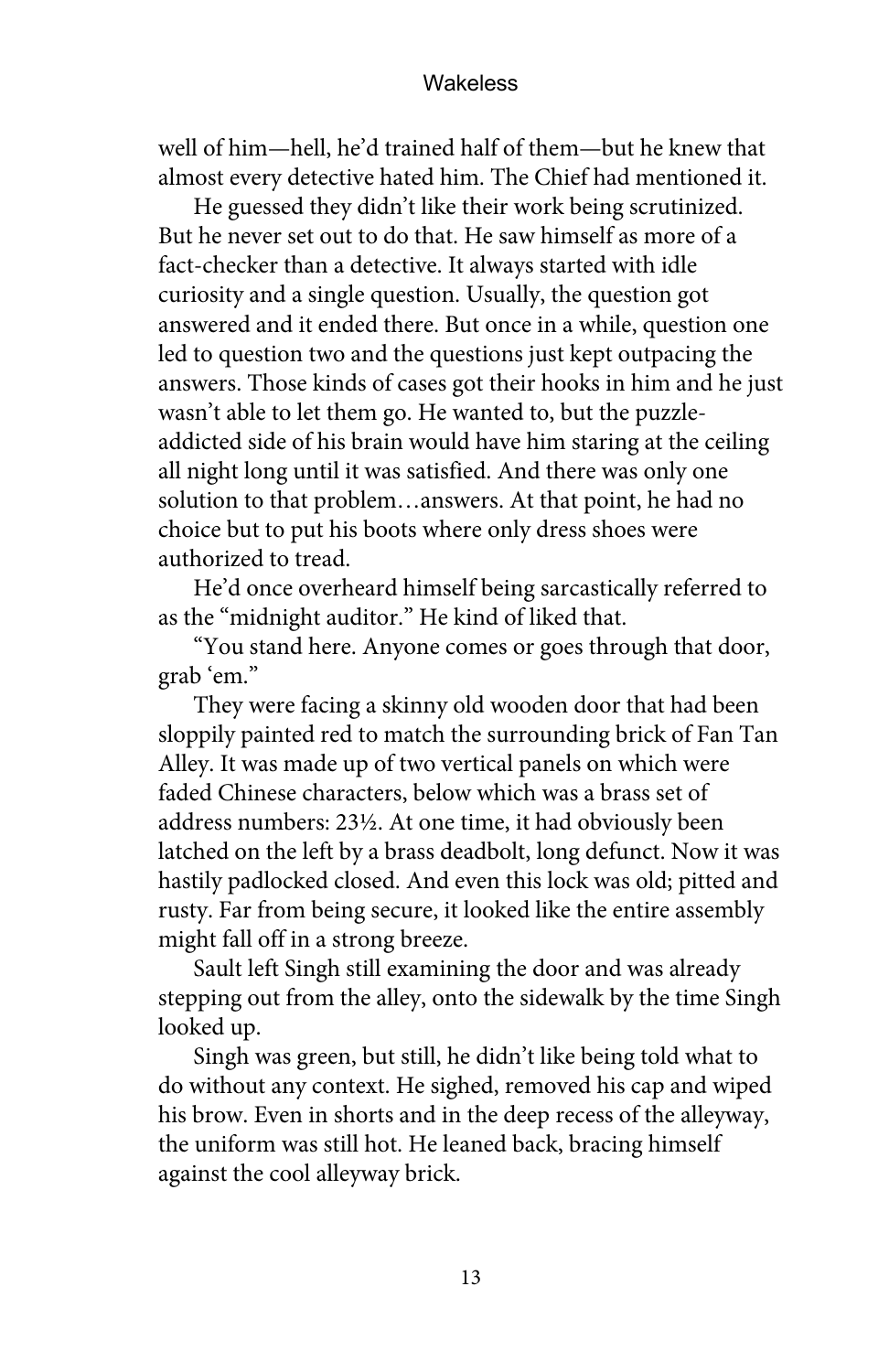well of him—hell, he'd trained half of them—but he knew that almost every detective hated him. The Chief had mentioned it.

He guessed they didn't like their work being scrutinized. But he never set out to do that. He saw himself as more of a fact-checker than a detective. It always started with idle curiosity and a single question. Usually, the question got answered and it ended there. But once in a while, question one led to question two and the questions just kept outpacing the answers. Those kinds of cases got their hooks in him and he just wasn't able to let them go. He wanted to, but the puzzleaddicted side of his brain would have him staring at the ceiling all night long until it was satisfied. And there was only one solution to that problem…answers. At that point, he had no choice but to put his boots where only dress shoes were authorized to tread.

He'd once overheard himself being sarcastically referred to as the "midnight auditor." He kind of liked that.

"You stand here. Anyone comes or goes through that door, grab 'em."

They were facing a skinny old wooden door that had been sloppily painted red to match the surrounding brick of Fan Tan Alley. It was made up of two vertical panels on which were faded Chinese characters, below which was a brass set of address numbers: 23½. At one time, it had obviously been latched on the left by a brass deadbolt, long defunct. Now it was hastily padlocked closed. And even this lock was old; pitted and rusty. Far from being secure, it looked like the entire assembly might fall off in a strong breeze.

Sault left Singh still examining the door and was already stepping out from the alley, onto the sidewalk by the time Singh looked up.

Singh was green, but still, he didn't like being told what to do without any context. He sighed, removed his cap and wiped his brow. Even in shorts and in the deep recess of the alleyway, the uniform was still hot. He leaned back, bracing himself against the cool alleyway brick.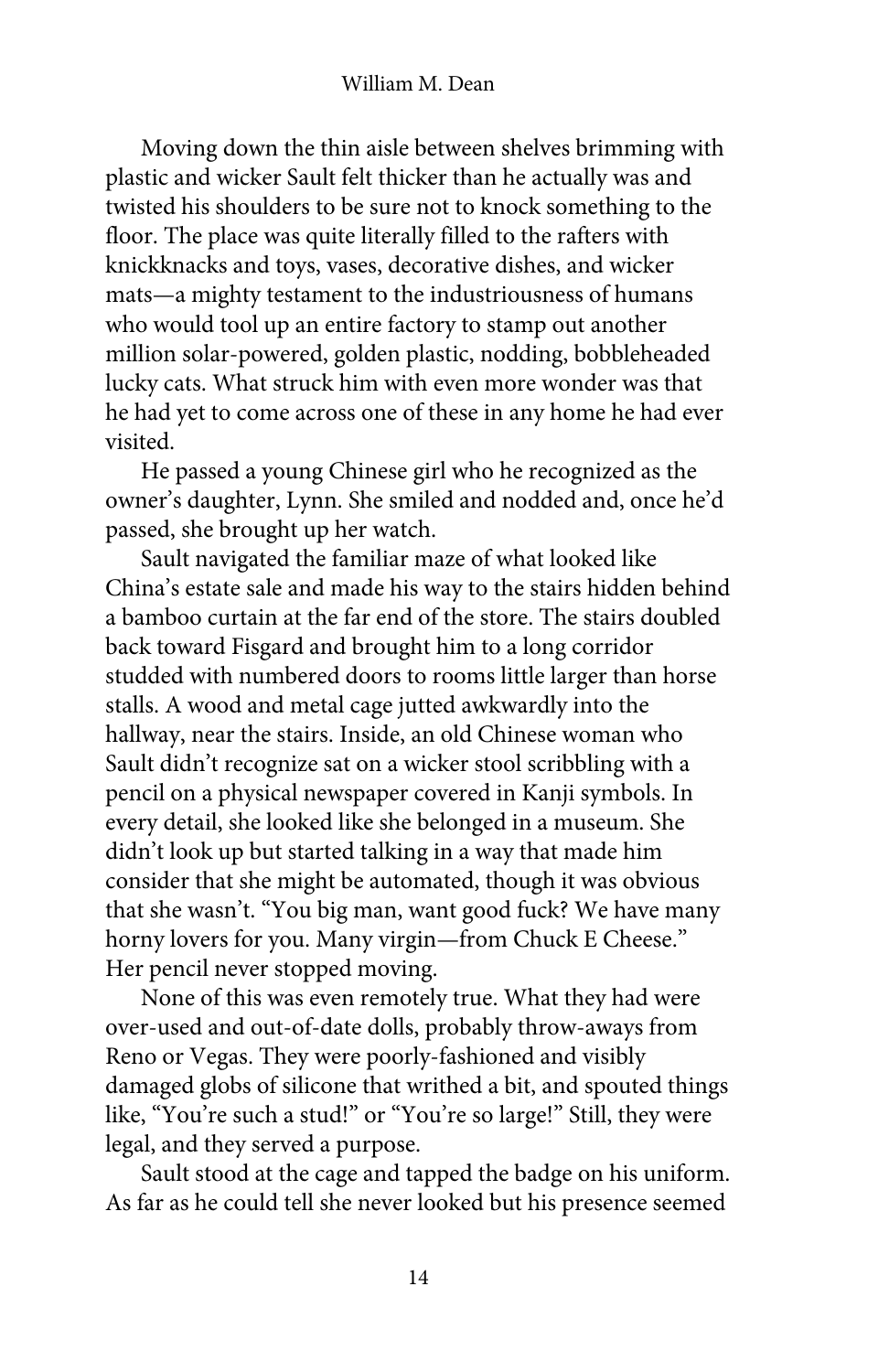Moving down the thin aisle between shelves brimming with plastic and wicker Sault felt thicker than he actually was and twisted his shoulders to be sure not to knock something to the floor. The place was quite literally filled to the rafters with knickknacks and toys, vases, decorative dishes, and wicker mats—a mighty testament to the industriousness of humans who would tool up an entire factory to stamp out another million solar-powered, golden plastic, nodding, bobbleheaded lucky cats. What struck him with even more wonder was that he had yet to come across one of these in any home he had ever visited.

He passed a young Chinese girl who he recognized as the owner's daughter, Lynn. She smiled and nodded and, once he'd passed, she brought up her watch.

Sault navigated the familiar maze of what looked like China's estate sale and made his way to the stairs hidden behind a bamboo curtain at the far end of the store. The stairs doubled back toward Fisgard and brought him to a long corridor studded with numbered doors to rooms little larger than horse stalls. A wood and metal cage jutted awkwardly into the hallway, near the stairs. Inside, an old Chinese woman who Sault didn't recognize sat on a wicker stool scribbling with a pencil on a physical newspaper covered in Kanji symbols. In every detail, she looked like she belonged in a museum. She didn't look up but started talking in a way that made him consider that she might be automated, though it was obvious that she wasn't. "You big man, want good fuck? We have many horny lovers for you. Many virgin—from Chuck E Cheese." Her pencil never stopped moving.

None of this was even remotely true. What they had were over-used and out-of-date dolls, probably throw-aways from Reno or Vegas. They were poorly-fashioned and visibly damaged globs of silicone that writhed a bit, and spouted things like, "You're such a stud!" or "You're so large!" Still, they were legal, and they served a purpose.

Sault stood at the cage and tapped the badge on his uniform. As far as he could tell she never looked but his presence seemed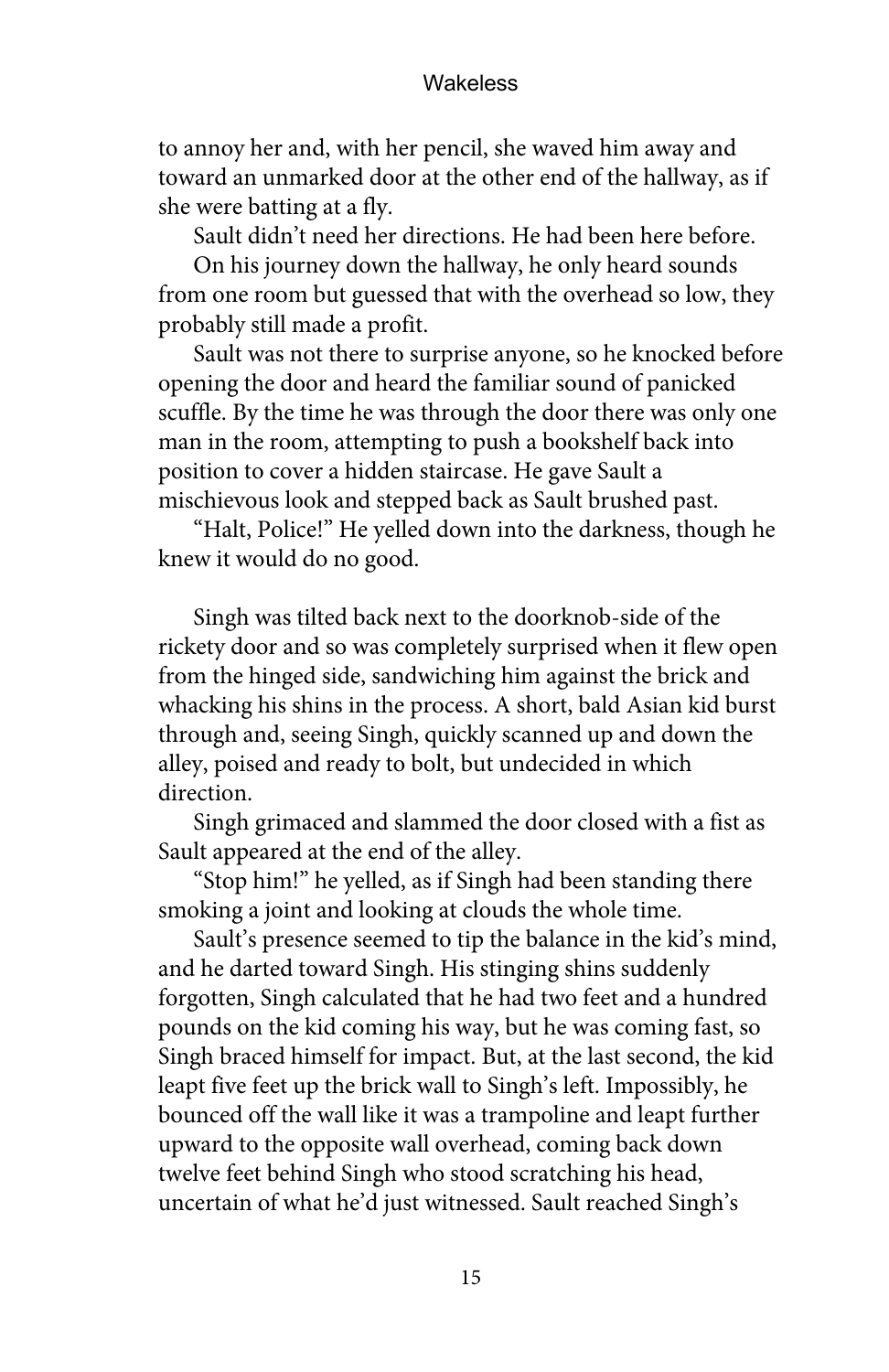to annoy her and, with her pencil, she waved him away and toward an unmarked door at the other end of the hallway, as if she were batting at a fly.

Sault didn't need her directions. He had been here before.

On his journey down the hallway, he only heard sounds from one room but guessed that with the overhead so low, they probably still made a profit.

Sault was not there to surprise anyone, so he knocked before opening the door and heard the familiar sound of panicked scuffle. By the time he was through the door there was only one man in the room, attempting to push a bookshelf back into position to cover a hidden staircase. He gave Sault a mischievous look and stepped back as Sault brushed past.

"Halt, Police!" He yelled down into the darkness, though he knew it would do no good.

Singh was tilted back next to the doorknob-side of the rickety door and so was completely surprised when it flew open from the hinged side, sandwiching him against the brick and whacking his shins in the process. A short, bald Asian kid burst through and, seeing Singh, quickly scanned up and down the alley, poised and ready to bolt, but undecided in which direction.

Singh grimaced and slammed the door closed with a fist as Sault appeared at the end of the alley.

"Stop him!" he yelled, as if Singh had been standing there smoking a joint and looking at clouds the whole time.

Sault's presence seemed to tip the balance in the kid's mind, and he darted toward Singh. His stinging shins suddenly forgotten, Singh calculated that he had two feet and a hundred pounds on the kid coming his way, but he was coming fast, so Singh braced himself for impact. But, at the last second, the kid leapt five feet up the brick wall to Singh's left. Impossibly, he bounced off the wall like it was a trampoline and leapt further upward to the opposite wall overhead, coming back down twelve feet behind Singh who stood scratching his head, uncertain of what he'd just witnessed. Sault reached Singh's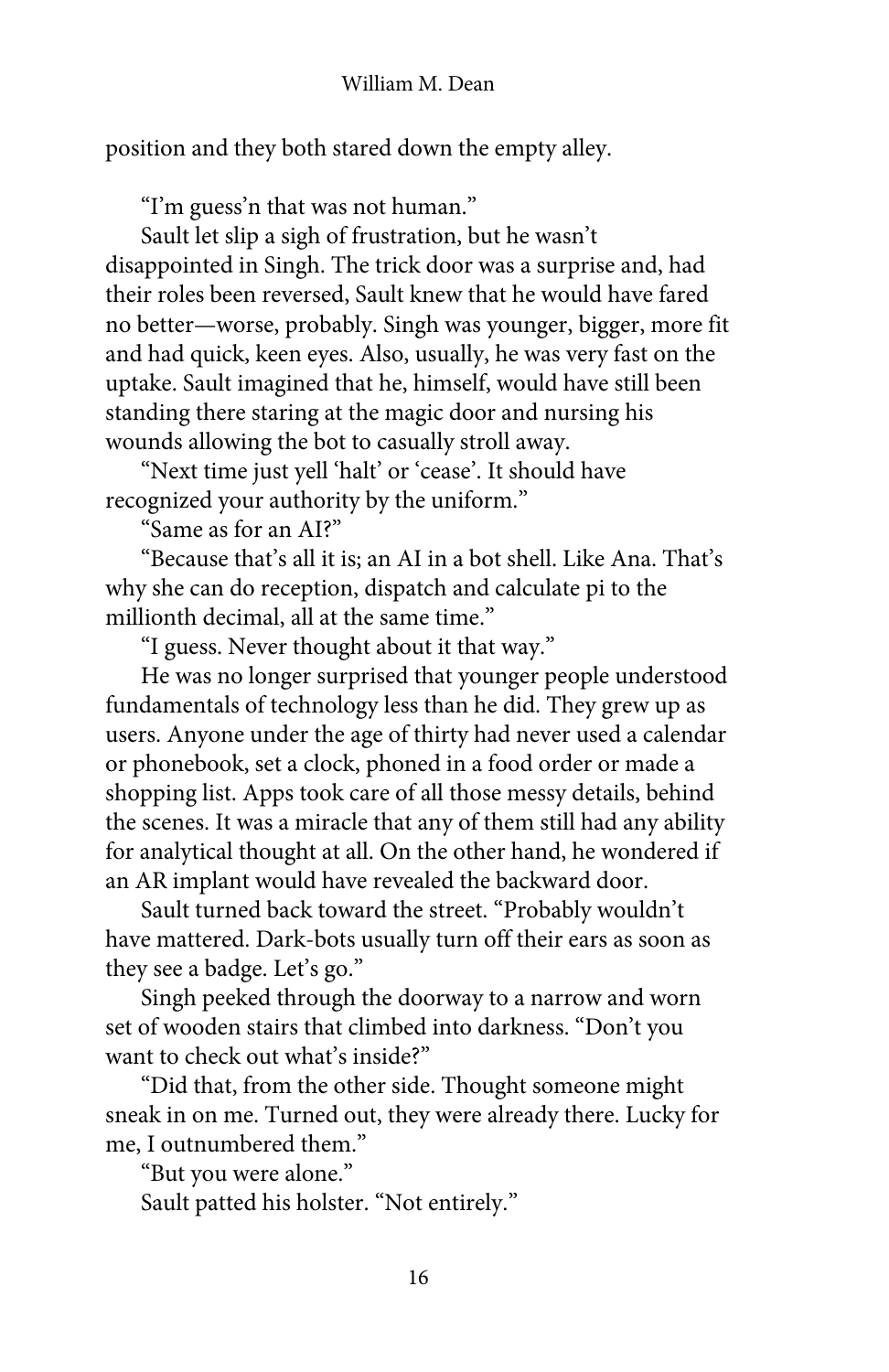position and they both stared down the empty alley.

"I'm guess'n that was not human."

Sault let slip a sigh of frustration, but he wasn't disappointed in Singh. The trick door was a surprise and, had their roles been reversed, Sault knew that he would have fared no better—worse, probably. Singh was younger, bigger, more fit and had quick, keen eyes. Also, usually, he was very fast on the uptake. Sault imagined that he, himself, would have still been standing there staring at the magic door and nursing his wounds allowing the bot to casually stroll away.

"Next time just yell 'halt' or 'cease'. It should have recognized your authority by the uniform."

"Same as for an AI?"

"Because that's all it is; an AI in a bot shell. Like Ana. That's why she can do reception, dispatch and calculate pi to the millionth decimal, all at the same time."

"I guess. Never thought about it that way."

He was no longer surprised that younger people understood fundamentals of technology less than he did. They grew up as users. Anyone under the age of thirty had never used a calendar or phonebook, set a clock, phoned in a food order or made a shopping list. Apps took care of all those messy details, behind the scenes. It was a miracle that any of them still had any ability for analytical thought at all. On the other hand, he wondered if an AR implant would have revealed the backward door.

Sault turned back toward the street. "Probably wouldn't have mattered. Dark-bots usually turn off their ears as soon as they see a badge. Let's go."

Singh peeked through the doorway to a narrow and worn set of wooden stairs that climbed into darkness. "Don't you want to check out what's inside?"

"Did that, from the other side. Thought someone might sneak in on me. Turned out, they were already there. Lucky for me, I outnumbered them."

"But you were alone."

Sault patted his holster. "Not entirely."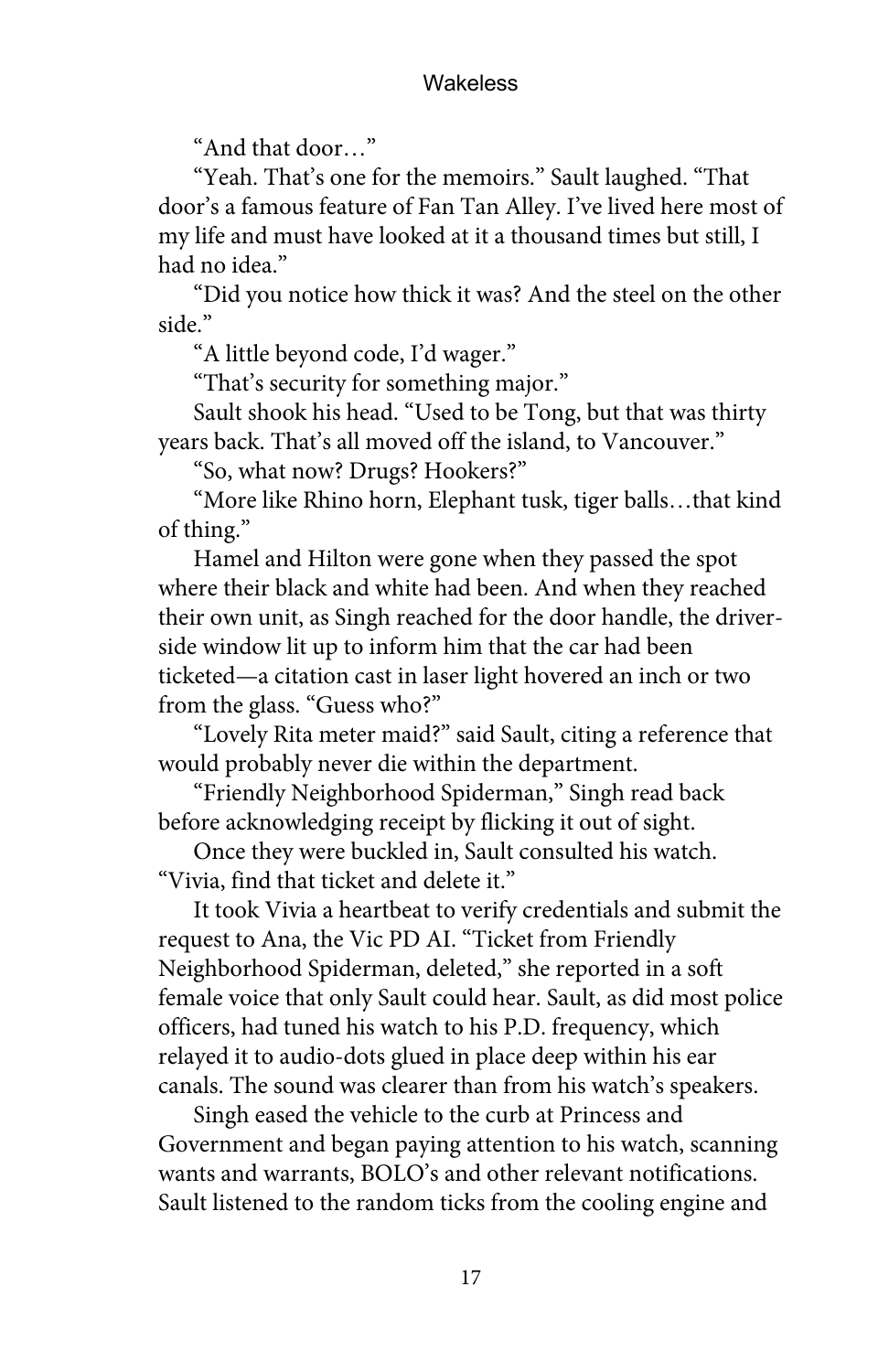"And that door…"

"Yeah. That's one for the memoirs." Sault laughed. "That door's a famous feature of Fan Tan Alley. I've lived here most of my life and must have looked at it a thousand times but still, I had no idea."

"Did you notice how thick it was? And the steel on the other side."

"A little beyond code, I'd wager."

"That's security for something major."

Sault shook his head. "Used to be Tong, but that was thirty years back. That's all moved off the island, to Vancouver."

"So, what now? Drugs? Hookers?"

"More like Rhino horn, Elephant tusk, tiger balls…that kind of thing."

Hamel and Hilton were gone when they passed the spot where their black and white had been. And when they reached their own unit, as Singh reached for the door handle, the driverside window lit up to inform him that the car had been ticketed—a citation cast in laser light hovered an inch or two from the glass. "Guess who?"

"Lovely Rita meter maid?" said Sault, citing a reference that would probably never die within the department.

"Friendly Neighborhood Spiderman," Singh read back before acknowledging receipt by flicking it out of sight.

Once they were buckled in, Sault consulted his watch. "Vivia, find that ticket and delete it."

It took Vivia a heartbeat to verify credentials and submit the request to Ana, the Vic PD AI. "Ticket from Friendly Neighborhood Spiderman, deleted," she reported in a soft female voice that only Sault could hear. Sault, as did most police officers, had tuned his watch to his P.D. frequency, which relayed it to audio-dots glued in place deep within his ear canals. The sound was clearer than from his watch's speakers.

Singh eased the vehicle to the curb at Princess and Government and began paying attention to his watch, scanning wants and warrants, BOLO's and other relevant notifications. Sault listened to the random ticks from the cooling engine and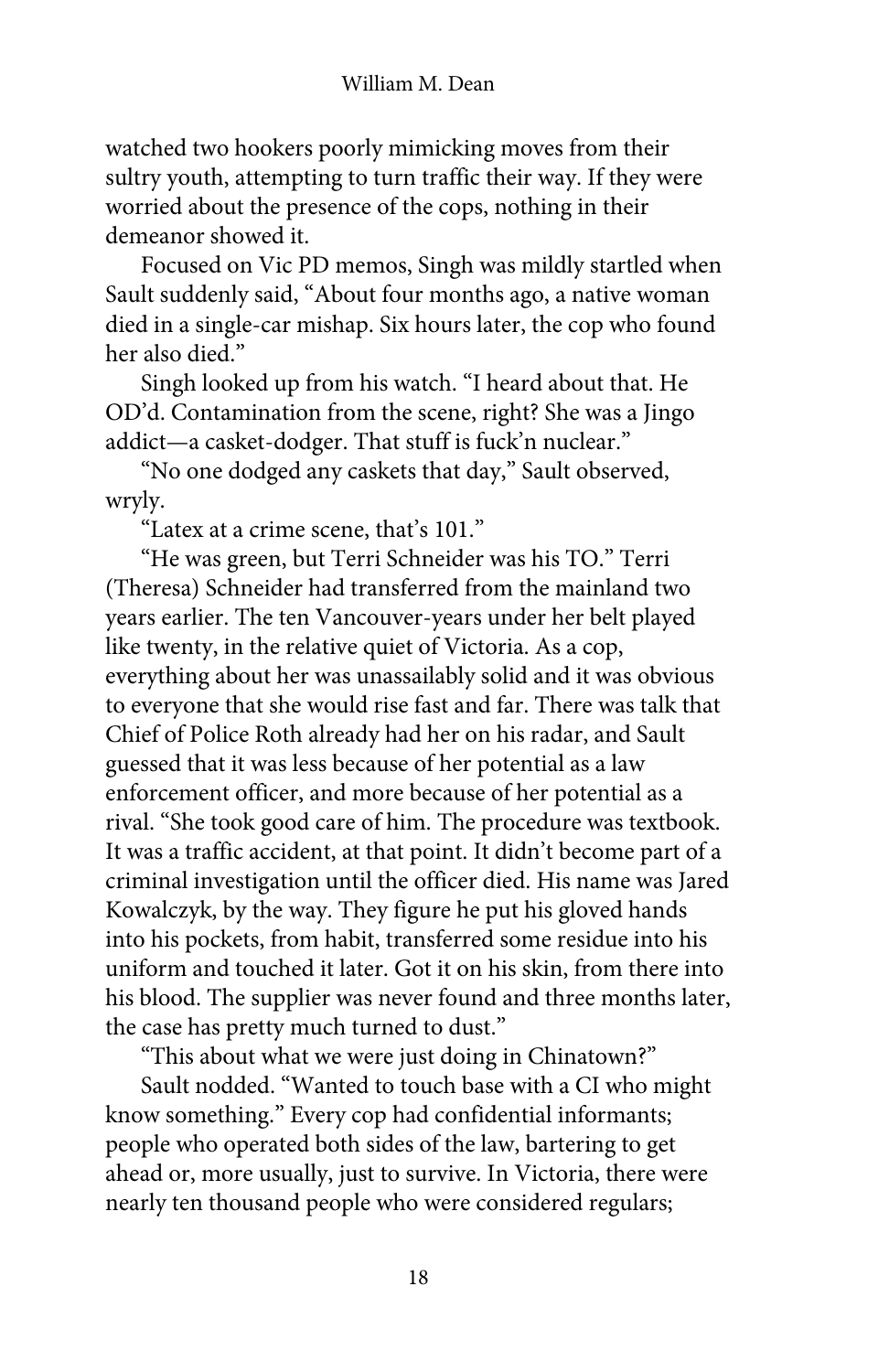watched two hookers poorly mimicking moves from their sultry youth, attempting to turn traffic their way. If they were worried about the presence of the cops, nothing in their demeanor showed it.

Focused on Vic PD memos, Singh was mildly startled when Sault suddenly said, "About four months ago, a native woman died in a single-car mishap. Six hours later, the cop who found her also died."

Singh looked up from his watch. "I heard about that. He OD'd. Contamination from the scene, right? She was a Jingo addict—a casket-dodger. That stuff is fuck'n nuclear."

"No one dodged any caskets that day," Sault observed, wryly.

"Latex at a crime scene, that's 101."

"He was green, but Terri Schneider was his TO." Terri (Theresa) Schneider had transferred from the mainland two years earlier. The ten Vancouver-years under her belt played like twenty, in the relative quiet of Victoria. As a cop, everything about her was unassailably solid and it was obvious to everyone that she would rise fast and far. There was talk that Chief of Police Roth already had her on his radar, and Sault guessed that it was less because of her potential as a law enforcement officer, and more because of her potential as a rival. "She took good care of him. The procedure was textbook. It was a traffic accident, at that point. It didn't become part of a criminal investigation until the officer died. His name was Jared Kowalczyk, by the way. They figure he put his gloved hands into his pockets, from habit, transferred some residue into his uniform and touched it later. Got it on his skin, from there into his blood. The supplier was never found and three months later, the case has pretty much turned to dust."

"This about what we were just doing in Chinatown?"

Sault nodded. "Wanted to touch base with a CI who might know something." Every cop had confidential informants; people who operated both sides of the law, bartering to get ahead or, more usually, just to survive. In Victoria, there were nearly ten thousand people who were considered regulars;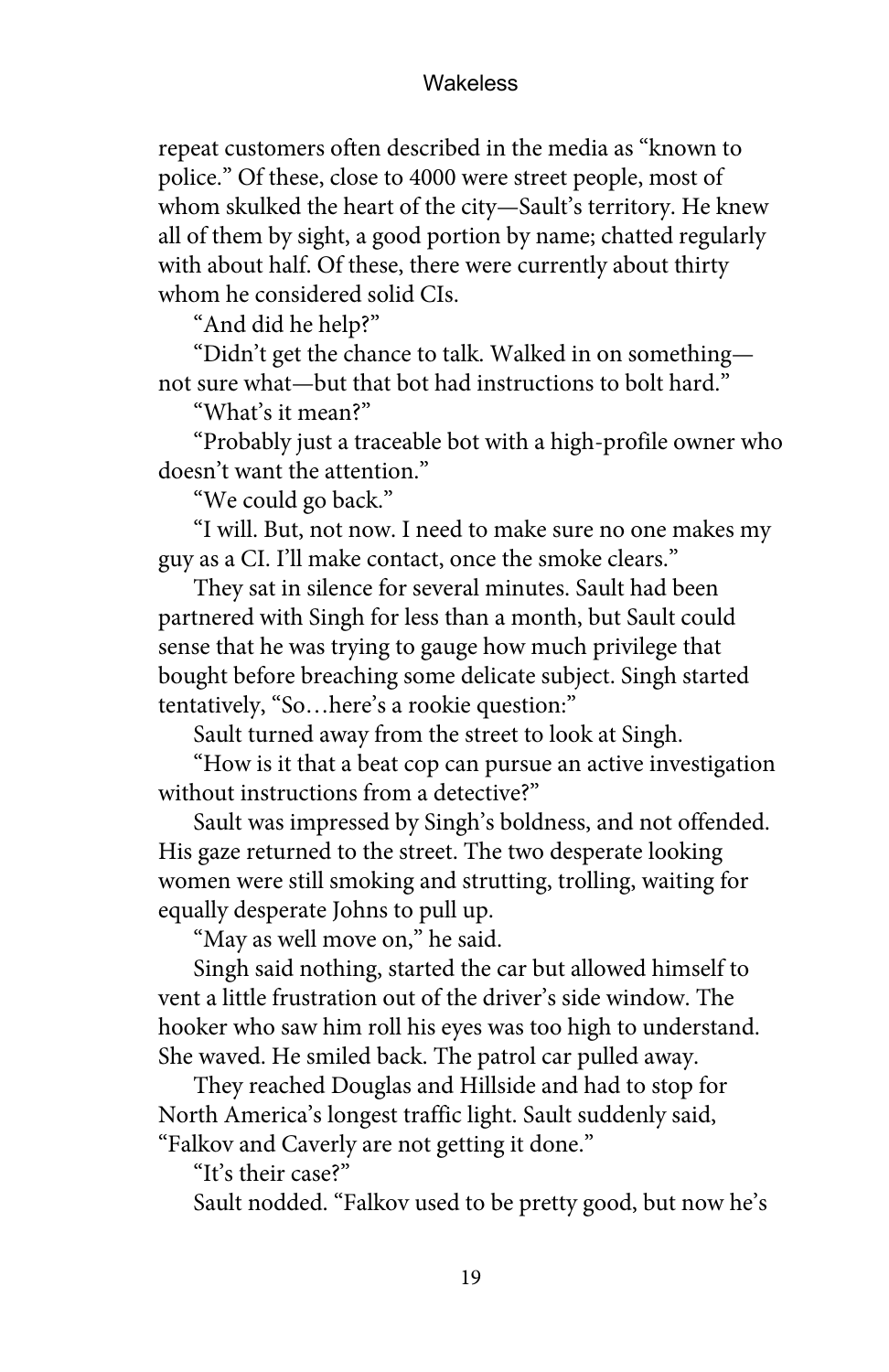repeat customers often described in the media as "known to police." Of these, close to 4000 were street people, most of whom skulked the heart of the city—Sault's territory. He knew all of them by sight, a good portion by name; chatted regularly with about half. Of these, there were currently about thirty whom he considered solid CIs.

"And did he help?"

"Didn't get the chance to talk. Walked in on something not sure what—but that bot had instructions to bolt hard."

"What's it mean?"

"Probably just a traceable bot with a high-profile owner who doesn't want the attention."

"We could go back."

"I will. But, not now. I need to make sure no one makes my guy as a CI. I'll make contact, once the smoke clears."

They sat in silence for several minutes. Sault had been partnered with Singh for less than a month, but Sault could sense that he was trying to gauge how much privilege that bought before breaching some delicate subject. Singh started tentatively, "So…here's a rookie question:"

Sault turned away from the street to look at Singh.

"How is it that a beat cop can pursue an active investigation without instructions from a detective?"

Sault was impressed by Singh's boldness, and not offended. His gaze returned to the street. The two desperate looking women were still smoking and strutting, trolling, waiting for equally desperate Johns to pull up.

"May as well move on," he said.

Singh said nothing, started the car but allowed himself to vent a little frustration out of the driver's side window. The hooker who saw him roll his eyes was too high to understand. She waved. He smiled back. The patrol car pulled away.

They reached Douglas and Hillside and had to stop for North America's longest traffic light. Sault suddenly said, "Falkov and Caverly are not getting it done."

"It's their case?"

Sault nodded. "Falkov used to be pretty good, but now he's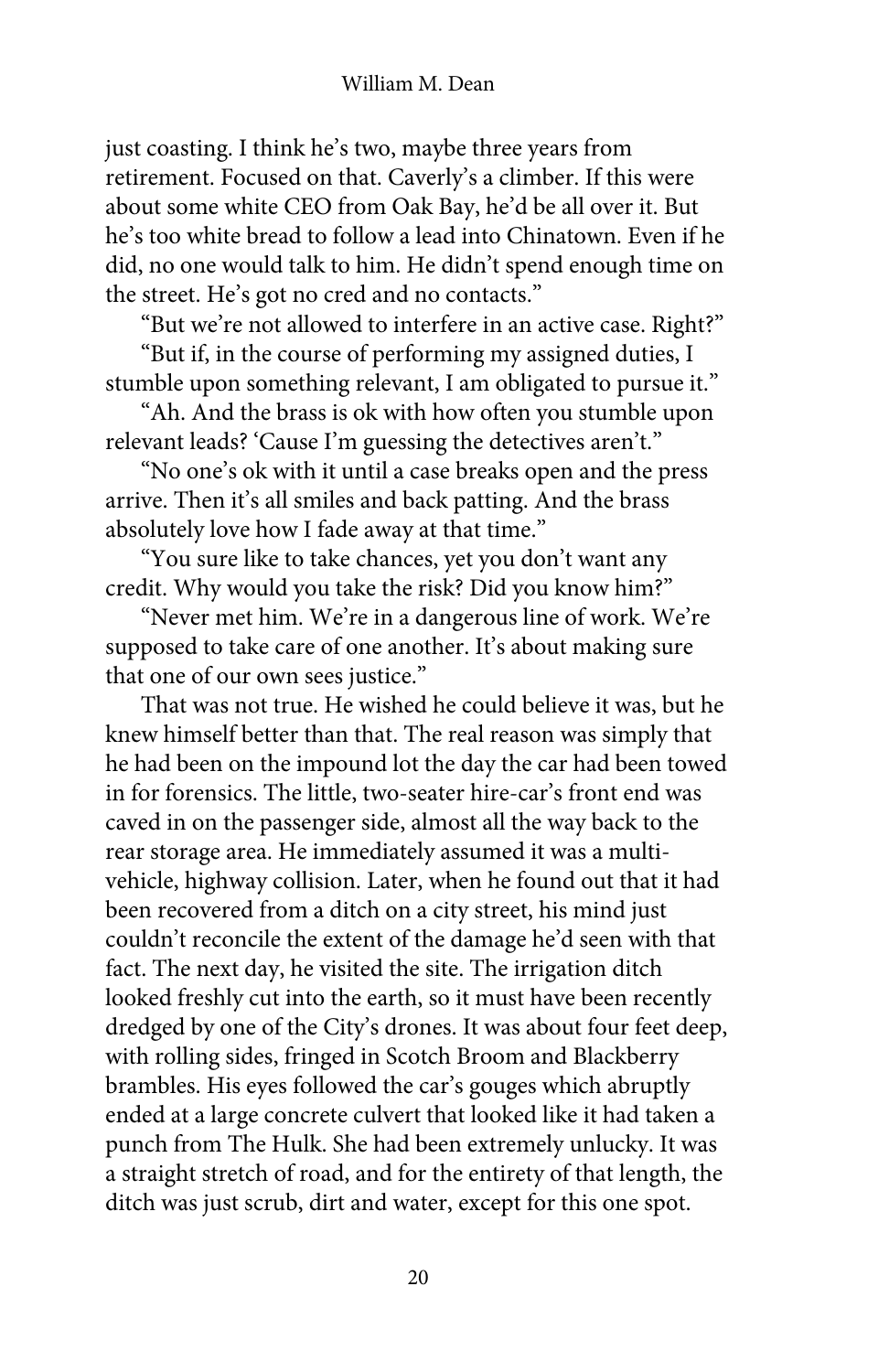just coasting. I think he's two, maybe three years from retirement. Focused on that. Caverly's a climber. If this were about some white CEO from Oak Bay, he'd be all over it. But he's too white bread to follow a lead into Chinatown. Even if he did, no one would talk to him. He didn't spend enough time on the street. He's got no cred and no contacts."

"But we're not allowed to interfere in an active case. Right?"

"But if, in the course of performing my assigned duties, I stumble upon something relevant, I am obligated to pursue it."

"Ah. And the brass is ok with how often you stumble upon relevant leads? 'Cause I'm guessing the detectives aren't."

"No one's ok with it until a case breaks open and the press arrive. Then it's all smiles and back patting. And the brass absolutely love how I fade away at that time."

"You sure like to take chances, yet you don't want any credit. Why would you take the risk? Did you know him?"

"Never met him. We're in a dangerous line of work. We're supposed to take care of one another. It's about making sure that one of our own sees justice."

That was not true. He wished he could believe it was, but he knew himself better than that. The real reason was simply that he had been on the impound lot the day the car had been towed in for forensics. The little, two-seater hire-car's front end was caved in on the passenger side, almost all the way back to the rear storage area. He immediately assumed it was a multivehicle, highway collision. Later, when he found out that it had been recovered from a ditch on a city street, his mind just couldn't reconcile the extent of the damage he'd seen with that fact. The next day, he visited the site. The irrigation ditch looked freshly cut into the earth, so it must have been recently dredged by one of the City's drones. It was about four feet deep, with rolling sides, fringed in Scotch Broom and Blackberry brambles. His eyes followed the car's gouges which abruptly ended at a large concrete culvert that looked like it had taken a punch from The Hulk. She had been extremely unlucky. It was a straight stretch of road, and for the entirety of that length, the ditch was just scrub, dirt and water, except for this one spot.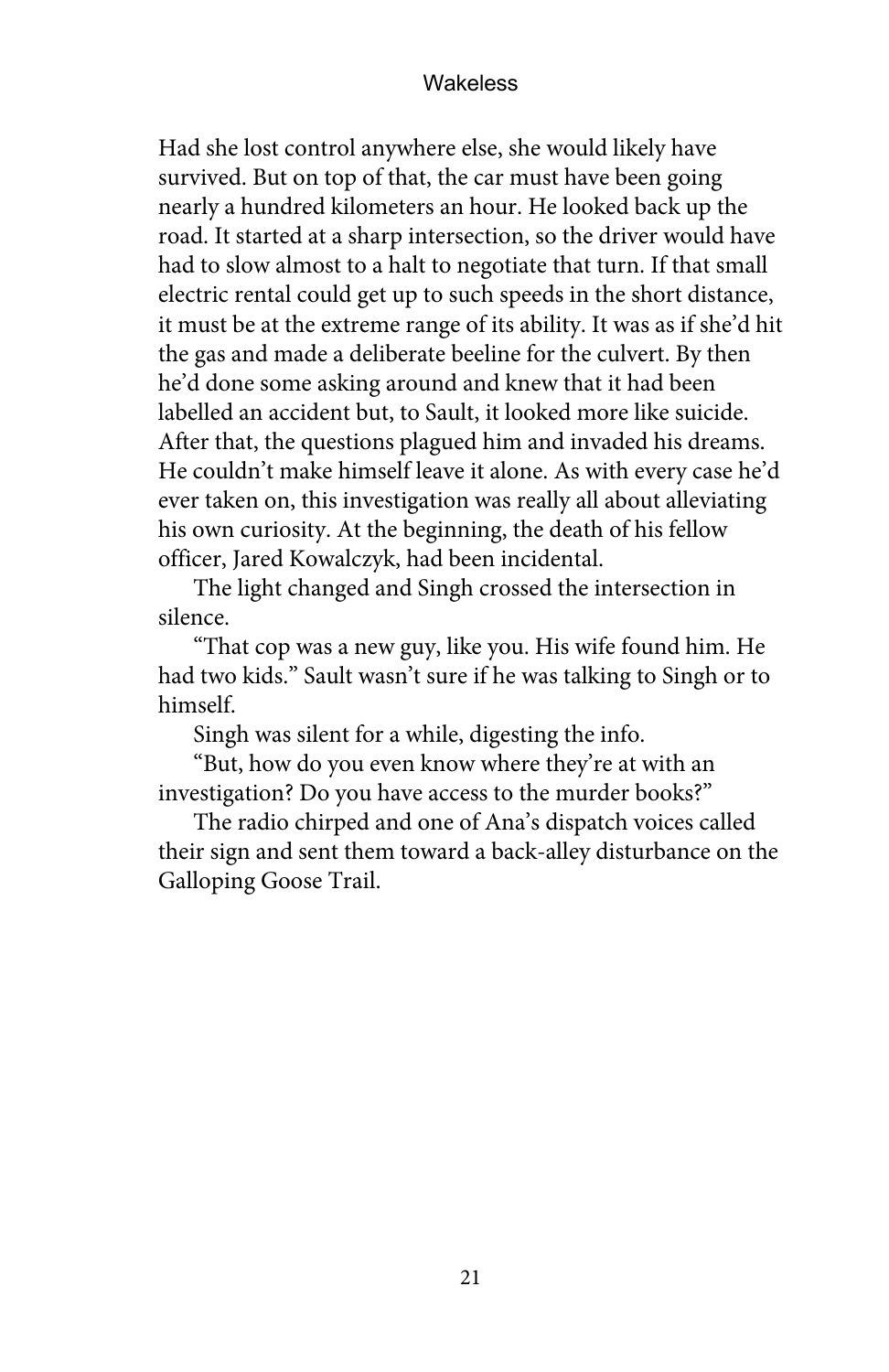Had she lost control anywhere else, she would likely have survived. But on top of that, the car must have been going nearly a hundred kilometers an hour. He looked back up the road. It started at a sharp intersection, so the driver would have had to slow almost to a halt to negotiate that turn. If that small electric rental could get up to such speeds in the short distance, it must be at the extreme range of its ability. It was as if she'd hit the gas and made a deliberate beeline for the culvert. By then he'd done some asking around and knew that it had been labelled an accident but, to Sault, it looked more like suicide. After that, the questions plagued him and invaded his dreams. He couldn't make himself leave it alone. As with every case he'd ever taken on, this investigation was really all about alleviating his own curiosity. At the beginning, the death of his fellow officer, Jared Kowalczyk, had been incidental.

The light changed and Singh crossed the intersection in silence.

"That cop was a new guy, like you. His wife found him. He had two kids." Sault wasn't sure if he was talking to Singh or to himself.

Singh was silent for a while, digesting the info.

"But, how do you even know where they're at with an investigation? Do you have access to the murder books?"

The radio chirped and one of Ana's dispatch voices called their sign and sent them toward a back-alley disturbance on the Galloping Goose Trail.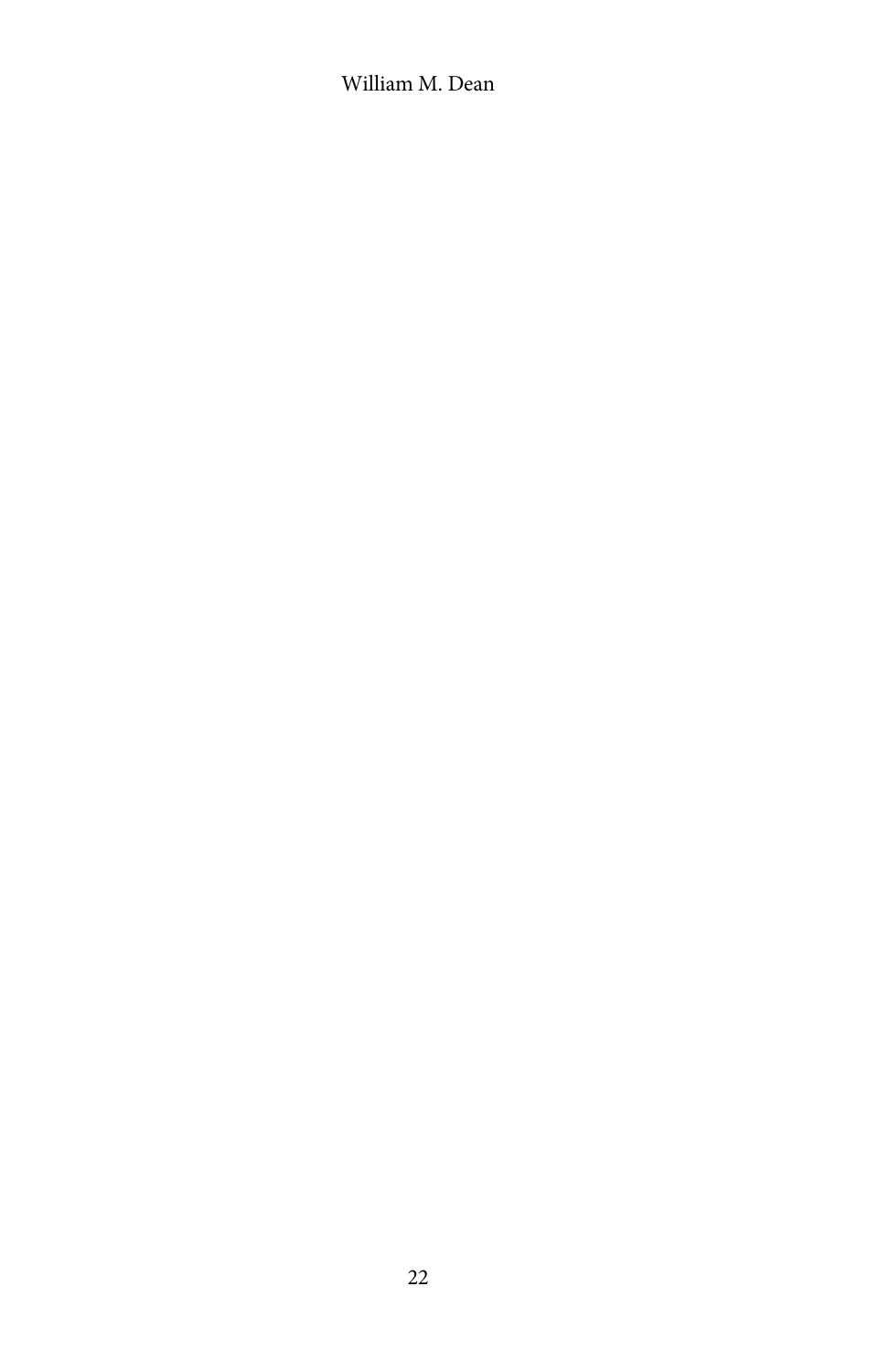## William M. Dean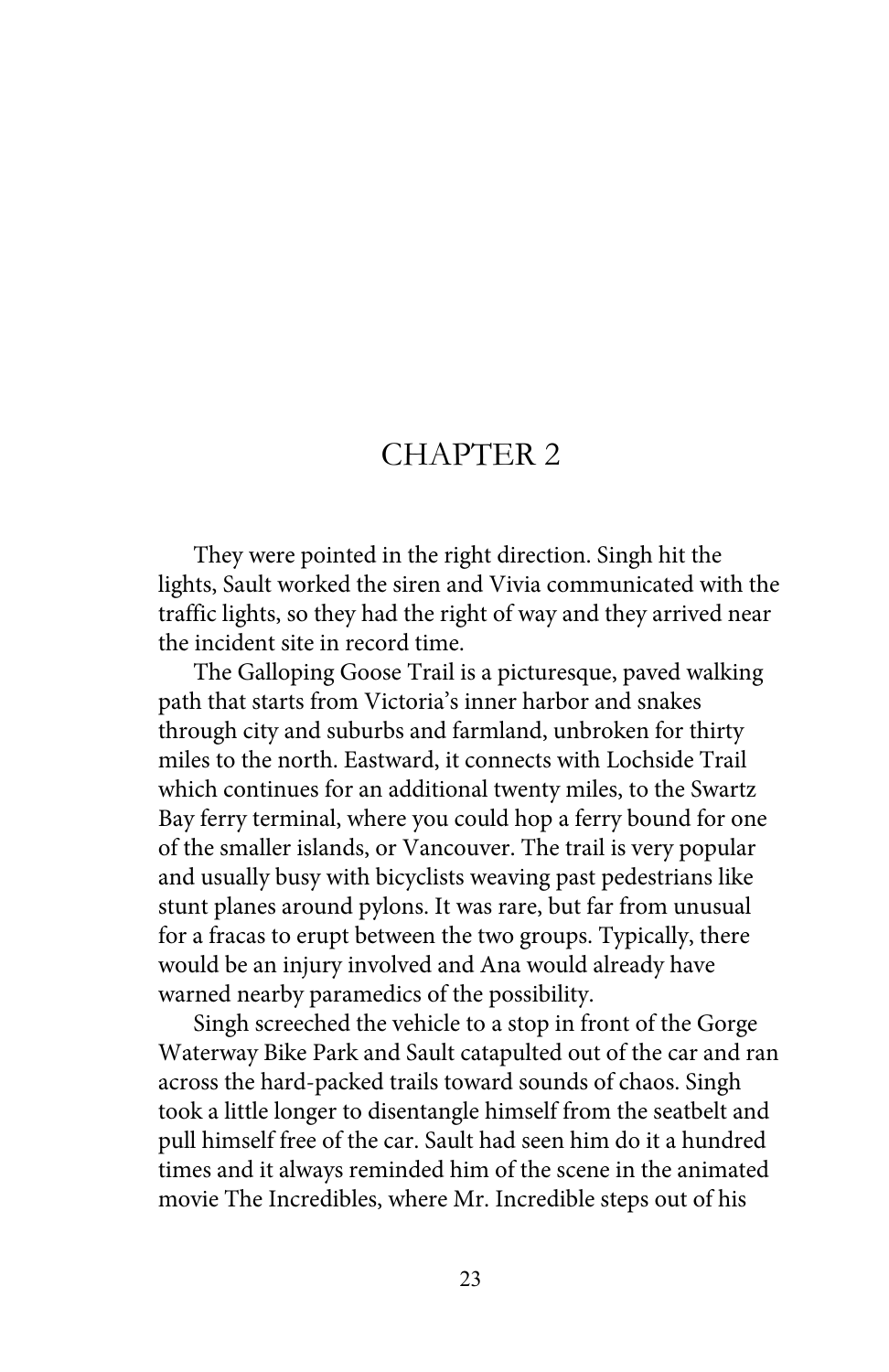## CHAPTER 2

They were pointed in the right direction. Singh hit the lights, Sault worked the siren and Vivia communicated with the traffic lights, so they had the right of way and they arrived near the incident site in record time.

The Galloping Goose Trail is a picturesque, paved walking path that starts from Victoria's inner harbor and snakes through city and suburbs and farmland, unbroken for thirty miles to the north. Eastward, it connects with Lochside Trail which continues for an additional twenty miles, to the Swartz Bay ferry terminal, where you could hop a ferry bound for one of the smaller islands, or Vancouver. The trail is very popular and usually busy with bicyclists weaving past pedestrians like stunt planes around pylons. It was rare, but far from unusual for a fracas to erupt between the two groups. Typically, there would be an injury involved and Ana would already have warned nearby paramedics of the possibility.

Singh screeched the vehicle to a stop in front of the Gorge Waterway Bike Park and Sault catapulted out of the car and ran across the hard-packed trails toward sounds of chaos. Singh took a little longer to disentangle himself from the seatbelt and pull himself free of the car. Sault had seen him do it a hundred times and it always reminded him of the scene in the animated movie The Incredibles, where Mr. Incredible steps out of his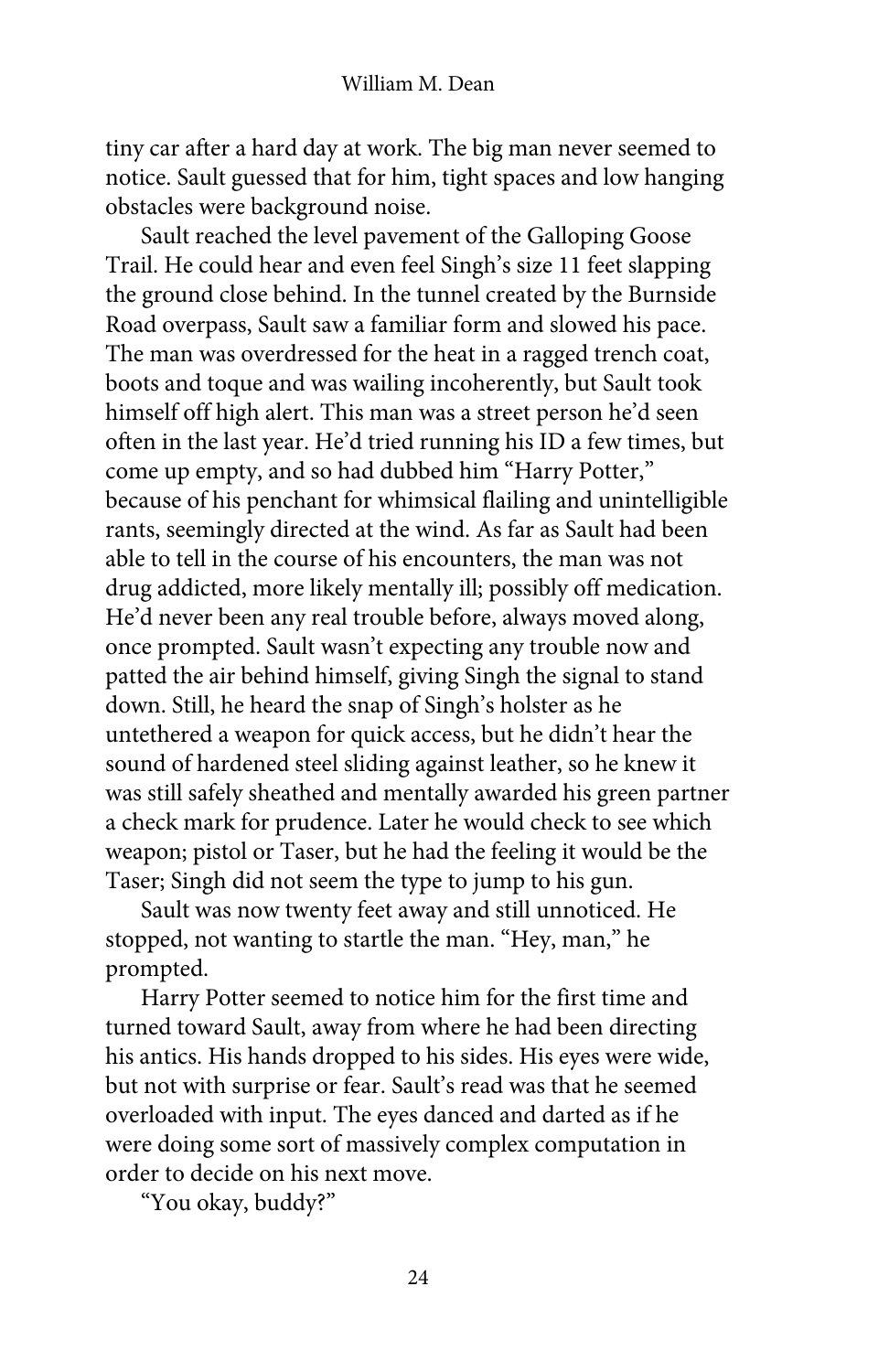tiny car after a hard day at work. The big man never seemed to notice. Sault guessed that for him, tight spaces and low hanging obstacles were background noise.

Sault reached the level pavement of the Galloping Goose Trail. He could hear and even feel Singh's size 11 feet slapping the ground close behind. In the tunnel created by the Burnside Road overpass, Sault saw a familiar form and slowed his pace. The man was overdressed for the heat in a ragged trench coat, boots and toque and was wailing incoherently, but Sault took himself off high alert. This man was a street person he'd seen often in the last year. He'd tried running his ID a few times, but come up empty, and so had dubbed him "Harry Potter," because of his penchant for whimsical flailing and unintelligible rants, seemingly directed at the wind. As far as Sault had been able to tell in the course of his encounters, the man was not drug addicted, more likely mentally ill; possibly off medication. He'd never been any real trouble before, always moved along, once prompted. Sault wasn't expecting any trouble now and patted the air behind himself, giving Singh the signal to stand down. Still, he heard the snap of Singh's holster as he untethered a weapon for quick access, but he didn't hear the sound of hardened steel sliding against leather, so he knew it was still safely sheathed and mentally awarded his green partner a check mark for prudence. Later he would check to see which weapon; pistol or Taser, but he had the feeling it would be the Taser; Singh did not seem the type to jump to his gun.

Sault was now twenty feet away and still unnoticed. He stopped, not wanting to startle the man. "Hey, man," he prompted.

Harry Potter seemed to notice him for the first time and turned toward Sault, away from where he had been directing his antics. His hands dropped to his sides. His eyes were wide, but not with surprise or fear. Sault's read was that he seemed overloaded with input. The eyes danced and darted as if he were doing some sort of massively complex computation in order to decide on his next move.

"You okay, buddy?"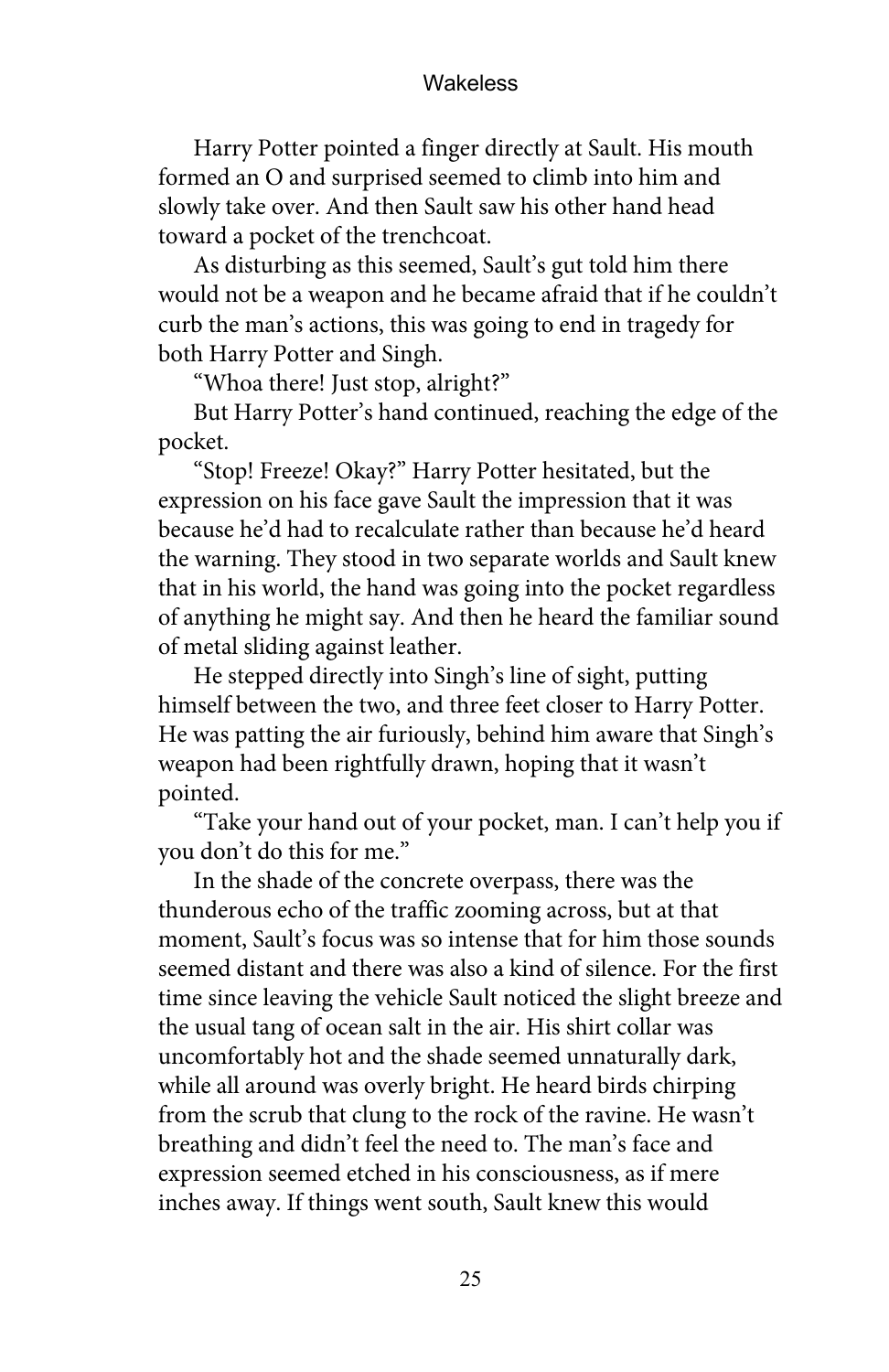Harry Potter pointed a finger directly at Sault. His mouth formed an O and surprised seemed to climb into him and slowly take over. And then Sault saw his other hand head toward a pocket of the trenchcoat.

As disturbing as this seemed, Sault's gut told him there would not be a weapon and he became afraid that if he couldn't curb the man's actions, this was going to end in tragedy for both Harry Potter and Singh.

"Whoa there! Just stop, alright?"

But Harry Potter's hand continued, reaching the edge of the pocket.

"Stop! Freeze! Okay?" Harry Potter hesitated, but the expression on his face gave Sault the impression that it was because he'd had to recalculate rather than because he'd heard the warning. They stood in two separate worlds and Sault knew that in his world, the hand was going into the pocket regardless of anything he might say. And then he heard the familiar sound of metal sliding against leather.

He stepped directly into Singh's line of sight, putting himself between the two, and three feet closer to Harry Potter. He was patting the air furiously, behind him aware that Singh's weapon had been rightfully drawn, hoping that it wasn't pointed.

"Take your hand out of your pocket, man. I can't help you if you don't do this for me."

In the shade of the concrete overpass, there was the thunderous echo of the traffic zooming across, but at that moment, Sault's focus was so intense that for him those sounds seemed distant and there was also a kind of silence. For the first time since leaving the vehicle Sault noticed the slight breeze and the usual tang of ocean salt in the air. His shirt collar was uncomfortably hot and the shade seemed unnaturally dark, while all around was overly bright. He heard birds chirping from the scrub that clung to the rock of the ravine. He wasn't breathing and didn't feel the need to. The man's face and expression seemed etched in his consciousness, as if mere inches away. If things went south, Sault knew this would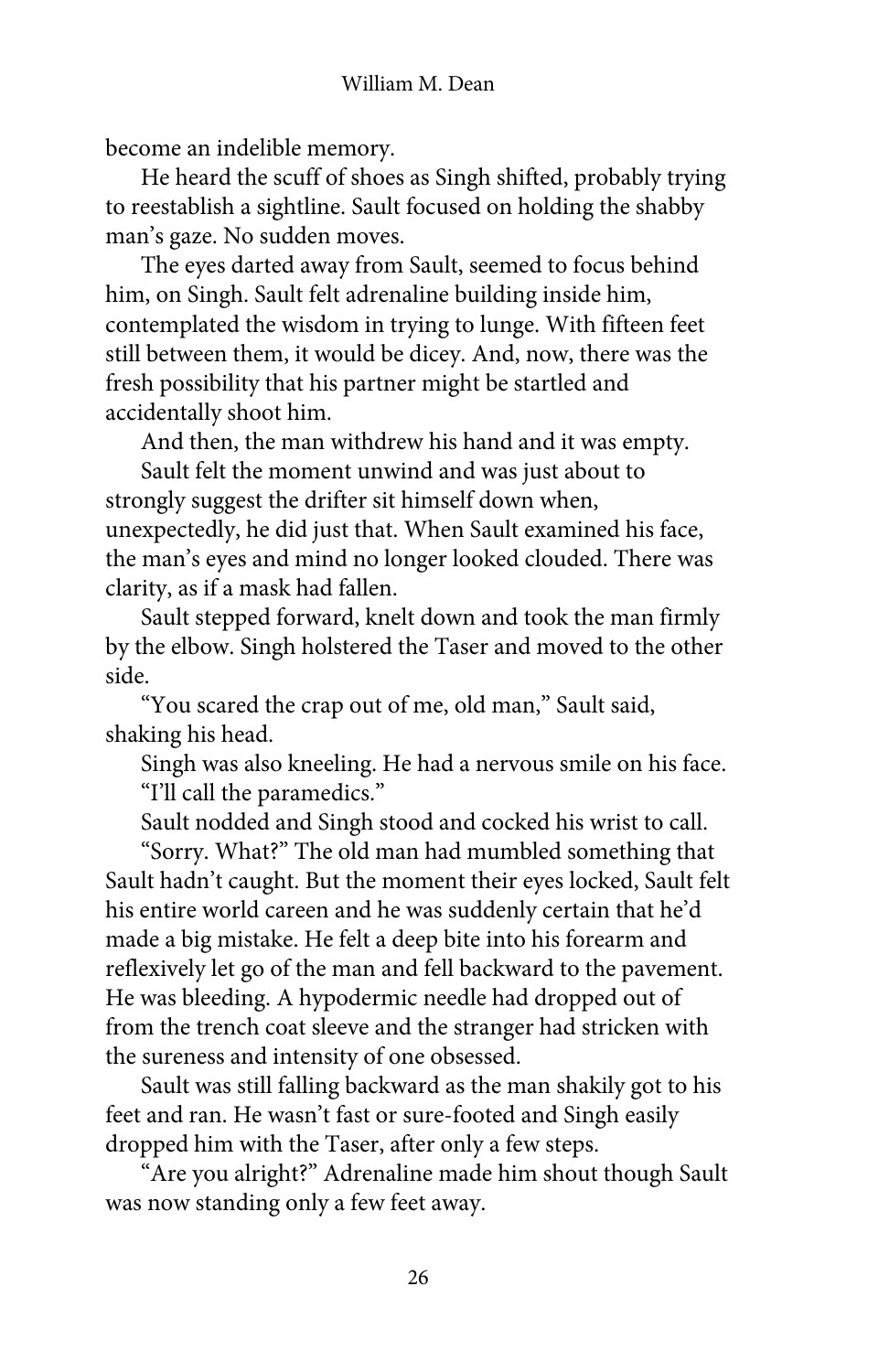become an indelible memory.

He heard the scuff of shoes as Singh shifted, probably trying to reestablish a sightline. Sault focused on holding the shabby man's gaze. No sudden moves.

The eyes darted away from Sault, seemed to focus behind him, on Singh. Sault felt adrenaline building inside him, contemplated the wisdom in trying to lunge. With fifteen feet still between them, it would be dicey. And, now, there was the fresh possibility that his partner might be startled and accidentally shoot him.

And then, the man withdrew his hand and it was empty.

Sault felt the moment unwind and was just about to strongly suggest the drifter sit himself down when, unexpectedly, he did just that. When Sault examined his face, the man's eyes and mind no longer looked clouded. There was clarity, as if a mask had fallen.

Sault stepped forward, knelt down and took the man firmly by the elbow. Singh holstered the Taser and moved to the other side.

"You scared the crap out of me, old man," Sault said, shaking his head.

Singh was also kneeling. He had a nervous smile on his face. "I'll call the paramedics."

Sault nodded and Singh stood and cocked his wrist to call.

"Sorry. What?" The old man had mumbled something that Sault hadn't caught. But the moment their eyes locked, Sault felt his entire world careen and he was suddenly certain that he'd made a big mistake. He felt a deep bite into his forearm and reflexively let go of the man and fell backward to the pavement. He was bleeding. A hypodermic needle had dropped out of from the trench coat sleeve and the stranger had stricken with the sureness and intensity of one obsessed.

Sault was still falling backward as the man shakily got to his feet and ran. He wasn't fast or sure-footed and Singh easily dropped him with the Taser, after only a few steps.

"Are you alright?" Adrenaline made him shout though Sault was now standing only a few feet away.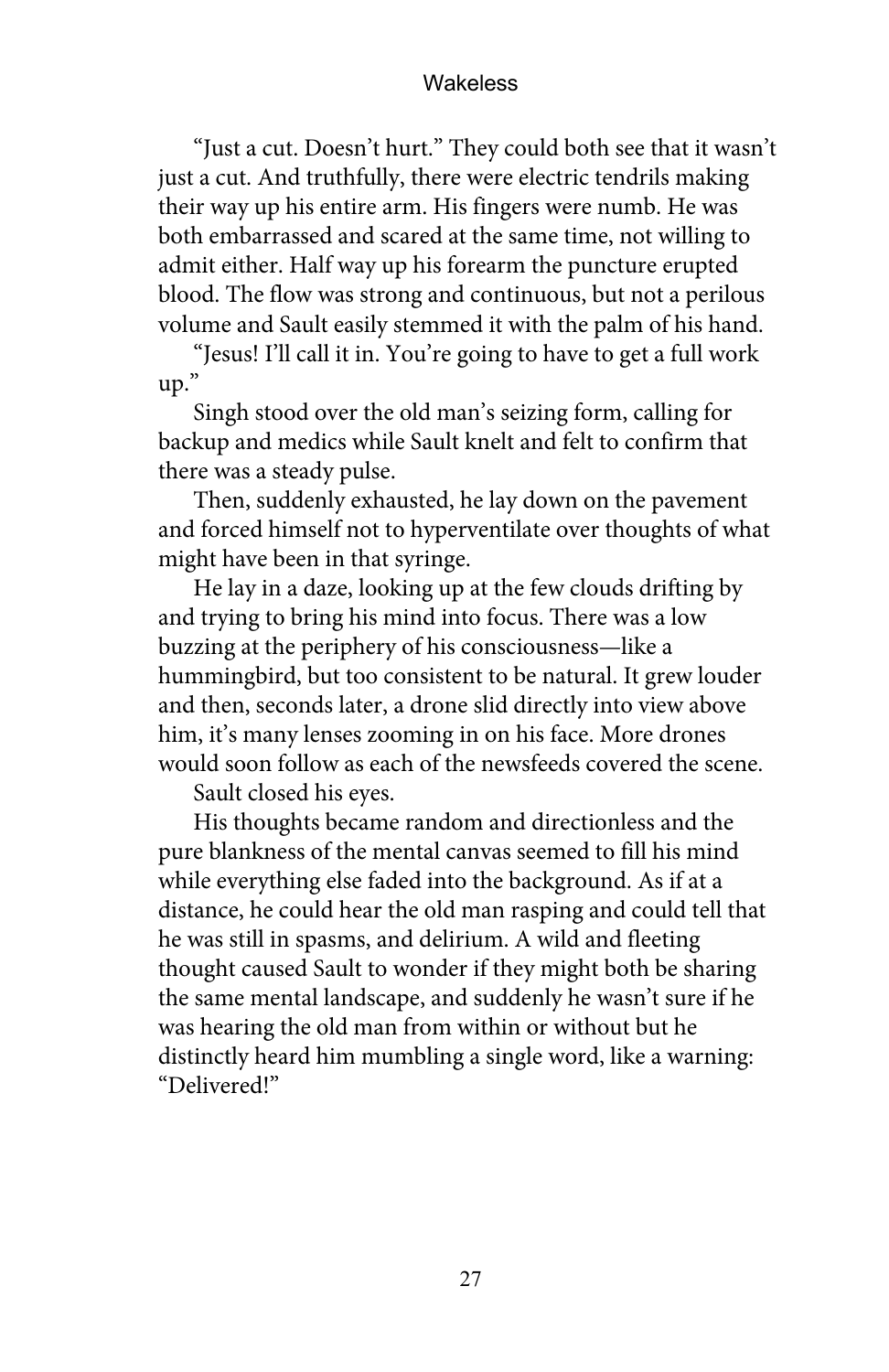"Just a cut. Doesn't hurt." They could both see that it wasn't just a cut. And truthfully, there were electric tendrils making their way up his entire arm. His fingers were numb. He was both embarrassed and scared at the same time, not willing to admit either. Half way up his forearm the puncture erupted blood. The flow was strong and continuous, but not a perilous volume and Sault easily stemmed it with the palm of his hand.

"Jesus! I'll call it in. You're going to have to get a full work up."

Singh stood over the old man's seizing form, calling for backup and medics while Sault knelt and felt to confirm that there was a steady pulse.

Then, suddenly exhausted, he lay down on the pavement and forced himself not to hyperventilate over thoughts of what might have been in that syringe.

He lay in a daze, looking up at the few clouds drifting by and trying to bring his mind into focus. There was a low buzzing at the periphery of his consciousness—like a hummingbird, but too consistent to be natural. It grew louder and then, seconds later, a drone slid directly into view above him, it's many lenses zooming in on his face. More drones would soon follow as each of the newsfeeds covered the scene.

Sault closed his eyes.

His thoughts became random and directionless and the pure blankness of the mental canvas seemed to fill his mind while everything else faded into the background. As if at a distance, he could hear the old man rasping and could tell that he was still in spasms, and delirium. A wild and fleeting thought caused Sault to wonder if they might both be sharing the same mental landscape, and suddenly he wasn't sure if he was hearing the old man from within or without but he distinctly heard him mumbling a single word, like a warning: "Delivered!"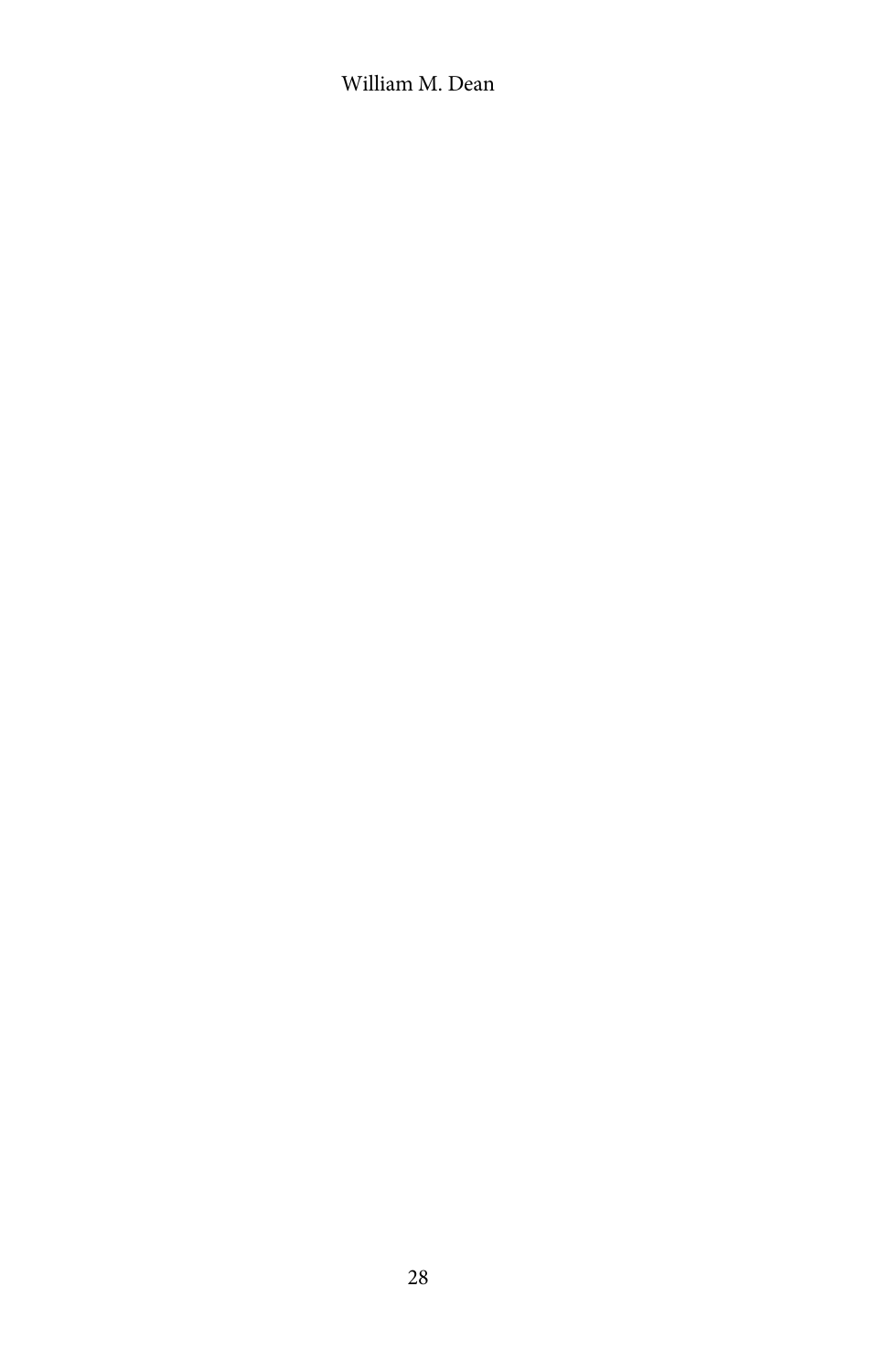## William M. Dean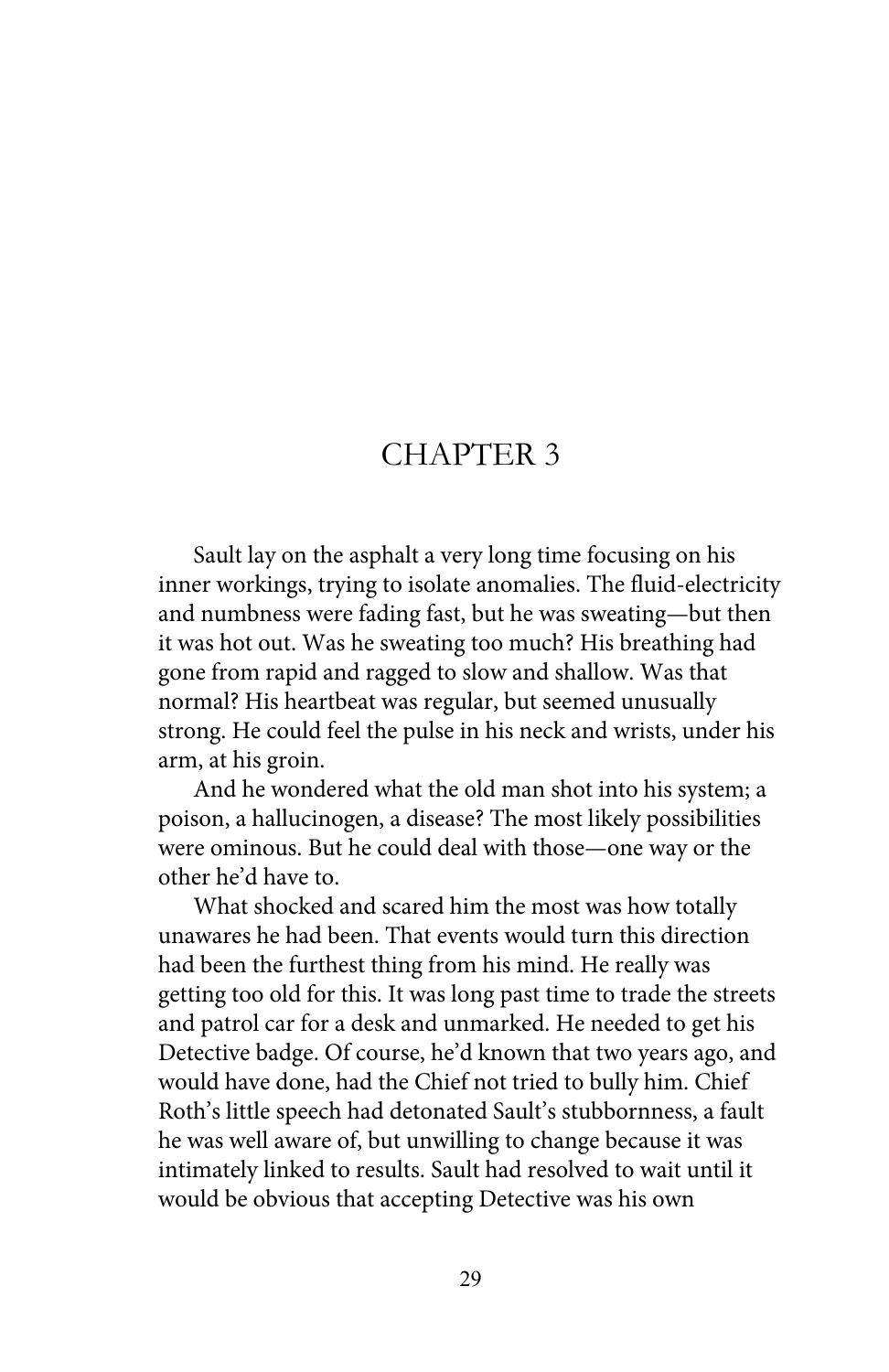## CHAPTER 3

Sault lay on the asphalt a very long time focusing on his inner workings, trying to isolate anomalies. The fluid-electricity and numbness were fading fast, but he was sweating—but then it was hot out. Was he sweating too much? His breathing had gone from rapid and ragged to slow and shallow. Was that normal? His heartbeat was regular, but seemed unusually strong. He could feel the pulse in his neck and wrists, under his arm, at his groin.

And he wondered what the old man shot into his system; a poison, a hallucinogen, a disease? The most likely possibilities were ominous. But he could deal with those—one way or the other he'd have to.

What shocked and scared him the most was how totally unawares he had been. That events would turn this direction had been the furthest thing from his mind. He really was getting too old for this. It was long past time to trade the streets and patrol car for a desk and unmarked. He needed to get his Detective badge. Of course, he'd known that two years ago, and would have done, had the Chief not tried to bully him. Chief Roth's little speech had detonated Sault's stubbornness, a fault he was well aware of, but unwilling to change because it was intimately linked to results. Sault had resolved to wait until it would be obvious that accepting Detective was his own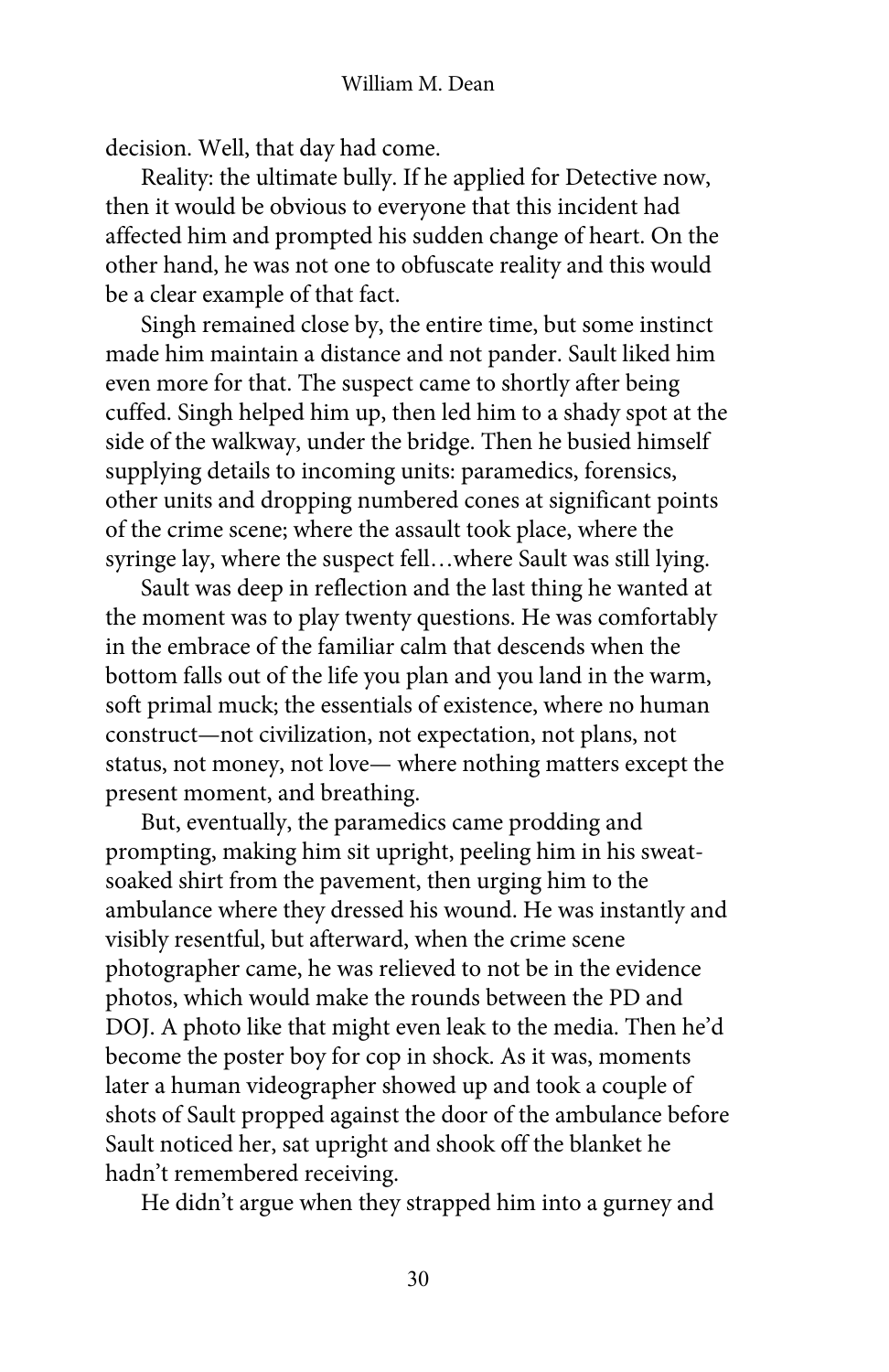decision. Well, that day had come.

Reality: the ultimate bully. If he applied for Detective now, then it would be obvious to everyone that this incident had affected him and prompted his sudden change of heart. On the other hand, he was not one to obfuscate reality and this would be a clear example of that fact.

Singh remained close by, the entire time, but some instinct made him maintain a distance and not pander. Sault liked him even more for that. The suspect came to shortly after being cuffed. Singh helped him up, then led him to a shady spot at the side of the walkway, under the bridge. Then he busied himself supplying details to incoming units: paramedics, forensics, other units and dropping numbered cones at significant points of the crime scene; where the assault took place, where the syringe lay, where the suspect fell…where Sault was still lying.

Sault was deep in reflection and the last thing he wanted at the moment was to play twenty questions. He was comfortably in the embrace of the familiar calm that descends when the bottom falls out of the life you plan and you land in the warm, soft primal muck; the essentials of existence, where no human construct—not civilization, not expectation, not plans, not status, not money, not love— where nothing matters except the present moment, and breathing.

But, eventually, the paramedics came prodding and prompting, making him sit upright, peeling him in his sweatsoaked shirt from the pavement, then urging him to the ambulance where they dressed his wound. He was instantly and visibly resentful, but afterward, when the crime scene photographer came, he was relieved to not be in the evidence photos, which would make the rounds between the PD and DOJ. A photo like that might even leak to the media. Then he'd become the poster boy for cop in shock. As it was, moments later a human videographer showed up and took a couple of shots of Sault propped against the door of the ambulance before Sault noticed her, sat upright and shook off the blanket he hadn't remembered receiving.

He didn't argue when they strapped him into a gurney and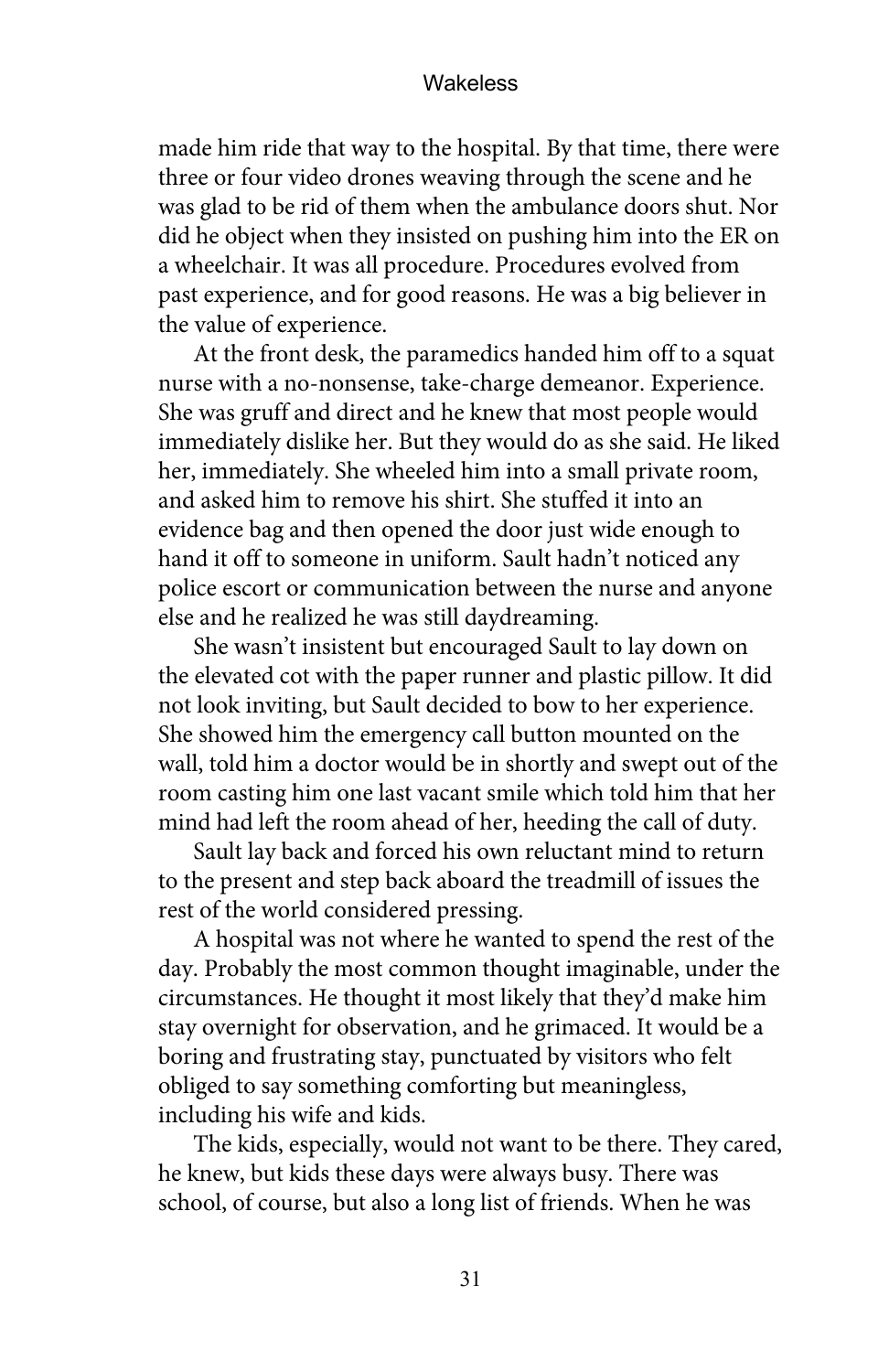made him ride that way to the hospital. By that time, there were three or four video drones weaving through the scene and he was glad to be rid of them when the ambulance doors shut. Nor did he object when they insisted on pushing him into the ER on a wheelchair. It was all procedure. Procedures evolved from past experience, and for good reasons. He was a big believer in the value of experience.

At the front desk, the paramedics handed him off to a squat nurse with a no-nonsense, take-charge demeanor. Experience. She was gruff and direct and he knew that most people would immediately dislike her. But they would do as she said. He liked her, immediately. She wheeled him into a small private room, and asked him to remove his shirt. She stuffed it into an evidence bag and then opened the door just wide enough to hand it off to someone in uniform. Sault hadn't noticed any police escort or communication between the nurse and anyone else and he realized he was still daydreaming.

She wasn't insistent but encouraged Sault to lay down on the elevated cot with the paper runner and plastic pillow. It did not look inviting, but Sault decided to bow to her experience. She showed him the emergency call button mounted on the wall, told him a doctor would be in shortly and swept out of the room casting him one last vacant smile which told him that her mind had left the room ahead of her, heeding the call of duty.

Sault lay back and forced his own reluctant mind to return to the present and step back aboard the treadmill of issues the rest of the world considered pressing.

A hospital was not where he wanted to spend the rest of the day. Probably the most common thought imaginable, under the circumstances. He thought it most likely that they'd make him stay overnight for observation, and he grimaced. It would be a boring and frustrating stay, punctuated by visitors who felt obliged to say something comforting but meaningless, including his wife and kids.

The kids, especially, would not want to be there. They cared, he knew, but kids these days were always busy. There was school, of course, but also a long list of friends. When he was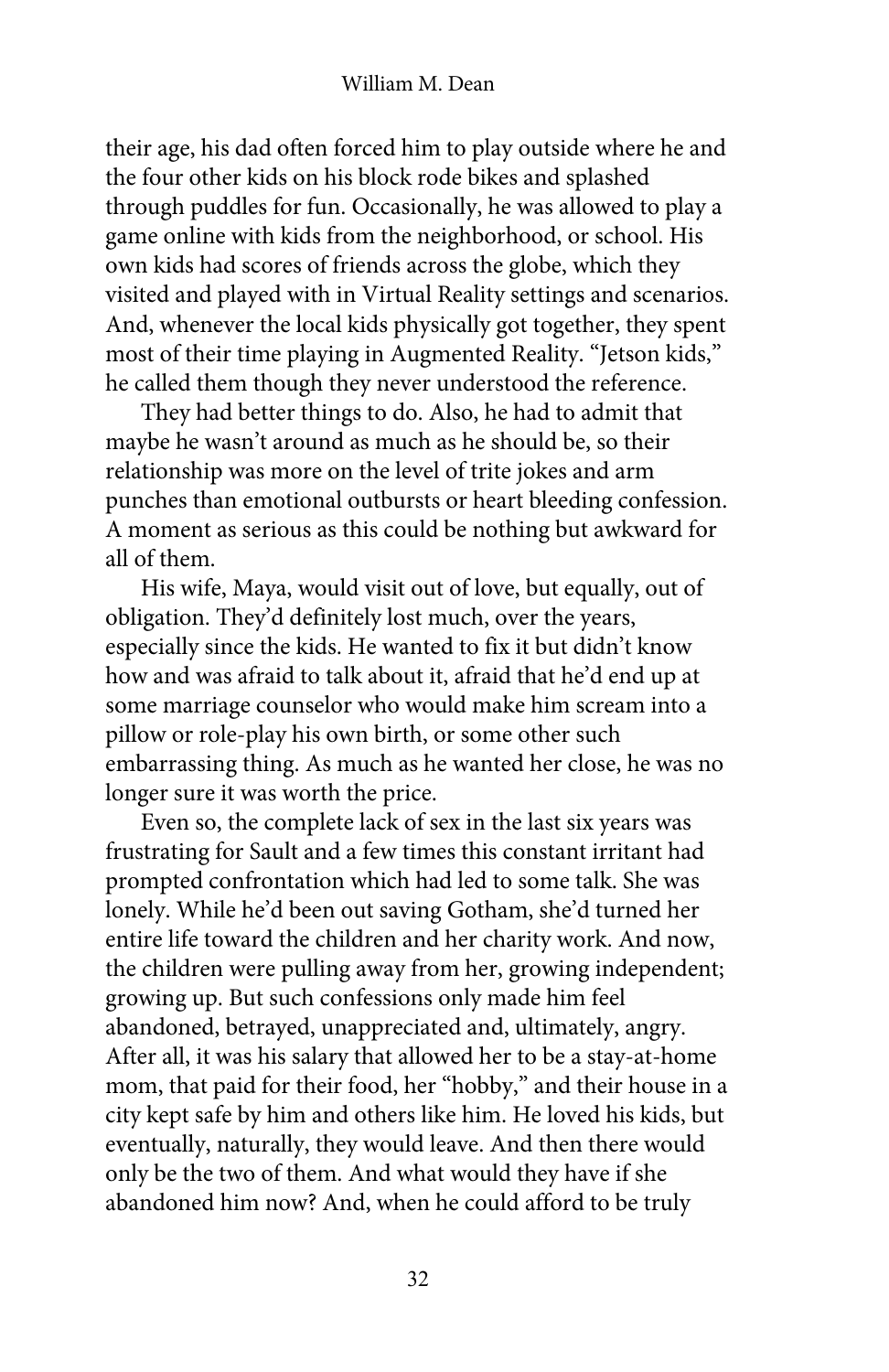#### William M. Dean

their age, his dad often forced him to play outside where he and the four other kids on his block rode bikes and splashed through puddles for fun. Occasionally, he was allowed to play a game online with kids from the neighborhood, or school. His own kids had scores of friends across the globe, which they visited and played with in Virtual Reality settings and scenarios. And, whenever the local kids physically got together, they spent most of their time playing in Augmented Reality. "Jetson kids," he called them though they never understood the reference.

They had better things to do. Also, he had to admit that maybe he wasn't around as much as he should be, so their relationship was more on the level of trite jokes and arm punches than emotional outbursts or heart bleeding confession. A moment as serious as this could be nothing but awkward for all of them.

His wife, Maya, would visit out of love, but equally, out of obligation. They'd definitely lost much, over the years, especially since the kids. He wanted to fix it but didn't know how and was afraid to talk about it, afraid that he'd end up at some marriage counselor who would make him scream into a pillow or role-play his own birth, or some other such embarrassing thing. As much as he wanted her close, he was no longer sure it was worth the price.

Even so, the complete lack of sex in the last six years was frustrating for Sault and a few times this constant irritant had prompted confrontation which had led to some talk. She was lonely. While he'd been out saving Gotham, she'd turned her entire life toward the children and her charity work. And now, the children were pulling away from her, growing independent; growing up. But such confessions only made him feel abandoned, betrayed, unappreciated and, ultimately, angry. After all, it was his salary that allowed her to be a stay-at-home mom, that paid for their food, her "hobby," and their house in a city kept safe by him and others like him. He loved his kids, but eventually, naturally, they would leave. And then there would only be the two of them. And what would they have if she abandoned him now? And, when he could afford to be truly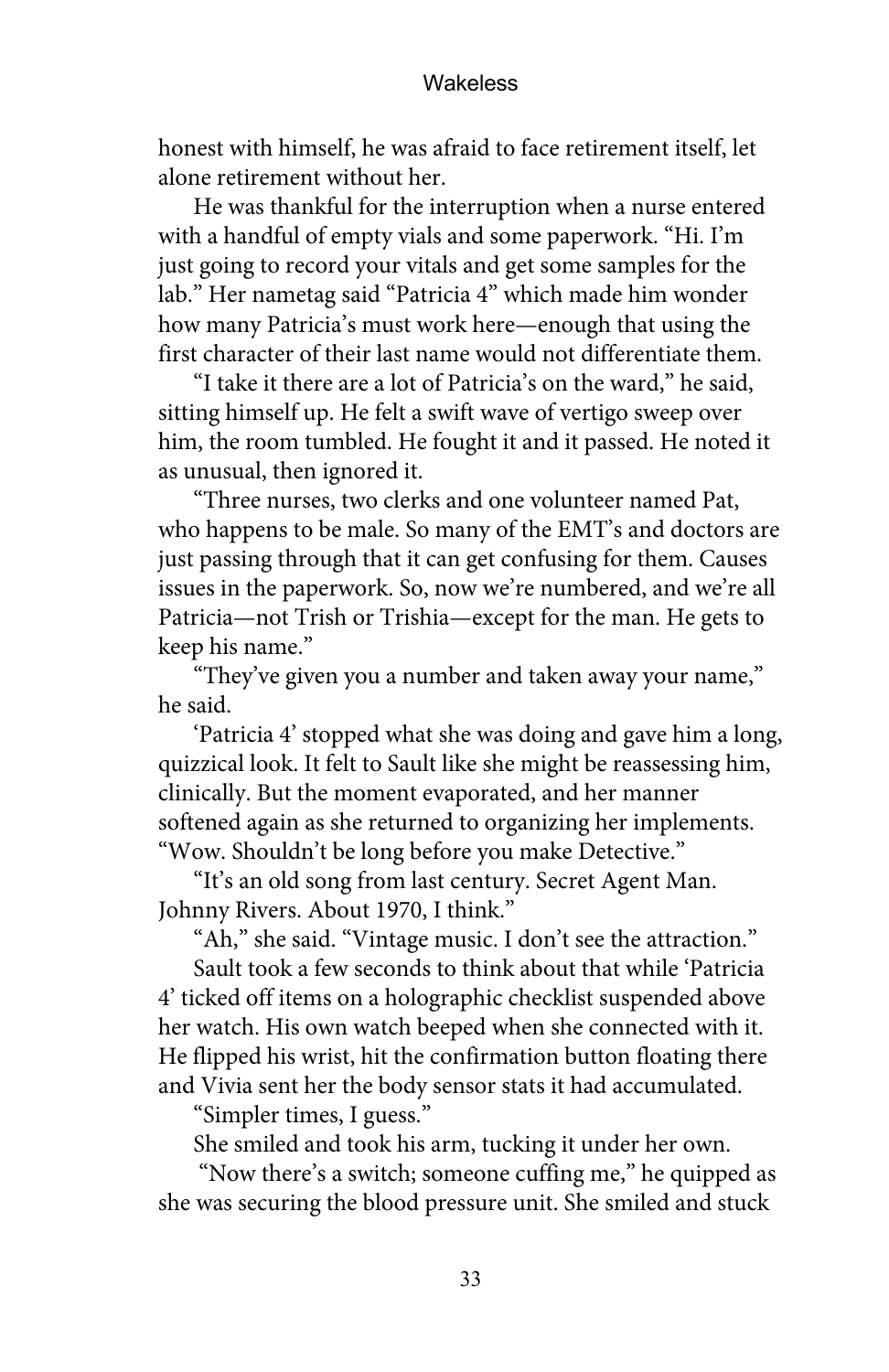honest with himself, he was afraid to face retirement itself, let alone retirement without her.

He was thankful for the interruption when a nurse entered with a handful of empty vials and some paperwork. "Hi. I'm just going to record your vitals and get some samples for the lab." Her nametag said "Patricia 4" which made him wonder how many Patricia's must work here—enough that using the first character of their last name would not differentiate them.

"I take it there are a lot of Patricia's on the ward," he said, sitting himself up. He felt a swift wave of vertigo sweep over him, the room tumbled. He fought it and it passed. He noted it as unusual, then ignored it.

"Three nurses, two clerks and one volunteer named Pat, who happens to be male. So many of the EMT's and doctors are just passing through that it can get confusing for them. Causes issues in the paperwork. So, now we're numbered, and we're all Patricia—not Trish or Trishia—except for the man. He gets to keep his name."

"They've given you a number and taken away your name," he said.

'Patricia 4' stopped what she was doing and gave him a long, quizzical look. It felt to Sault like she might be reassessing him, clinically. But the moment evaporated, and her manner softened again as she returned to organizing her implements. "Wow. Shouldn't be long before you make Detective."

"It's an old song from last century. Secret Agent Man. Johnny Rivers. About 1970, I think."

"Ah," she said. "Vintage music. I don't see the attraction."

Sault took a few seconds to think about that while 'Patricia 4' ticked off items on a holographic checklist suspended above her watch. His own watch beeped when she connected with it. He flipped his wrist, hit the confirmation button floating there and Vivia sent her the body sensor stats it had accumulated.

"Simpler times, I guess."

She smiled and took his arm, tucking it under her own.

"Now there's a switch; someone cuffing me," he quipped as she was securing the blood pressure unit. She smiled and stuck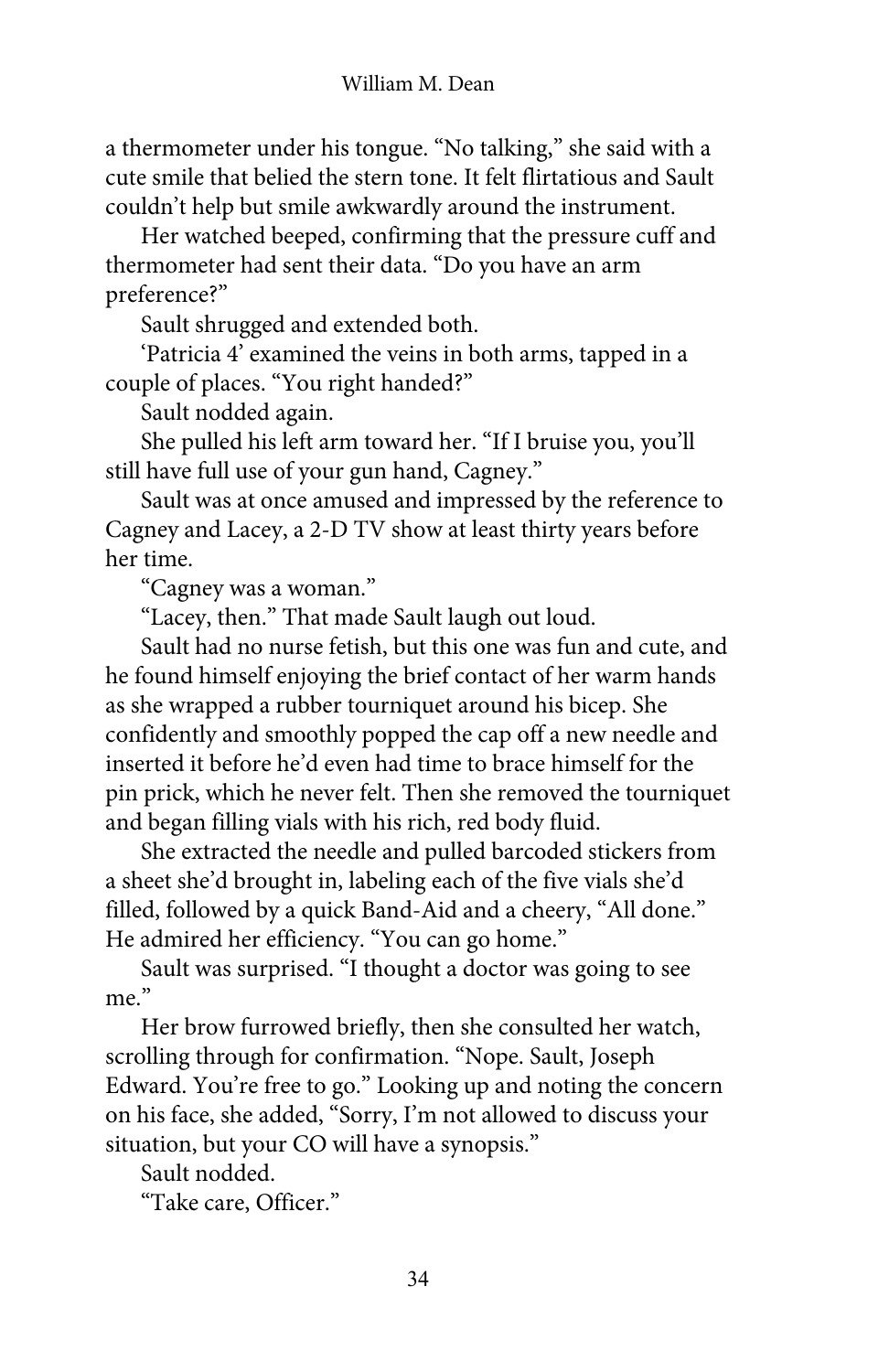a thermometer under his tongue. "No talking," she said with a cute smile that belied the stern tone. It felt flirtatious and Sault couldn't help but smile awkwardly around the instrument.

Her watched beeped, confirming that the pressure cuff and thermometer had sent their data. "Do you have an arm preference?"

Sault shrugged and extended both.

'Patricia 4' examined the veins in both arms, tapped in a couple of places. "You right handed?"

Sault nodded again.

She pulled his left arm toward her. "If I bruise you, you'll still have full use of your gun hand, Cagney."

Sault was at once amused and impressed by the reference to Cagney and Lacey, a 2-D TV show at least thirty years before her time.

"Cagney was a woman."

"Lacey, then." That made Sault laugh out loud.

Sault had no nurse fetish, but this one was fun and cute, and he found himself enjoying the brief contact of her warm hands as she wrapped a rubber tourniquet around his bicep. She confidently and smoothly popped the cap off a new needle and inserted it before he'd even had time to brace himself for the pin prick, which he never felt. Then she removed the tourniquet and began filling vials with his rich, red body fluid.

She extracted the needle and pulled barcoded stickers from a sheet she'd brought in, labeling each of the five vials she'd filled, followed by a quick Band-Aid and a cheery, "All done." He admired her efficiency. "You can go home."

Sault was surprised. "I thought a doctor was going to see me."

Her brow furrowed briefly, then she consulted her watch, scrolling through for confirmation. "Nope. Sault, Joseph Edward. You're free to go." Looking up and noting the concern on his face, she added, "Sorry, I'm not allowed to discuss your situation, but your CO will have a synopsis."

Sault nodded.

"Take care, Officer."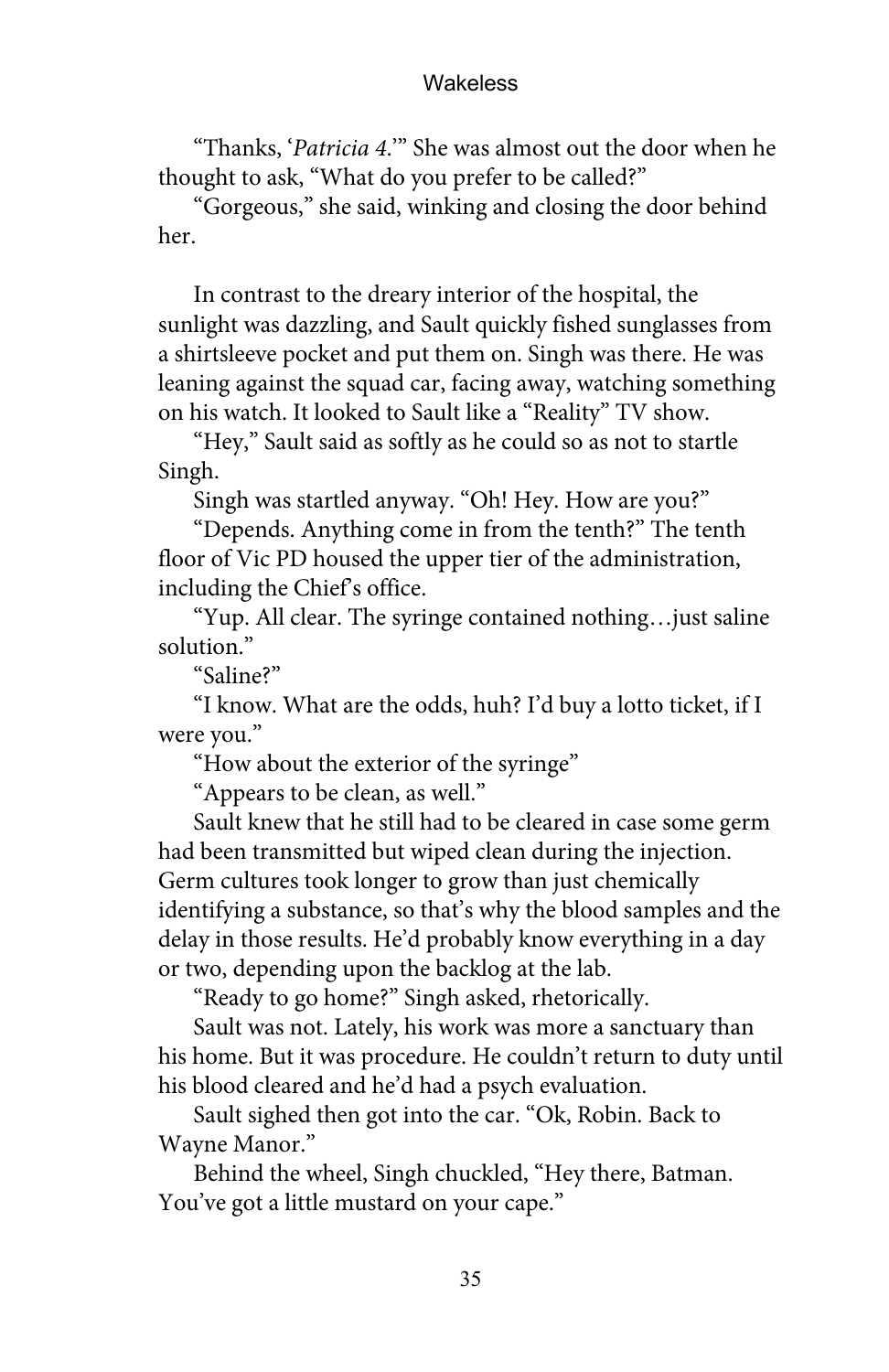"Thanks, '*Patricia 4*.'" She was almost out the door when he thought to ask, "What do you prefer to be called?"

"Gorgeous," she said, winking and closing the door behind her.

In contrast to the dreary interior of the hospital, the sunlight was dazzling, and Sault quickly fished sunglasses from a shirtsleeve pocket and put them on. Singh was there. He was leaning against the squad car, facing away, watching something on his watch. It looked to Sault like a "Reality" TV show.

"Hey," Sault said as softly as he could so as not to startle Singh.

Singh was startled anyway. "Oh! Hey. How are you?"

"Depends. Anything come in from the tenth?" The tenth floor of Vic PD housed the upper tier of the administration, including the Chief's office.

"Yup. All clear. The syringe contained nothing…just saline solution."

"Saline?"

"I know. What are the odds, huh? I'd buy a lotto ticket, if I were you."

"How about the exterior of the syringe"

"Appears to be clean, as well."

Sault knew that he still had to be cleared in case some germ had been transmitted but wiped clean during the injection. Germ cultures took longer to grow than just chemically identifying a substance, so that's why the blood samples and the delay in those results. He'd probably know everything in a day or two, depending upon the backlog at the lab.

"Ready to go home?" Singh asked, rhetorically.

Sault was not. Lately, his work was more a sanctuary than his home. But it was procedure. He couldn't return to duty until his blood cleared and he'd had a psych evaluation.

Sault sighed then got into the car. "Ok, Robin. Back to Wayne Manor."

Behind the wheel, Singh chuckled, "Hey there, Batman. You've got a little mustard on your cape."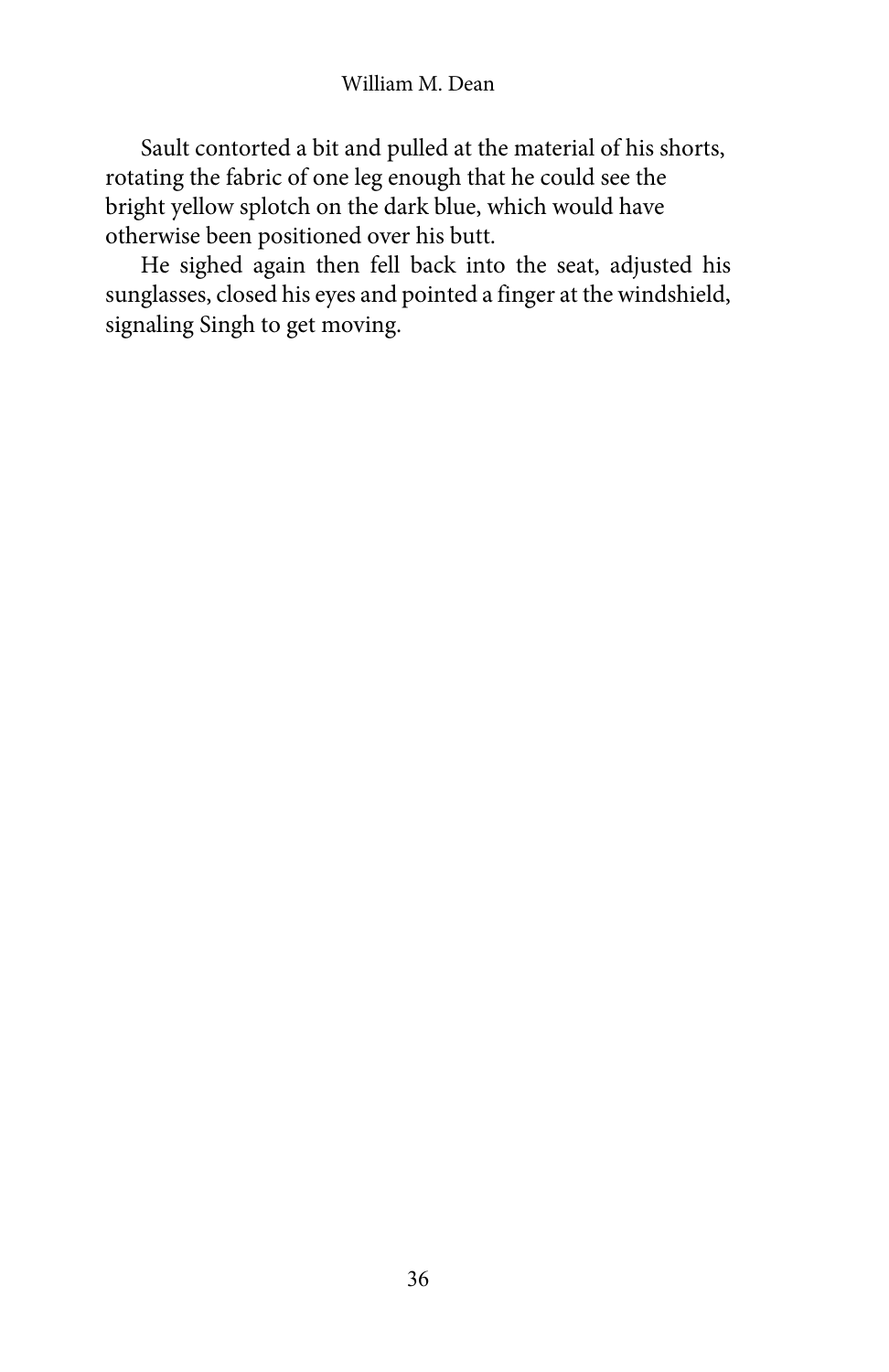Sault contorted a bit and pulled at the material of his shorts, rotating the fabric of one leg enough that he could see the bright yellow splotch on the dark blue, which would have otherwise been positioned over his butt.

He sighed again then fell back into the seat, adjusted his sunglasses, closed his eyes and pointed a finger at the windshield, signaling Singh to get moving.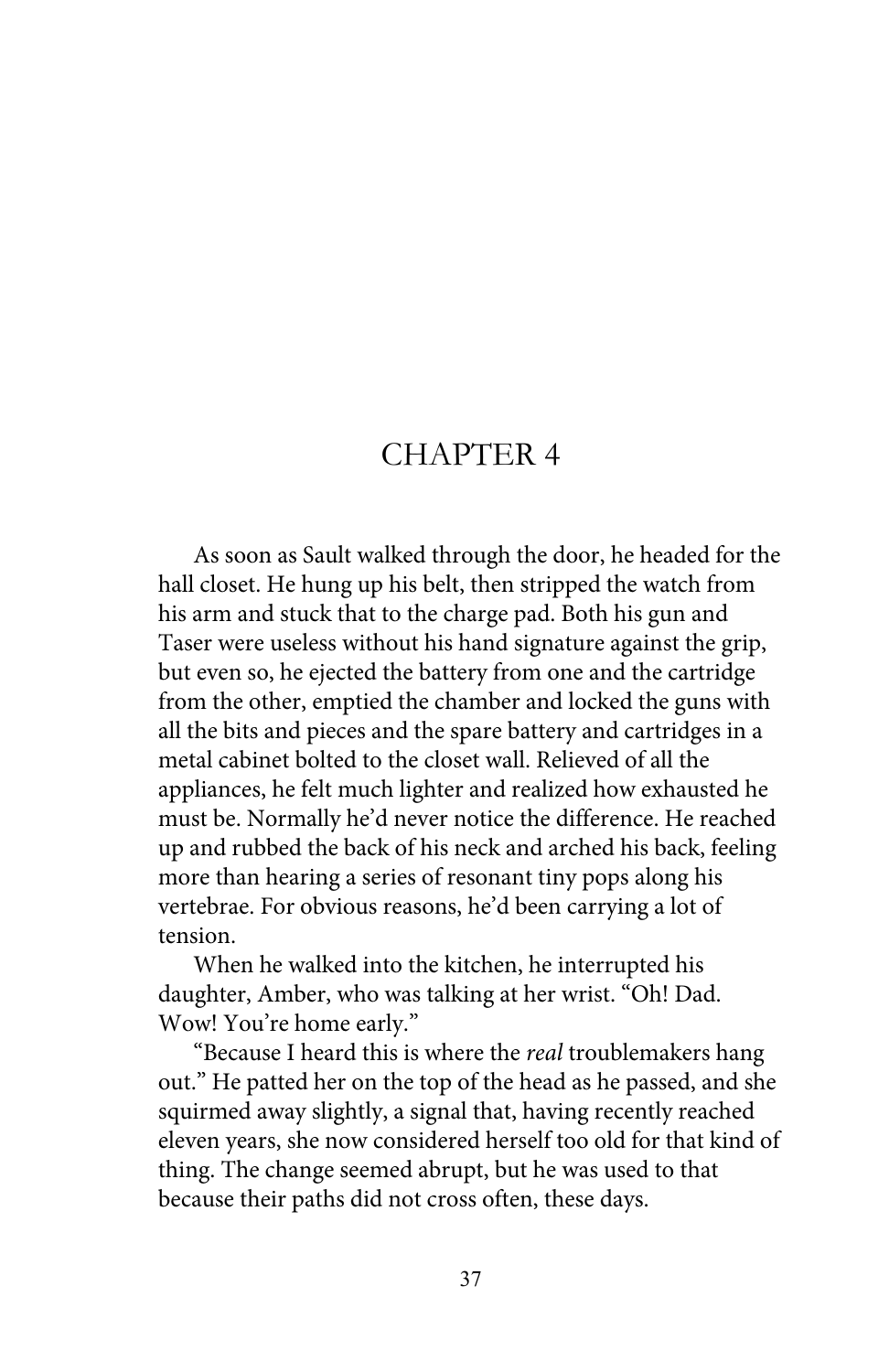## CHAPTER 4

As soon as Sault walked through the door, he headed for the hall closet. He hung up his belt, then stripped the watch from his arm and stuck that to the charge pad. Both his gun and Taser were useless without his hand signature against the grip, but even so, he ejected the battery from one and the cartridge from the other, emptied the chamber and locked the guns with all the bits and pieces and the spare battery and cartridges in a metal cabinet bolted to the closet wall. Relieved of all the appliances, he felt much lighter and realized how exhausted he must be. Normally he'd never notice the difference. He reached up and rubbed the back of his neck and arched his back, feeling more than hearing a series of resonant tiny pops along his vertebrae. For obvious reasons, he'd been carrying a lot of tension.

When he walked into the kitchen, he interrupted his daughter, Amber, who was talking at her wrist. "Oh! Dad. Wow! You're home early."

"Because I heard this is where the *real* troublemakers hang out." He patted her on the top of the head as he passed, and she squirmed away slightly, a signal that, having recently reached eleven years, she now considered herself too old for that kind of thing. The change seemed abrupt, but he was used to that because their paths did not cross often, these days.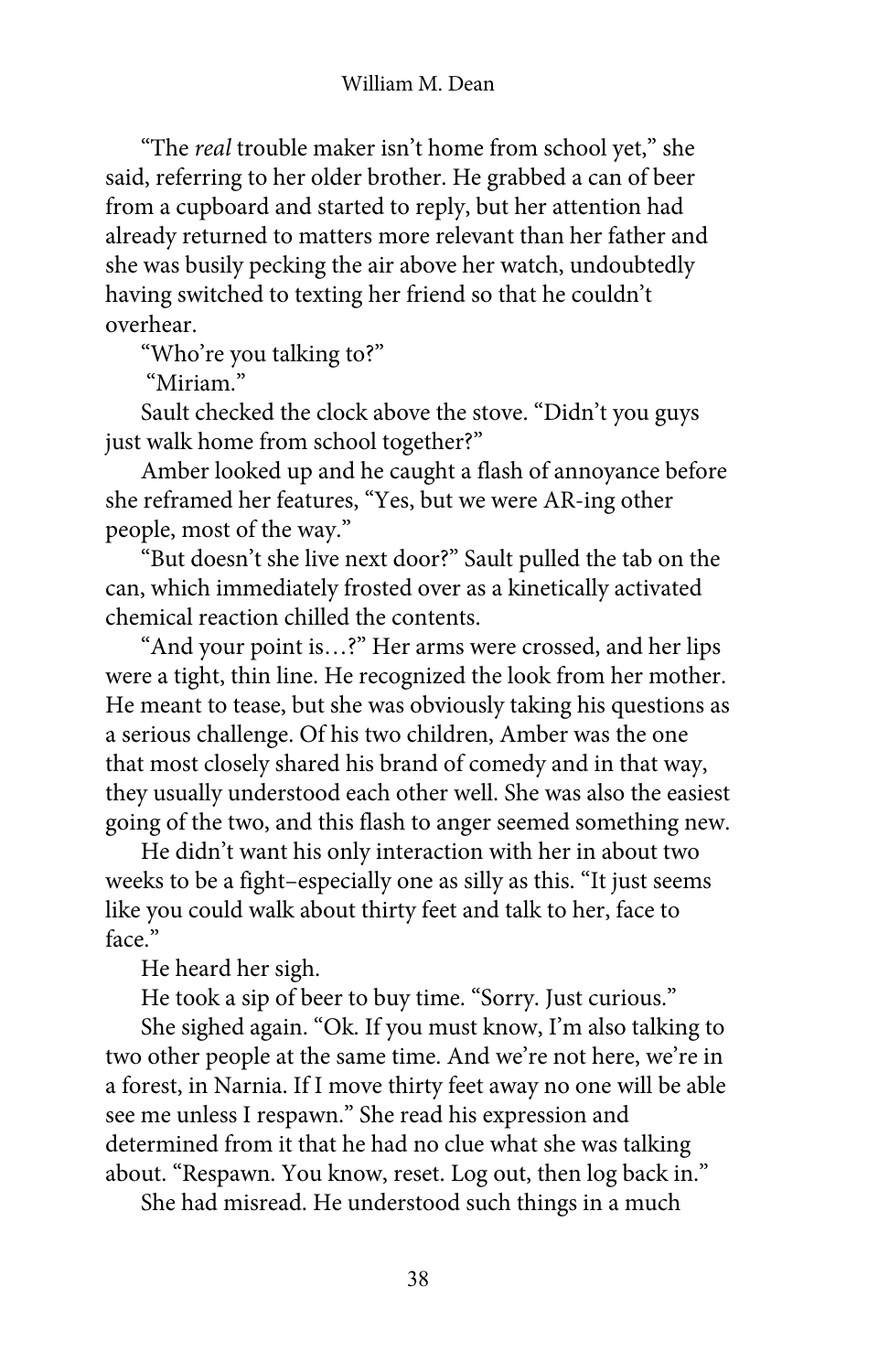"The *real* trouble maker isn't home from school yet," she said, referring to her older brother. He grabbed a can of beer from a cupboard and started to reply, but her attention had already returned to matters more relevant than her father and she was busily pecking the air above her watch, undoubtedly having switched to texting her friend so that he couldn't overhear.

"Who're you talking to?"

"Miriam."

Sault checked the clock above the stove. "Didn't you guys just walk home from school together?"

Amber looked up and he caught a flash of annoyance before she reframed her features, "Yes, but we were AR-ing other people, most of the way."

"But doesn't she live next door?" Sault pulled the tab on the can, which immediately frosted over as a kinetically activated chemical reaction chilled the contents.

"And your point is…?" Her arms were crossed, and her lips were a tight, thin line. He recognized the look from her mother. He meant to tease, but she was obviously taking his questions as a serious challenge. Of his two children, Amber was the one that most closely shared his brand of comedy and in that way, they usually understood each other well. She was also the easiest going of the two, and this flash to anger seemed something new.

He didn't want his only interaction with her in about two weeks to be a fight–especially one as silly as this. "It just seems like you could walk about thirty feet and talk to her, face to face."

He heard her sigh.

He took a sip of beer to buy time. "Sorry. Just curious."

She sighed again. "Ok. If you must know, I'm also talking to two other people at the same time. And we're not here, we're in a forest, in Narnia. If I move thirty feet away no one will be able see me unless I respawn." She read his expression and determined from it that he had no clue what she was talking about. "Respawn. You know, reset. Log out, then log back in."

She had misread. He understood such things in a much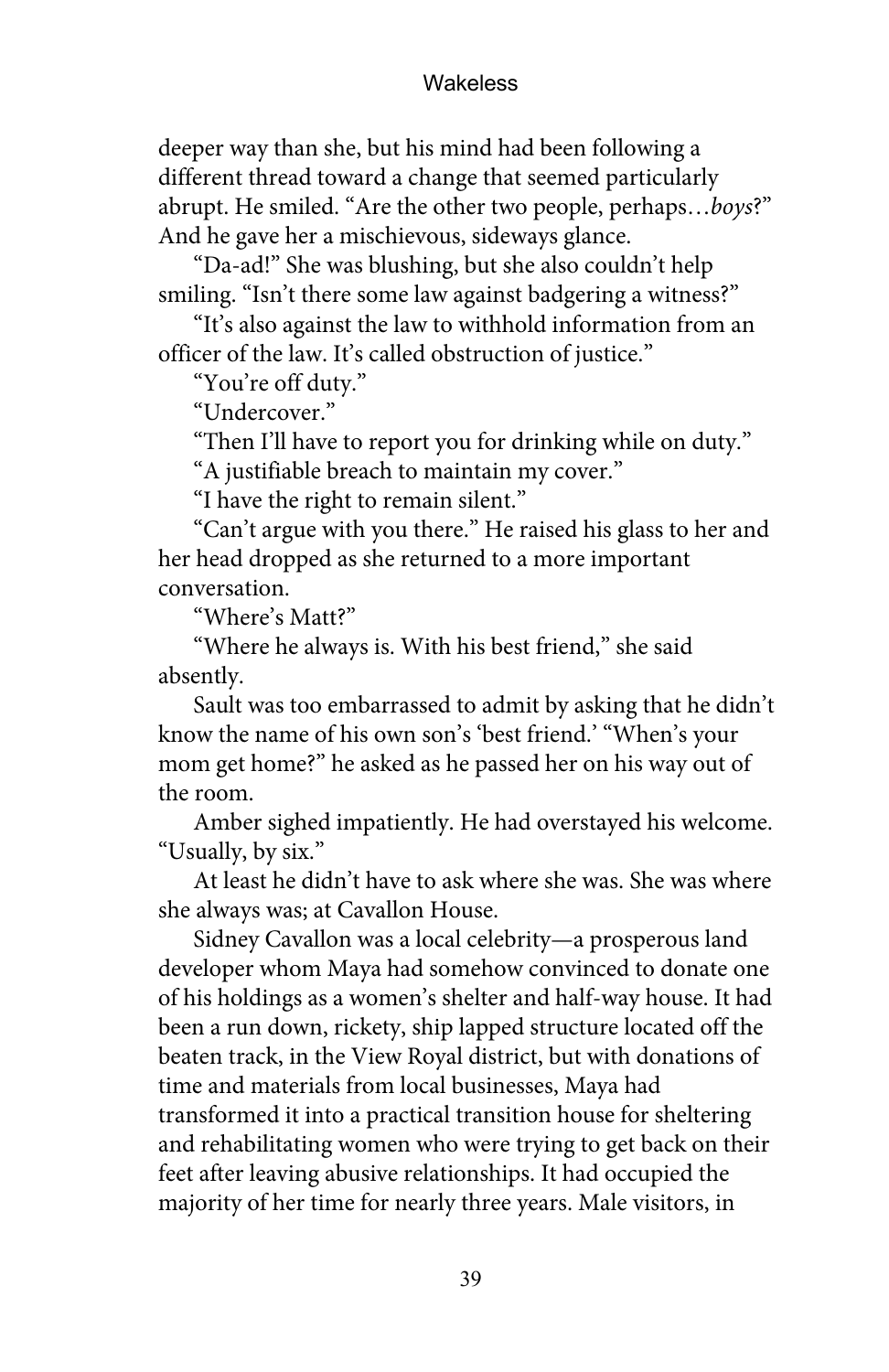deeper way than she, but his mind had been following a different thread toward a change that seemed particularly abrupt. He smiled. "Are the other two people, perhaps…*boys*?" And he gave her a mischievous, sideways glance.

"Da-ad!" She was blushing, but she also couldn't help smiling. "Isn't there some law against badgering a witness?"

"It's also against the law to withhold information from an officer of the law. It's called obstruction of justice."

"You're off duty."

"Undercover."

"Then I'll have to report you for drinking while on duty."

"A justifiable breach to maintain my cover."

"I have the right to remain silent."

"Can't argue with you there." He raised his glass to her and her head dropped as she returned to a more important conversation.

"Where's Matt?"

"Where he always is. With his best friend," she said absently.

Sault was too embarrassed to admit by asking that he didn't know the name of his own son's 'best friend.' "When's your mom get home?" he asked as he passed her on his way out of the room.

Amber sighed impatiently. He had overstayed his welcome. "Usually, by six."

At least he didn't have to ask where she was. She was where she always was; at Cavallon House.

Sidney Cavallon was a local celebrity—a prosperous land developer whom Maya had somehow convinced to donate one of his holdings as a women's shelter and half-way house. It had been a run down, rickety, ship lapped structure located off the beaten track, in the View Royal district, but with donations of time and materials from local businesses, Maya had transformed it into a practical transition house for sheltering and rehabilitating women who were trying to get back on their feet after leaving abusive relationships. It had occupied the majority of her time for nearly three years. Male visitors, in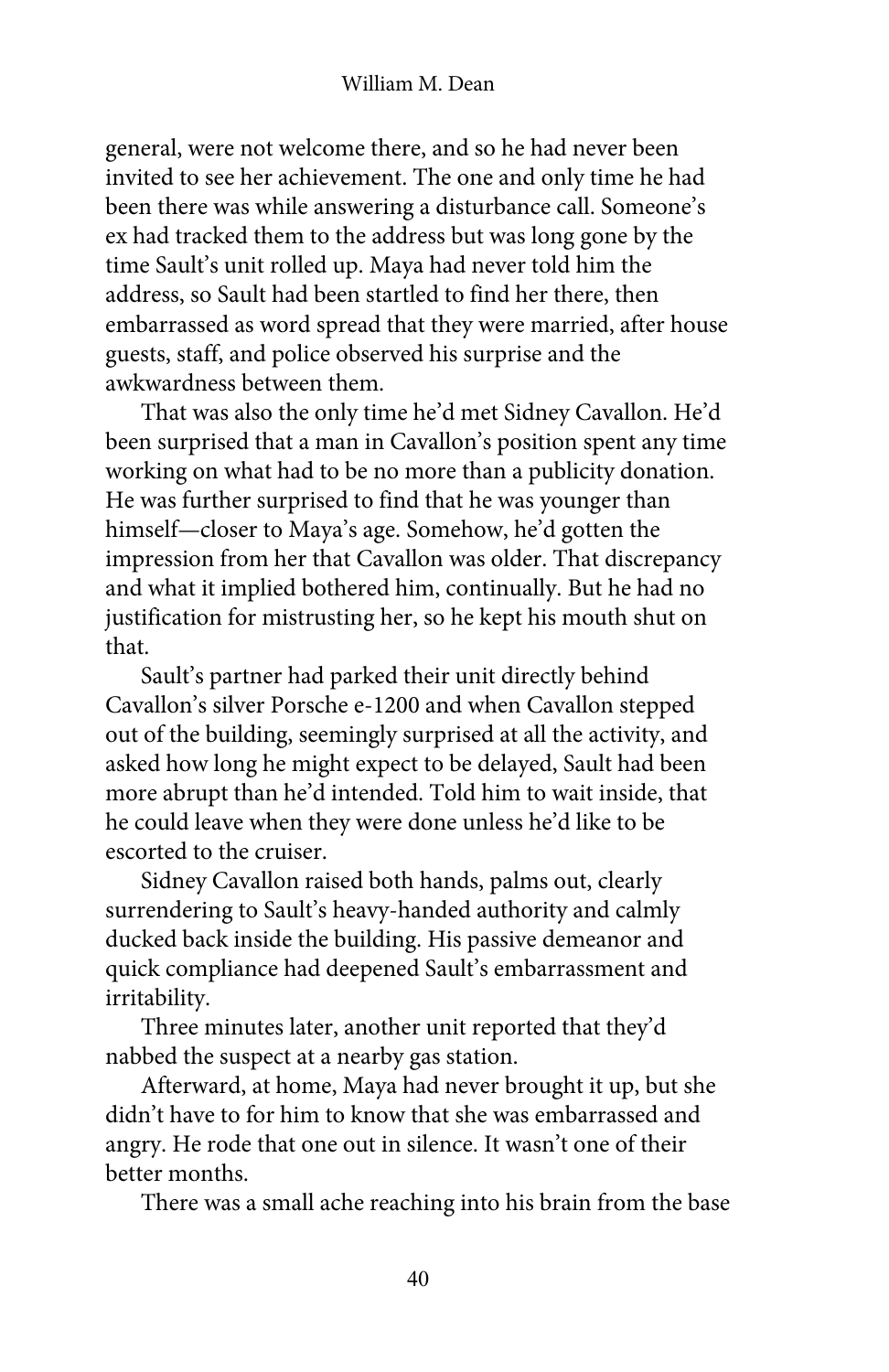#### William M. Dean

general, were not welcome there, and so he had never been invited to see her achievement. The one and only time he had been there was while answering a disturbance call. Someone's ex had tracked them to the address but was long gone by the time Sault's unit rolled up. Maya had never told him the address, so Sault had been startled to find her there, then embarrassed as word spread that they were married, after house guests, staff, and police observed his surprise and the awkwardness between them.

That was also the only time he'd met Sidney Cavallon. He'd been surprised that a man in Cavallon's position spent any time working on what had to be no more than a publicity donation. He was further surprised to find that he was younger than himself—closer to Maya's age. Somehow, he'd gotten the impression from her that Cavallon was older. That discrepancy and what it implied bothered him, continually. But he had no justification for mistrusting her, so he kept his mouth shut on that.

Sault's partner had parked their unit directly behind Cavallon's silver Porsche e-1200 and when Cavallon stepped out of the building, seemingly surprised at all the activity, and asked how long he might expect to be delayed, Sault had been more abrupt than he'd intended. Told him to wait inside, that he could leave when they were done unless he'd like to be escorted to the cruiser.

Sidney Cavallon raised both hands, palms out, clearly surrendering to Sault's heavy-handed authority and calmly ducked back inside the building. His passive demeanor and quick compliance had deepened Sault's embarrassment and irritability.

Three minutes later, another unit reported that they'd nabbed the suspect at a nearby gas station.

Afterward, at home, Maya had never brought it up, but she didn't have to for him to know that she was embarrassed and angry. He rode that one out in silence. It wasn't one of their better months.

There was a small ache reaching into his brain from the base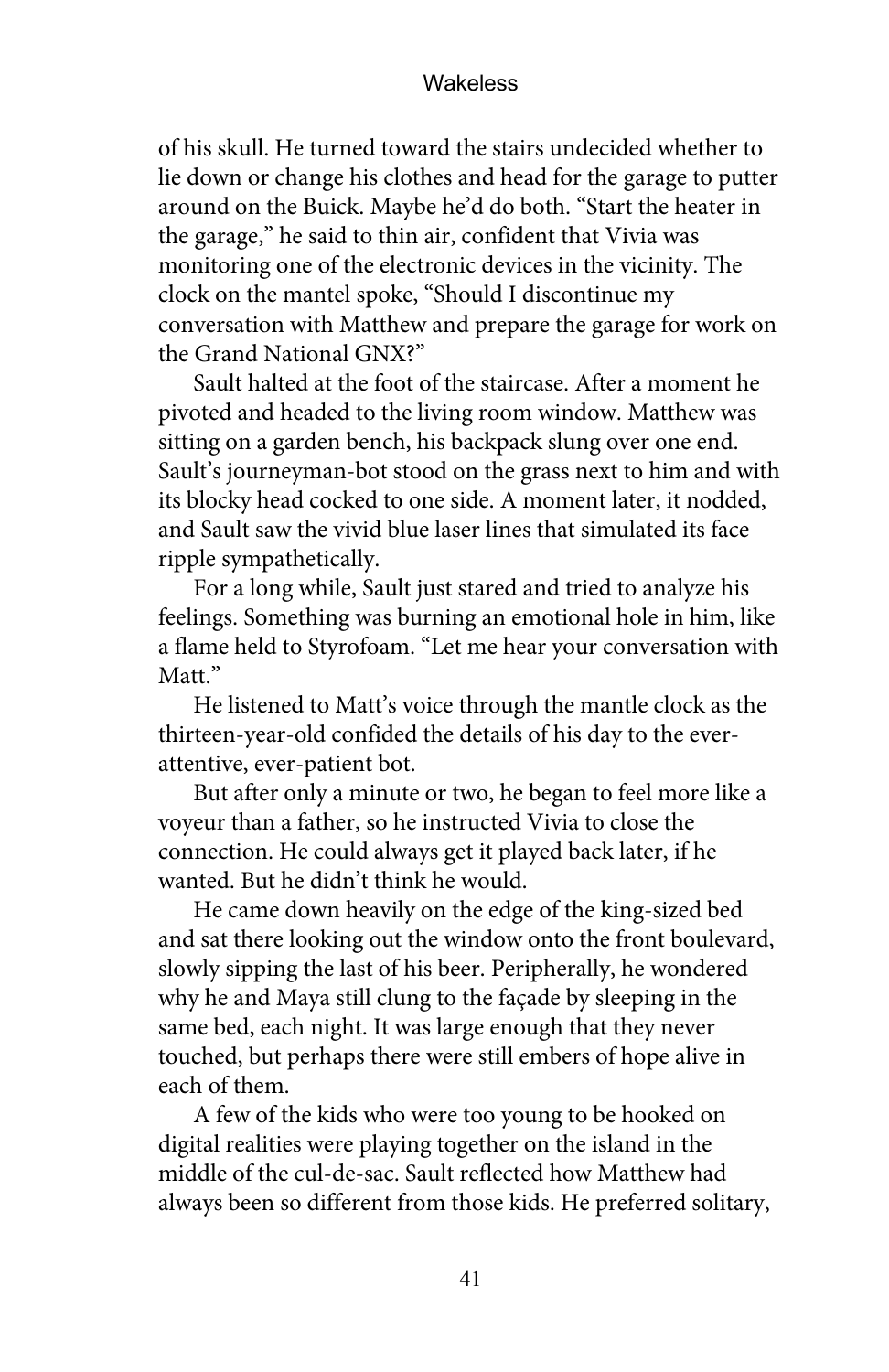of his skull. He turned toward the stairs undecided whether to lie down or change his clothes and head for the garage to putter around on the Buick. Maybe he'd do both. "Start the heater in the garage," he said to thin air, confident that Vivia was monitoring one of the electronic devices in the vicinity. The clock on the mantel spoke, "Should I discontinue my conversation with Matthew and prepare the garage for work on the Grand National GNX?"

Sault halted at the foot of the staircase. After a moment he pivoted and headed to the living room window. Matthew was sitting on a garden bench, his backpack slung over one end. Sault's journeyman-bot stood on the grass next to him and with its blocky head cocked to one side. A moment later, it nodded, and Sault saw the vivid blue laser lines that simulated its face ripple sympathetically.

For a long while, Sault just stared and tried to analyze his feelings. Something was burning an emotional hole in him, like a flame held to Styrofoam. "Let me hear your conversation with Matt."

He listened to Matt's voice through the mantle clock as the thirteen-year-old confided the details of his day to the everattentive, ever-patient bot.

But after only a minute or two, he began to feel more like a voyeur than a father, so he instructed Vivia to close the connection. He could always get it played back later, if he wanted. But he didn't think he would.

He came down heavily on the edge of the king-sized bed and sat there looking out the window onto the front boulevard, slowly sipping the last of his beer. Peripherally, he wondered why he and Maya still clung to the façade by sleeping in the same bed, each night. It was large enough that they never touched, but perhaps there were still embers of hope alive in each of them.

A few of the kids who were too young to be hooked on digital realities were playing together on the island in the middle of the cul-de-sac. Sault reflected how Matthew had always been so different from those kids. He preferred solitary,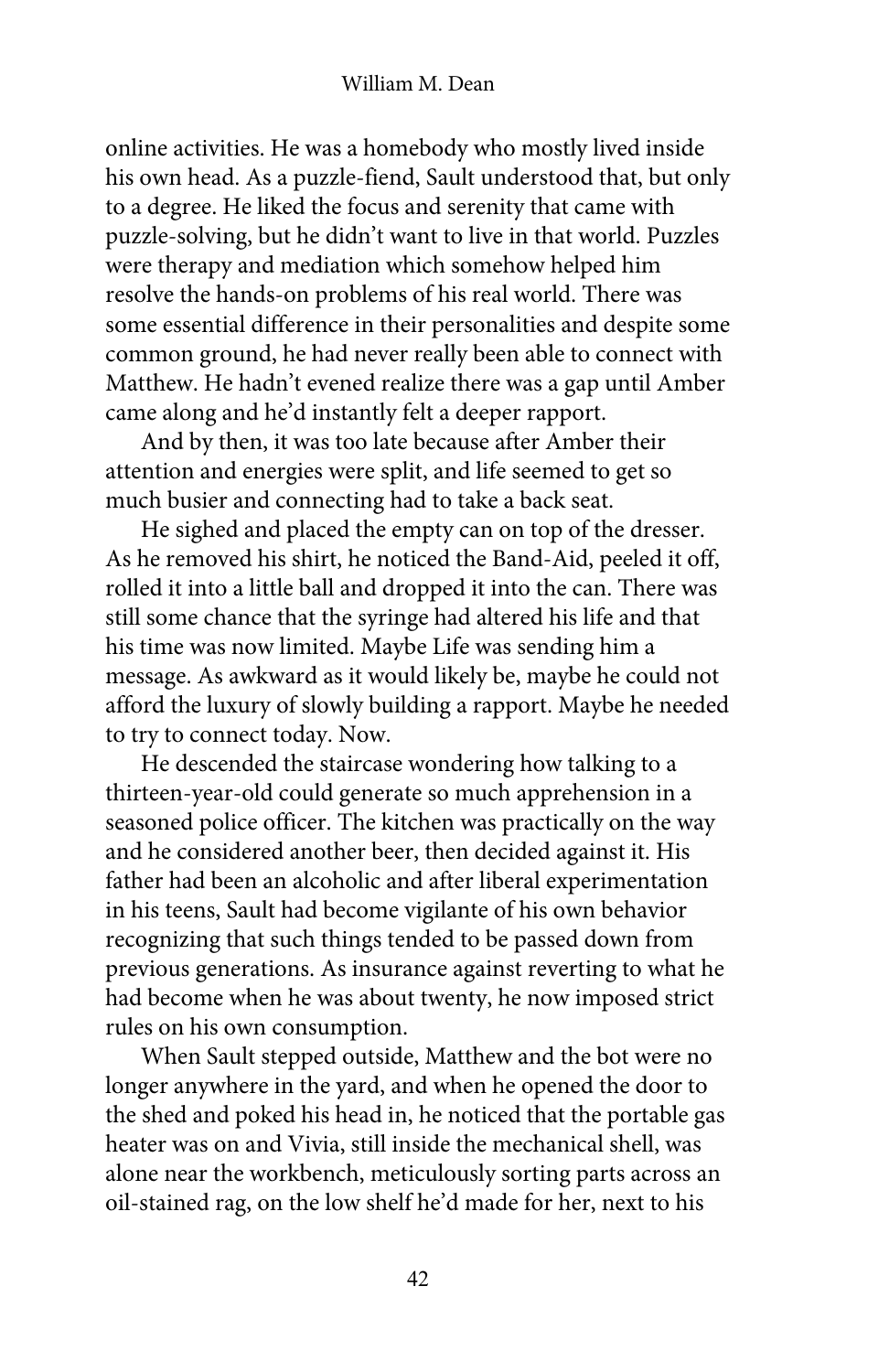online activities. He was a homebody who mostly lived inside his own head. As a puzzle-fiend, Sault understood that, but only to a degree. He liked the focus and serenity that came with puzzle-solving, but he didn't want to live in that world. Puzzles were therapy and mediation which somehow helped him resolve the hands-on problems of his real world. There was some essential difference in their personalities and despite some common ground, he had never really been able to connect with Matthew. He hadn't evened realize there was a gap until Amber came along and he'd instantly felt a deeper rapport.

And by then, it was too late because after Amber their attention and energies were split, and life seemed to get so much busier and connecting had to take a back seat.

He sighed and placed the empty can on top of the dresser. As he removed his shirt, he noticed the Band-Aid, peeled it off, rolled it into a little ball and dropped it into the can. There was still some chance that the syringe had altered his life and that his time was now limited. Maybe Life was sending him a message. As awkward as it would likely be, maybe he could not afford the luxury of slowly building a rapport. Maybe he needed to try to connect today. Now.

He descended the staircase wondering how talking to a thirteen-year-old could generate so much apprehension in a seasoned police officer. The kitchen was practically on the way and he considered another beer, then decided against it. His father had been an alcoholic and after liberal experimentation in his teens, Sault had become vigilante of his own behavior recognizing that such things tended to be passed down from previous generations. As insurance against reverting to what he had become when he was about twenty, he now imposed strict rules on his own consumption.

When Sault stepped outside, Matthew and the bot were no longer anywhere in the yard, and when he opened the door to the shed and poked his head in, he noticed that the portable gas heater was on and Vivia, still inside the mechanical shell, was alone near the workbench, meticulously sorting parts across an oil-stained rag, on the low shelf he'd made for her, next to his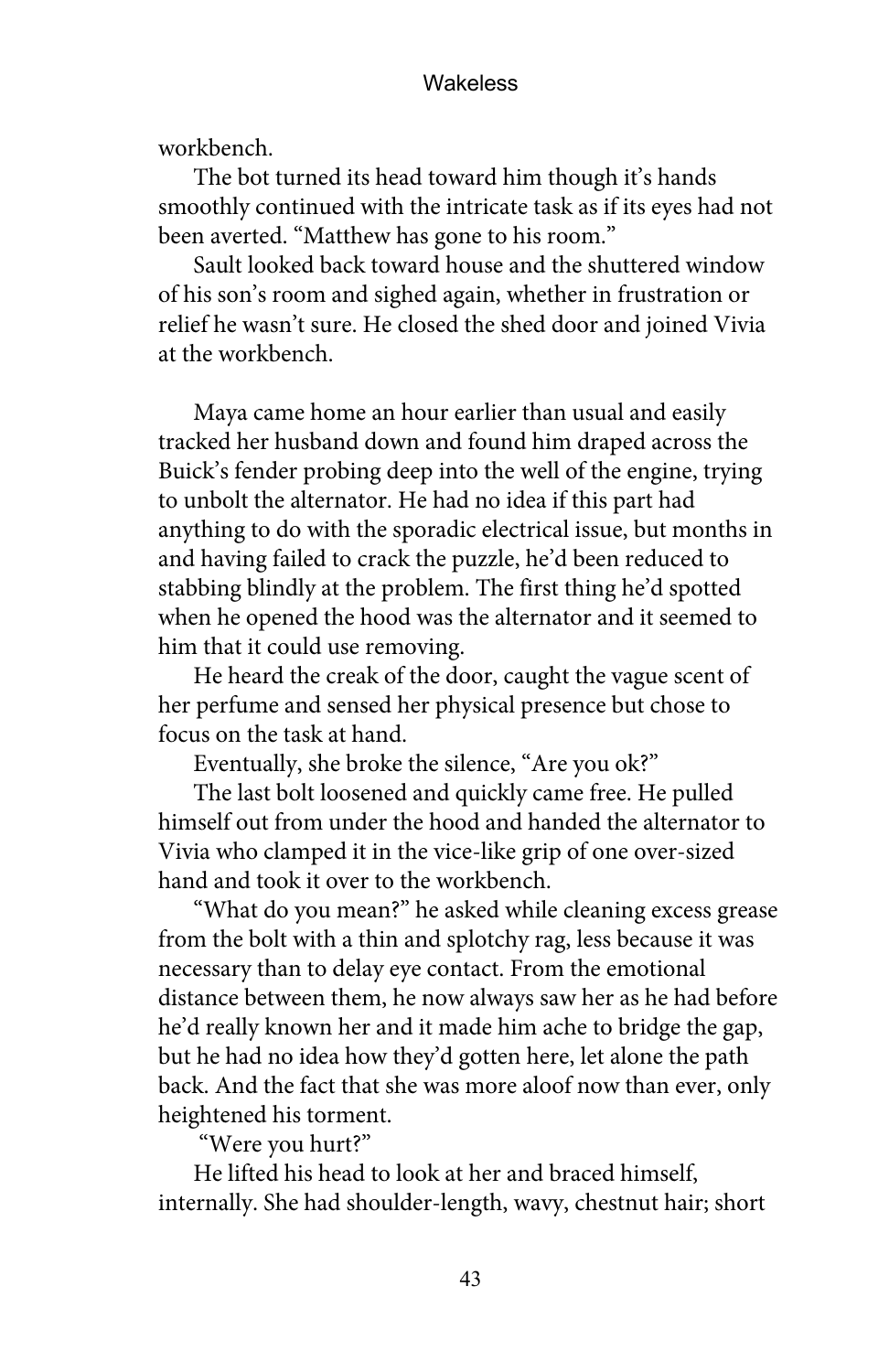workbench.

The bot turned its head toward him though it's hands smoothly continued with the intricate task as if its eyes had not been averted. "Matthew has gone to his room."

Sault looked back toward house and the shuttered window of his son's room and sighed again, whether in frustration or relief he wasn't sure. He closed the shed door and joined Vivia at the workbench.

Maya came home an hour earlier than usual and easily tracked her husband down and found him draped across the Buick's fender probing deep into the well of the engine, trying to unbolt the alternator. He had no idea if this part had anything to do with the sporadic electrical issue, but months in and having failed to crack the puzzle, he'd been reduced to stabbing blindly at the problem. The first thing he'd spotted when he opened the hood was the alternator and it seemed to him that it could use removing.

He heard the creak of the door, caught the vague scent of her perfume and sensed her physical presence but chose to focus on the task at hand.

Eventually, she broke the silence, "Are you ok?"

The last bolt loosened and quickly came free. He pulled himself out from under the hood and handed the alternator to Vivia who clamped it in the vice-like grip of one over-sized hand and took it over to the workbench.

"What do you mean?" he asked while cleaning excess grease from the bolt with a thin and splotchy rag, less because it was necessary than to delay eye contact. From the emotional distance between them, he now always saw her as he had before he'd really known her and it made him ache to bridge the gap, but he had no idea how they'd gotten here, let alone the path back. And the fact that she was more aloof now than ever, only heightened his torment.

"Were you hurt?"

He lifted his head to look at her and braced himself, internally. She had shoulder-length, wavy, chestnut hair; short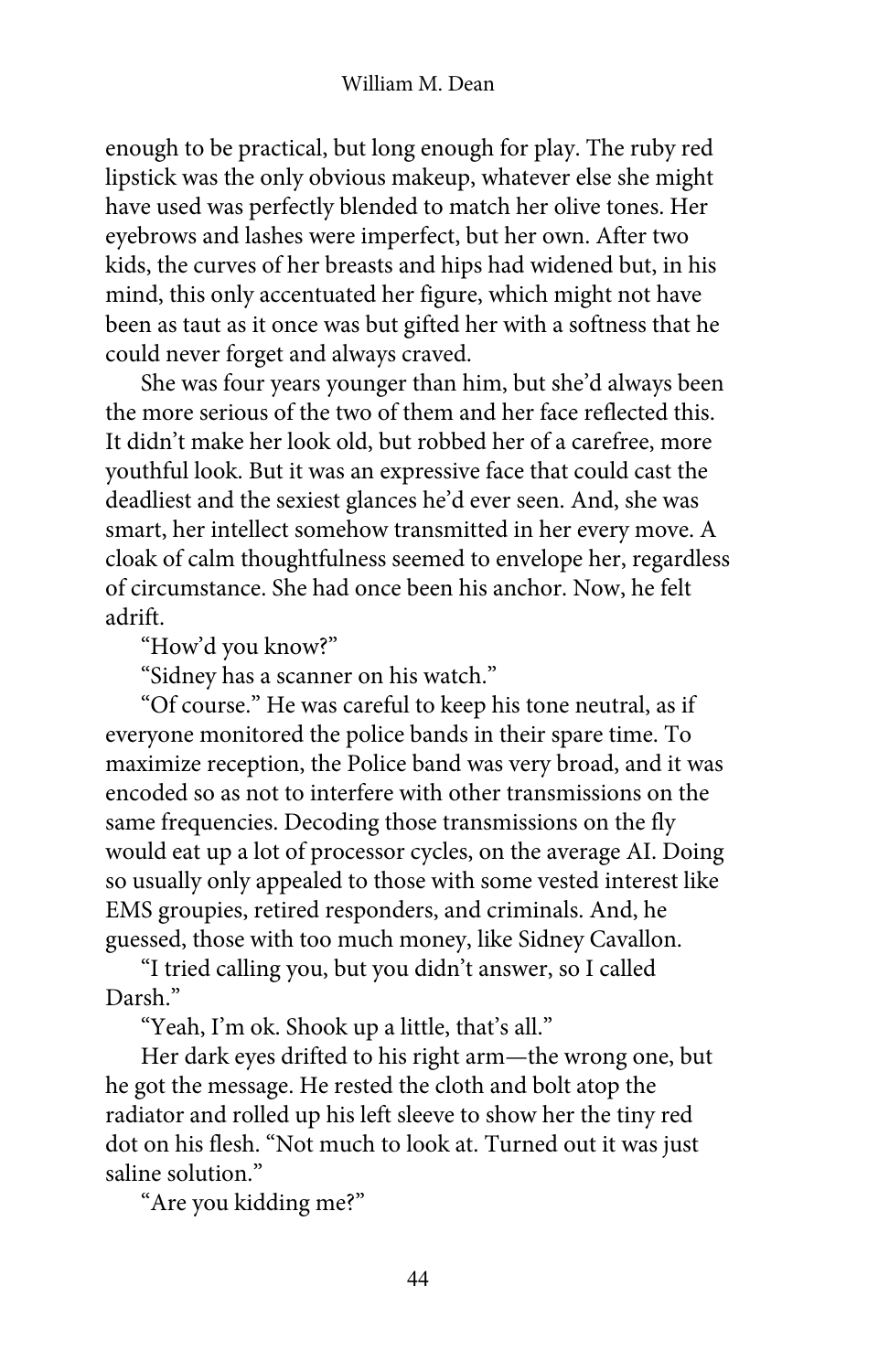enough to be practical, but long enough for play. The ruby red lipstick was the only obvious makeup, whatever else she might have used was perfectly blended to match her olive tones. Her eyebrows and lashes were imperfect, but her own. After two kids, the curves of her breasts and hips had widened but, in his mind, this only accentuated her figure, which might not have been as taut as it once was but gifted her with a softness that he could never forget and always craved.

She was four years younger than him, but she'd always been the more serious of the two of them and her face reflected this. It didn't make her look old, but robbed her of a carefree, more youthful look. But it was an expressive face that could cast the deadliest and the sexiest glances he'd ever seen. And, she was smart, her intellect somehow transmitted in her every move. A cloak of calm thoughtfulness seemed to envelope her, regardless of circumstance. She had once been his anchor. Now, he felt adrift.

"How'd you know?"

"Sidney has a scanner on his watch."

"Of course." He was careful to keep his tone neutral, as if everyone monitored the police bands in their spare time. To maximize reception, the Police band was very broad, and it was encoded so as not to interfere with other transmissions on the same frequencies. Decoding those transmissions on the fly would eat up a lot of processor cycles, on the average AI. Doing so usually only appealed to those with some vested interest like EMS groupies, retired responders, and criminals. And, he guessed, those with too much money, like Sidney Cavallon.

"I tried calling you, but you didn't answer, so I called Darsh."

"Yeah, I'm ok. Shook up a little, that's all."

Her dark eyes drifted to his right arm—the wrong one, but he got the message. He rested the cloth and bolt atop the radiator and rolled up his left sleeve to show her the tiny red dot on his flesh. "Not much to look at. Turned out it was just saline solution."

"Are you kidding me?"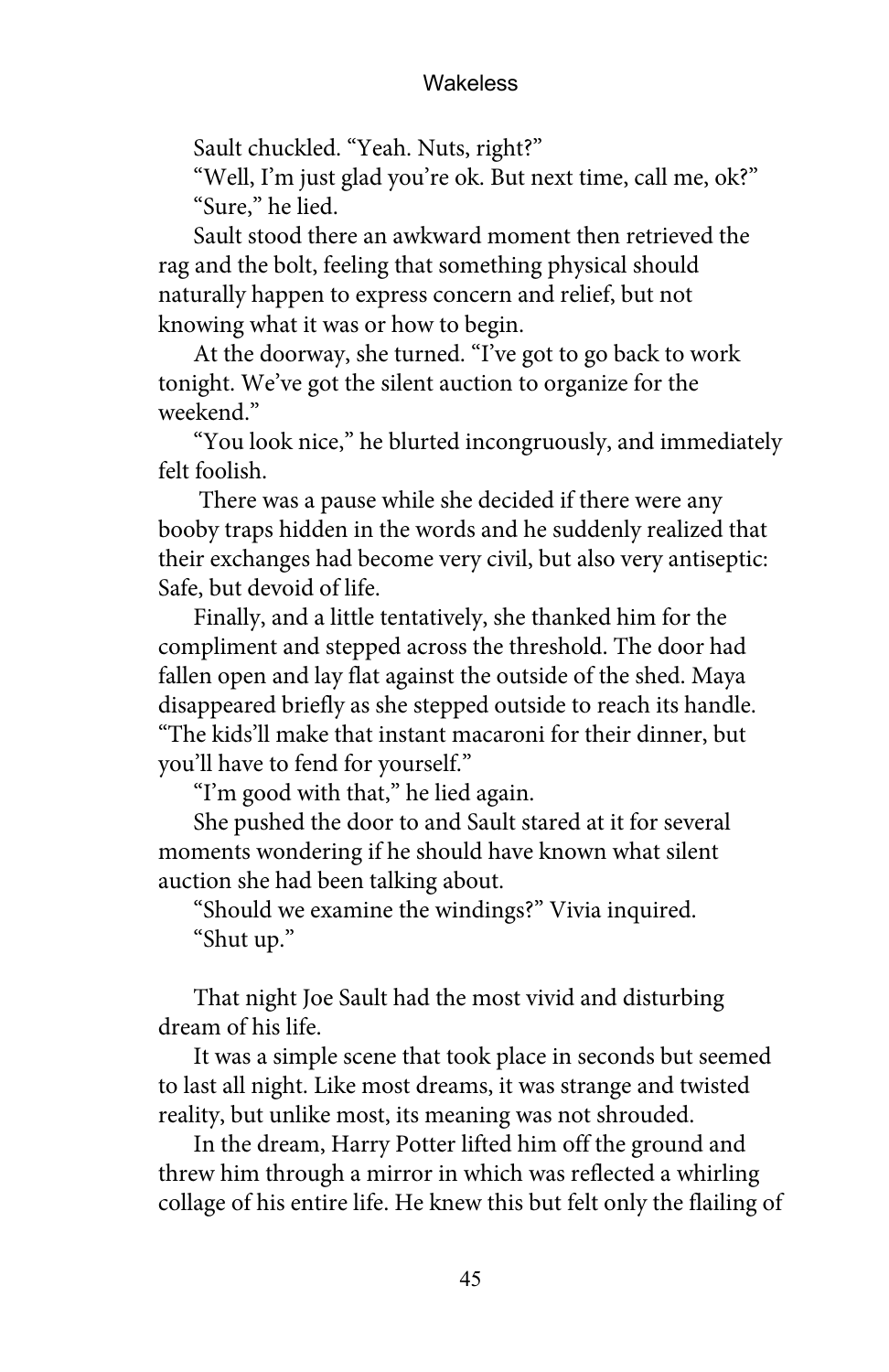Sault chuckled. "Yeah. Nuts, right?"

"Well, I'm just glad you're ok. But next time, call me, ok?" "Sure," he lied.

Sault stood there an awkward moment then retrieved the rag and the bolt, feeling that something physical should naturally happen to express concern and relief, but not knowing what it was or how to begin.

At the doorway, she turned. "I've got to go back to work tonight. We've got the silent auction to organize for the weekend."

"You look nice," he blurted incongruously, and immediately felt foolish.

There was a pause while she decided if there were any booby traps hidden in the words and he suddenly realized that their exchanges had become very civil, but also very antiseptic: Safe, but devoid of life.

Finally, and a little tentatively, she thanked him for the compliment and stepped across the threshold. The door had fallen open and lay flat against the outside of the shed. Maya disappeared briefly as she stepped outside to reach its handle. "The kids'll make that instant macaroni for their dinner, but you'll have to fend for yourself."

"I'm good with that," he lied again.

She pushed the door to and Sault stared at it for several moments wondering if he should have known what silent auction she had been talking about.

"Should we examine the windings?" Vivia inquired. "Shut up."

That night Joe Sault had the most vivid and disturbing dream of his life.

It was a simple scene that took place in seconds but seemed to last all night. Like most dreams, it was strange and twisted reality, but unlike most, its meaning was not shrouded.

In the dream, Harry Potter lifted him off the ground and threw him through a mirror in which was reflected a whirling collage of his entire life. He knew this but felt only the flailing of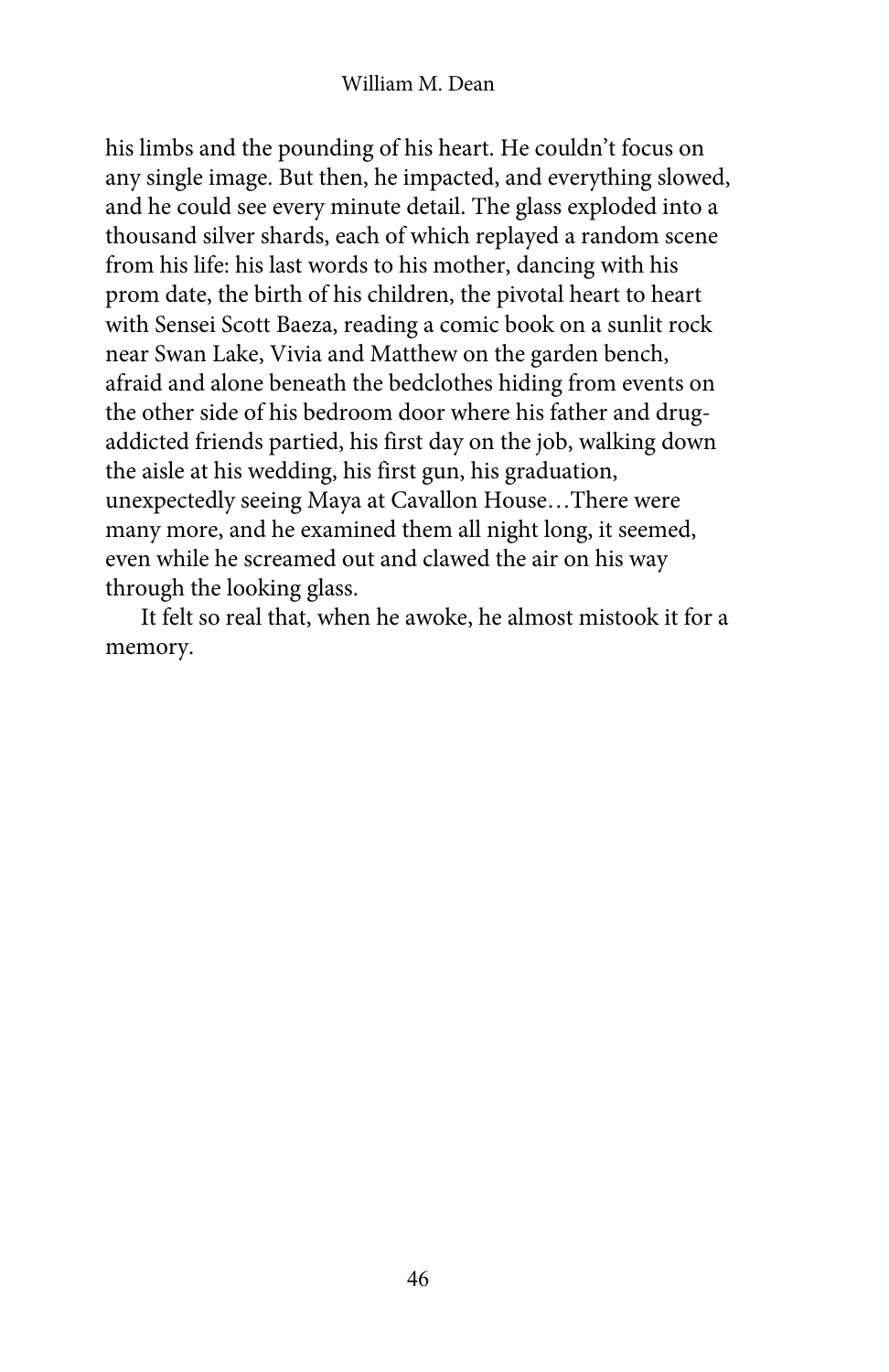his limbs and the pounding of his heart. He couldn't focus on any single image. But then, he impacted, and everything slowed, and he could see every minute detail. The glass exploded into a thousand silver shards, each of which replayed a random scene from his life: his last words to his mother, dancing with his prom date, the birth of his children, the pivotal heart to heart with Sensei Scott Baeza, reading a comic book on a sunlit rock near Swan Lake, Vivia and Matthew on the garden bench, afraid and alone beneath the bedclothes hiding from events on the other side of his bedroom door where his father and drugaddicted friends partied, his first day on the job, walking down the aisle at his wedding, his first gun, his graduation, unexpectedly seeing Maya at Cavallon House…There were many more, and he examined them all night long, it seemed, even while he screamed out and clawed the air on his way through the looking glass.

It felt so real that, when he awoke, he almost mistook it for a memory.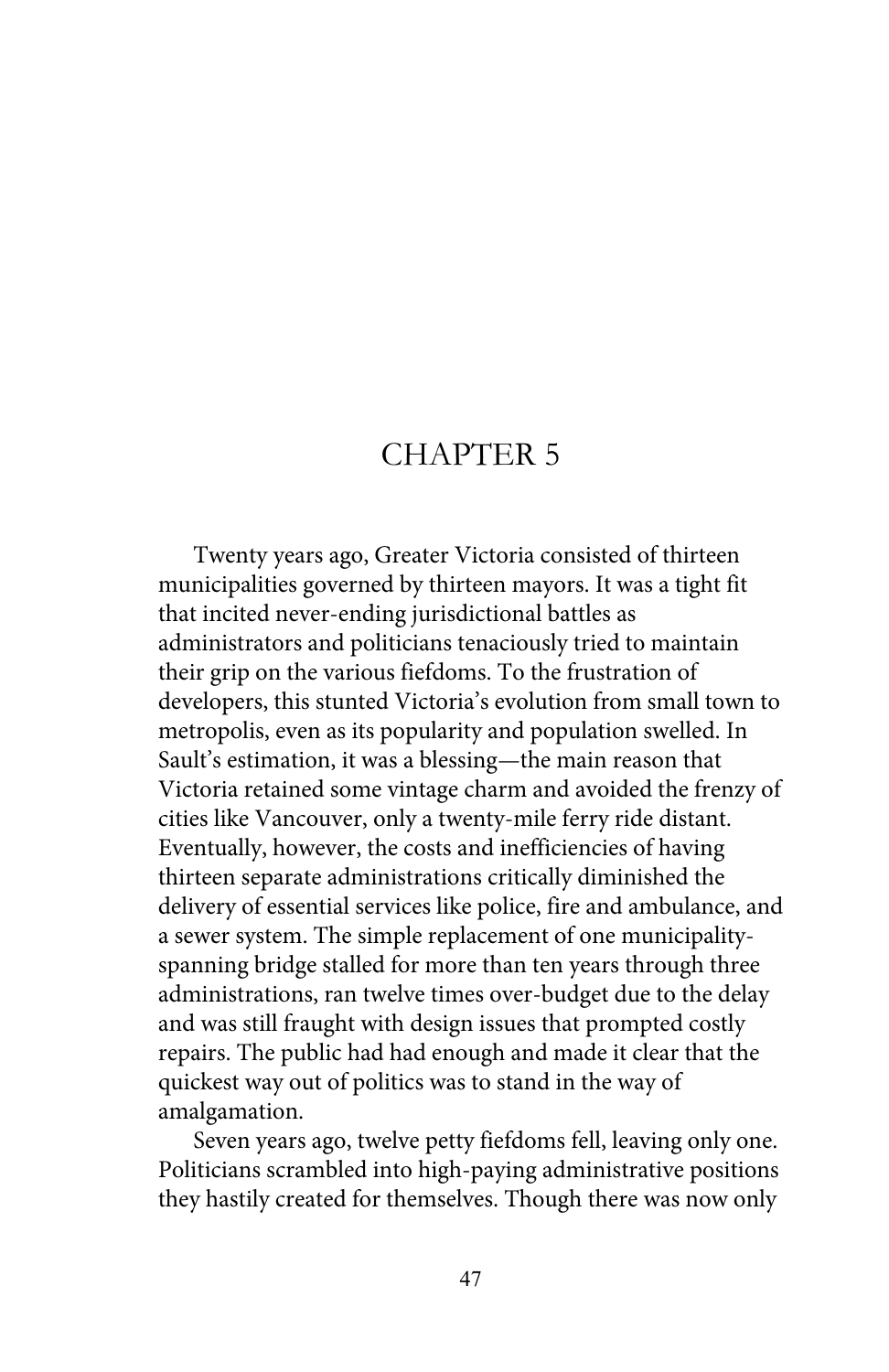## CHAPTER 5

Twenty years ago, Greater Victoria consisted of thirteen municipalities governed by thirteen mayors. It was a tight fit that incited never-ending jurisdictional battles as administrators and politicians tenaciously tried to maintain their grip on the various fiefdoms. To the frustration of developers, this stunted Victoria's evolution from small town to metropolis, even as its popularity and population swelled. In Sault's estimation, it was a blessing—the main reason that Victoria retained some vintage charm and avoided the frenzy of cities like Vancouver, only a twenty-mile ferry ride distant. Eventually, however, the costs and inefficiencies of having thirteen separate administrations critically diminished the delivery of essential services like police, fire and ambulance, and a sewer system. The simple replacement of one municipalityspanning bridge stalled for more than ten years through three administrations, ran twelve times over-budget due to the delay and was still fraught with design issues that prompted costly repairs. The public had had enough and made it clear that the quickest way out of politics was to stand in the way of amalgamation.

Seven years ago, twelve petty fiefdoms fell, leaving only one. Politicians scrambled into high-paying administrative positions they hastily created for themselves. Though there was now only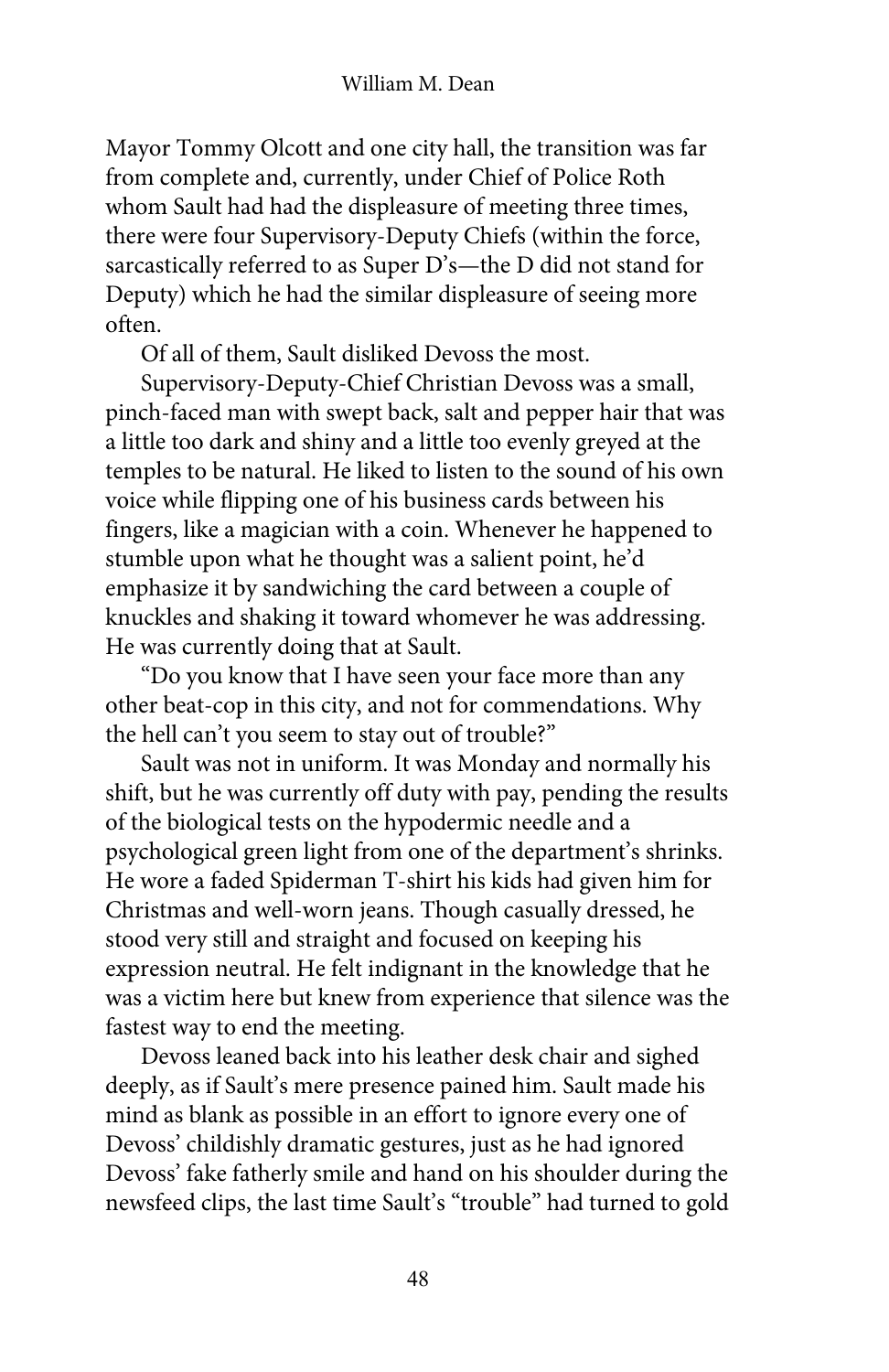#### William M. Dean

Mayor Tommy Olcott and one city hall, the transition was far from complete and, currently, under Chief of Police Roth whom Sault had had the displeasure of meeting three times, there were four Supervisory-Deputy Chiefs (within the force, sarcastically referred to as Super D's—the D did not stand for Deputy) which he had the similar displeasure of seeing more often.

Of all of them, Sault disliked Devoss the most.

Supervisory-Deputy-Chief Christian Devoss was a small, pinch-faced man with swept back, salt and pepper hair that was a little too dark and shiny and a little too evenly greyed at the temples to be natural. He liked to listen to the sound of his own voice while flipping one of his business cards between his fingers, like a magician with a coin. Whenever he happened to stumble upon what he thought was a salient point, he'd emphasize it by sandwiching the card between a couple of knuckles and shaking it toward whomever he was addressing. He was currently doing that at Sault.

"Do you know that I have seen your face more than any other beat-cop in this city, and not for commendations. Why the hell can't you seem to stay out of trouble?"

Sault was not in uniform. It was Monday and normally his shift, but he was currently off duty with pay, pending the results of the biological tests on the hypodermic needle and a psychological green light from one of the department's shrinks. He wore a faded Spiderman T-shirt his kids had given him for Christmas and well-worn jeans. Though casually dressed, he stood very still and straight and focused on keeping his expression neutral. He felt indignant in the knowledge that he was a victim here but knew from experience that silence was the fastest way to end the meeting.

Devoss leaned back into his leather desk chair and sighed deeply, as if Sault's mere presence pained him. Sault made his mind as blank as possible in an effort to ignore every one of Devoss' childishly dramatic gestures, just as he had ignored Devoss' fake fatherly smile and hand on his shoulder during the newsfeed clips, the last time Sault's "trouble" had turned to gold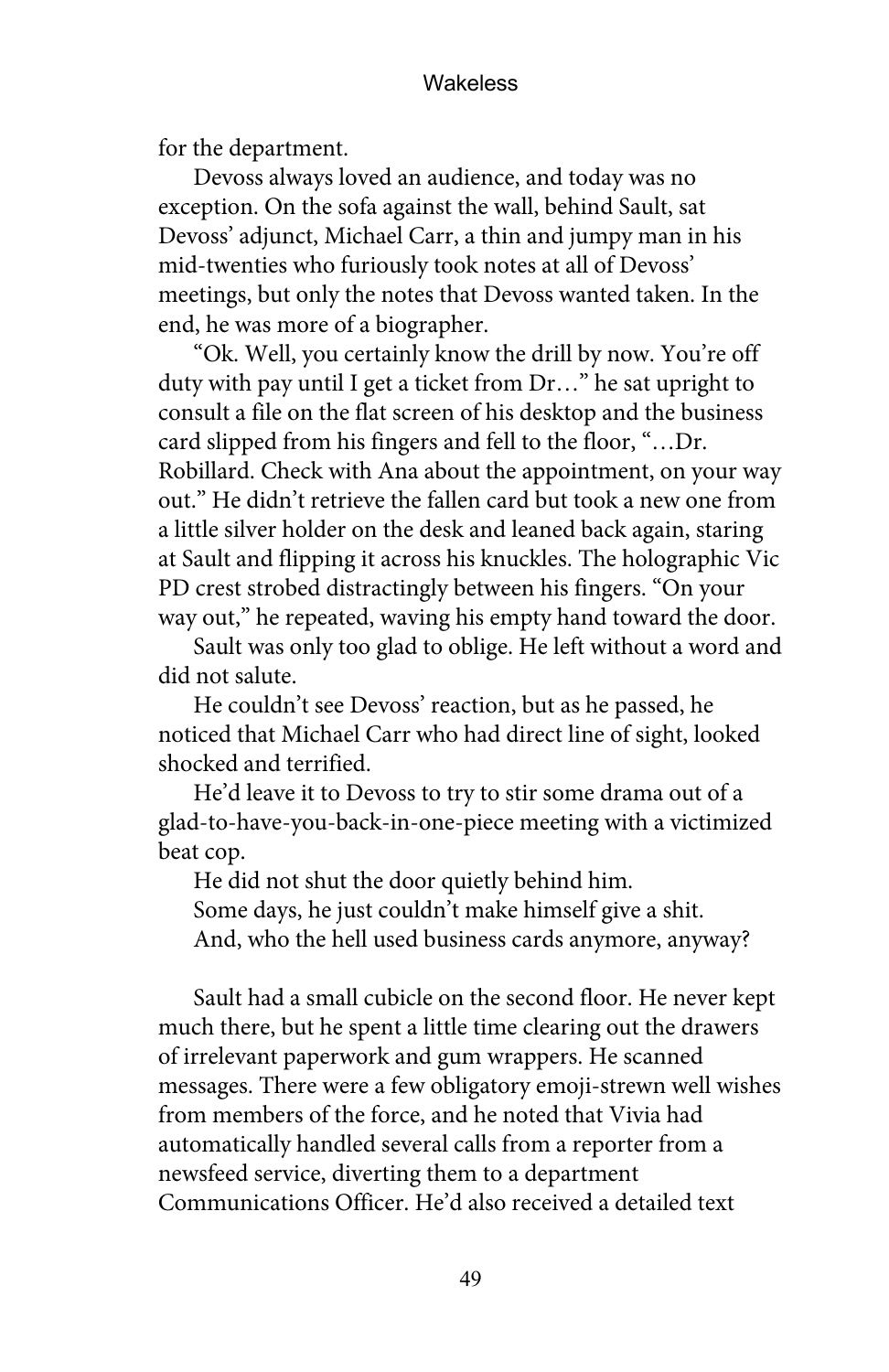for the department.

Devoss always loved an audience, and today was no exception. On the sofa against the wall, behind Sault, sat Devoss' adjunct, Michael Carr, a thin and jumpy man in his mid-twenties who furiously took notes at all of Devoss' meetings, but only the notes that Devoss wanted taken. In the end, he was more of a biographer.

"Ok. Well, you certainly know the drill by now. You're off duty with pay until I get a ticket from Dr…" he sat upright to consult a file on the flat screen of his desktop and the business card slipped from his fingers and fell to the floor, "…Dr. Robillard. Check with Ana about the appointment, on your way out." He didn't retrieve the fallen card but took a new one from a little silver holder on the desk and leaned back again, staring at Sault and flipping it across his knuckles. The holographic Vic PD crest strobed distractingly between his fingers. "On your way out," he repeated, waving his empty hand toward the door.

Sault was only too glad to oblige. He left without a word and did not salute.

He couldn't see Devoss' reaction, but as he passed, he noticed that Michael Carr who had direct line of sight, looked shocked and terrified.

He'd leave it to Devoss to try to stir some drama out of a glad-to-have-you-back-in-one-piece meeting with a victimized beat cop.

He did not shut the door quietly behind him.

Some days, he just couldn't make himself give a shit. And, who the hell used business cards anymore, anyway?

Sault had a small cubicle on the second floor. He never kept much there, but he spent a little time clearing out the drawers of irrelevant paperwork and gum wrappers. He scanned messages. There were a few obligatory emoji-strewn well wishes from members of the force, and he noted that Vivia had automatically handled several calls from a reporter from a newsfeed service, diverting them to a department Communications Officer. He'd also received a detailed text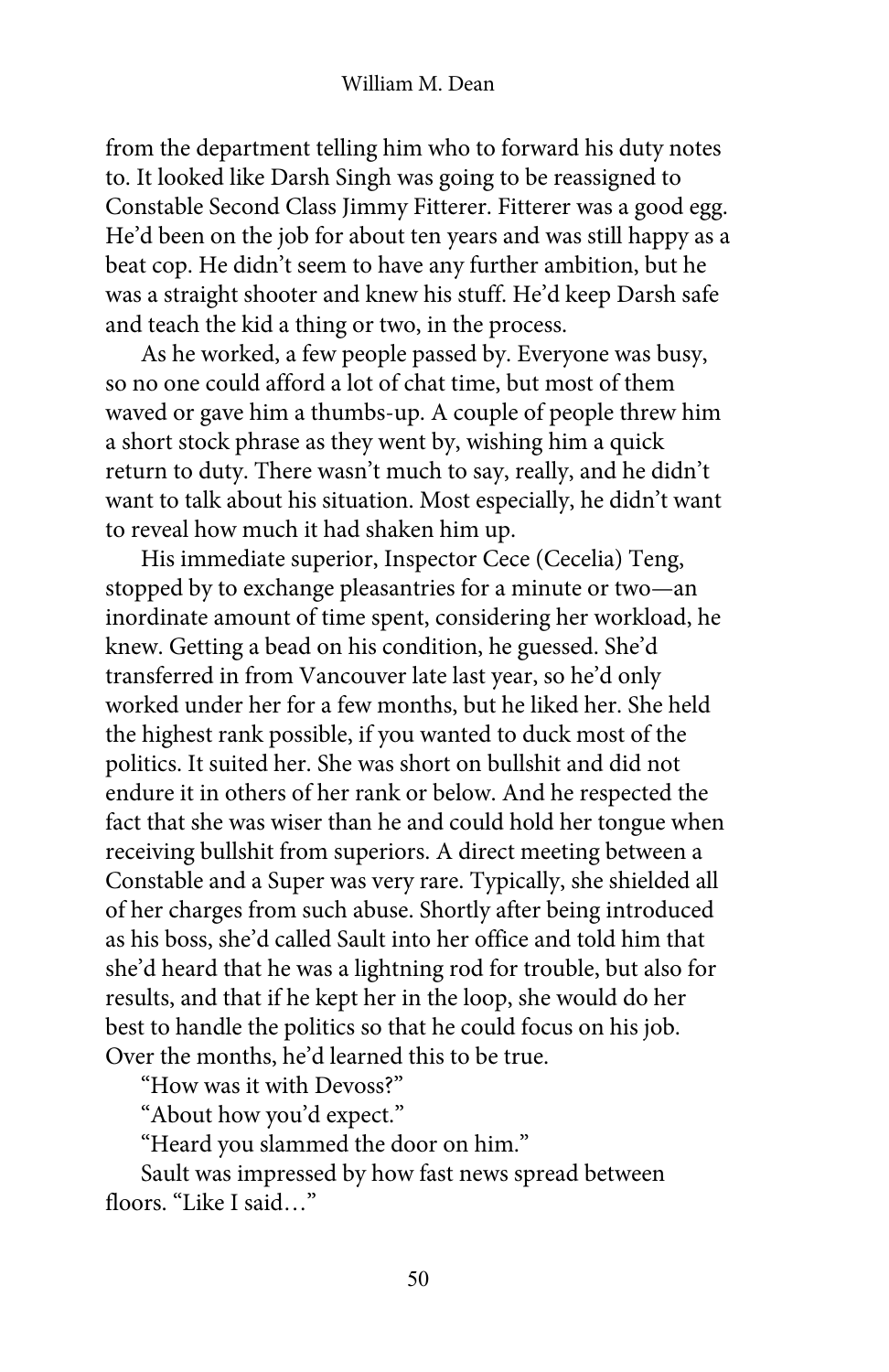#### William M. Dean

from the department telling him who to forward his duty notes to. It looked like Darsh Singh was going to be reassigned to Constable Second Class Jimmy Fitterer. Fitterer was a good egg. He'd been on the job for about ten years and was still happy as a beat cop. He didn't seem to have any further ambition, but he was a straight shooter and knew his stuff. He'd keep Darsh safe and teach the kid a thing or two, in the process.

As he worked, a few people passed by. Everyone was busy, so no one could afford a lot of chat time, but most of them waved or gave him a thumbs-up. A couple of people threw him a short stock phrase as they went by, wishing him a quick return to duty. There wasn't much to say, really, and he didn't want to talk about his situation. Most especially, he didn't want to reveal how much it had shaken him up.

His immediate superior, Inspector Cece (Cecelia) Teng, stopped by to exchange pleasantries for a minute or two—an inordinate amount of time spent, considering her workload, he knew. Getting a bead on his condition, he guessed. She'd transferred in from Vancouver late last year, so he'd only worked under her for a few months, but he liked her. She held the highest rank possible, if you wanted to duck most of the politics. It suited her. She was short on bullshit and did not endure it in others of her rank or below. And he respected the fact that she was wiser than he and could hold her tongue when receiving bullshit from superiors. A direct meeting between a Constable and a Super was very rare. Typically, she shielded all of her charges from such abuse. Shortly after being introduced as his boss, she'd called Sault into her office and told him that she'd heard that he was a lightning rod for trouble, but also for results, and that if he kept her in the loop, she would do her best to handle the politics so that he could focus on his job. Over the months, he'd learned this to be true.

"How was it with Devoss?"

"About how you'd expect."

"Heard you slammed the door on him."

Sault was impressed by how fast news spread between floors. "Like I said…"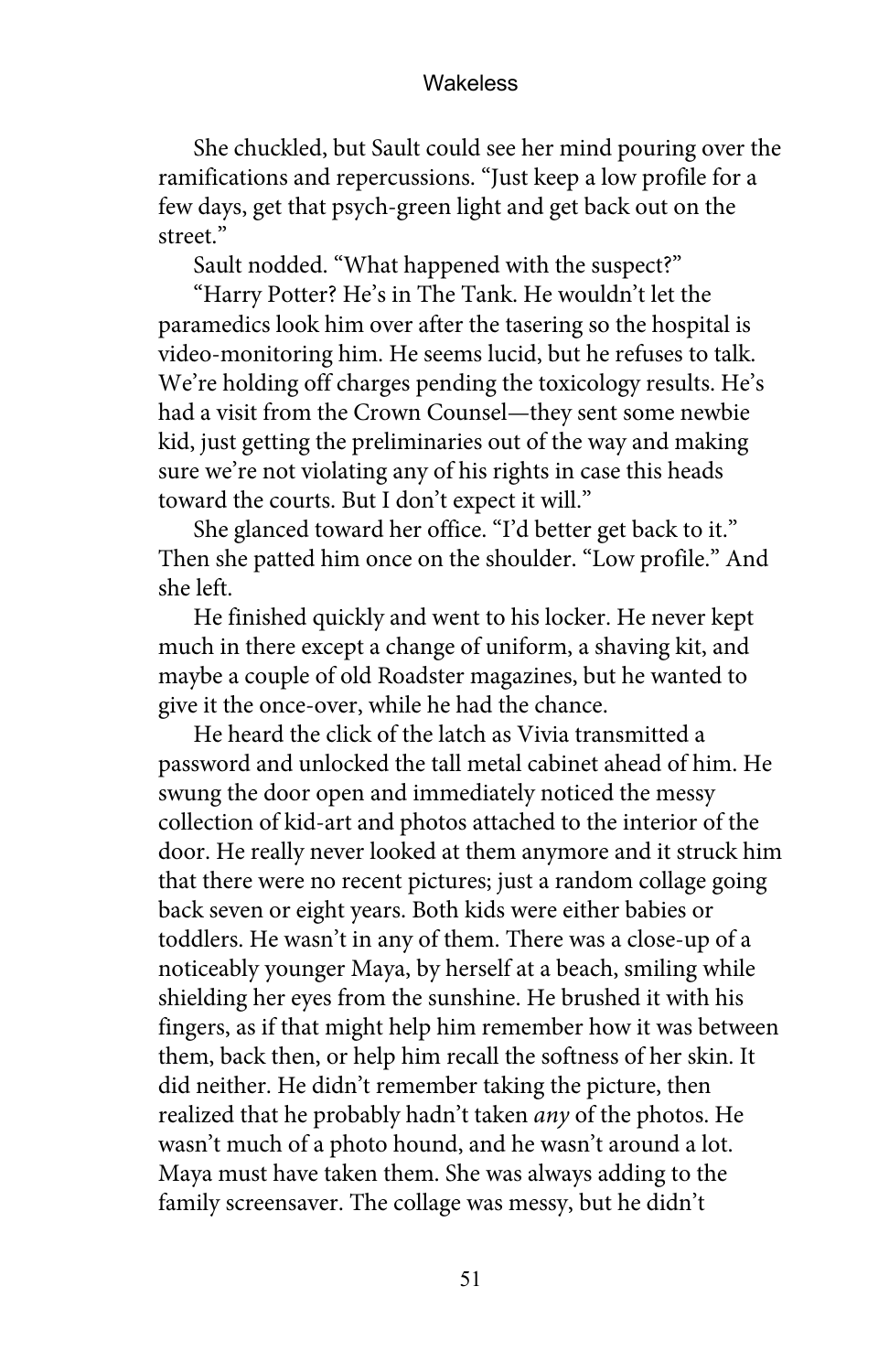She chuckled, but Sault could see her mind pouring over the ramifications and repercussions. "Just keep a low profile for a few days, get that psych-green light and get back out on the street."

Sault nodded. "What happened with the suspect?"

"Harry Potter? He's in The Tank. He wouldn't let the paramedics look him over after the tasering so the hospital is video-monitoring him. He seems lucid, but he refuses to talk. We're holding off charges pending the toxicology results. He's had a visit from the Crown Counsel—they sent some newbie kid, just getting the preliminaries out of the way and making sure we're not violating any of his rights in case this heads toward the courts. But I don't expect it will."

She glanced toward her office. "I'd better get back to it." Then she patted him once on the shoulder. "Low profile." And she left.

He finished quickly and went to his locker. He never kept much in there except a change of uniform, a shaving kit, and maybe a couple of old Roadster magazines, but he wanted to give it the once-over, while he had the chance.

He heard the click of the latch as Vivia transmitted a password and unlocked the tall metal cabinet ahead of him. He swung the door open and immediately noticed the messy collection of kid-art and photos attached to the interior of the door. He really never looked at them anymore and it struck him that there were no recent pictures; just a random collage going back seven or eight years. Both kids were either babies or toddlers. He wasn't in any of them. There was a close-up of a noticeably younger Maya, by herself at a beach, smiling while shielding her eyes from the sunshine. He brushed it with his fingers, as if that might help him remember how it was between them, back then, or help him recall the softness of her skin. It did neither. He didn't remember taking the picture, then realized that he probably hadn't taken *any* of the photos. He wasn't much of a photo hound, and he wasn't around a lot. Maya must have taken them. She was always adding to the family screensaver. The collage was messy, but he didn't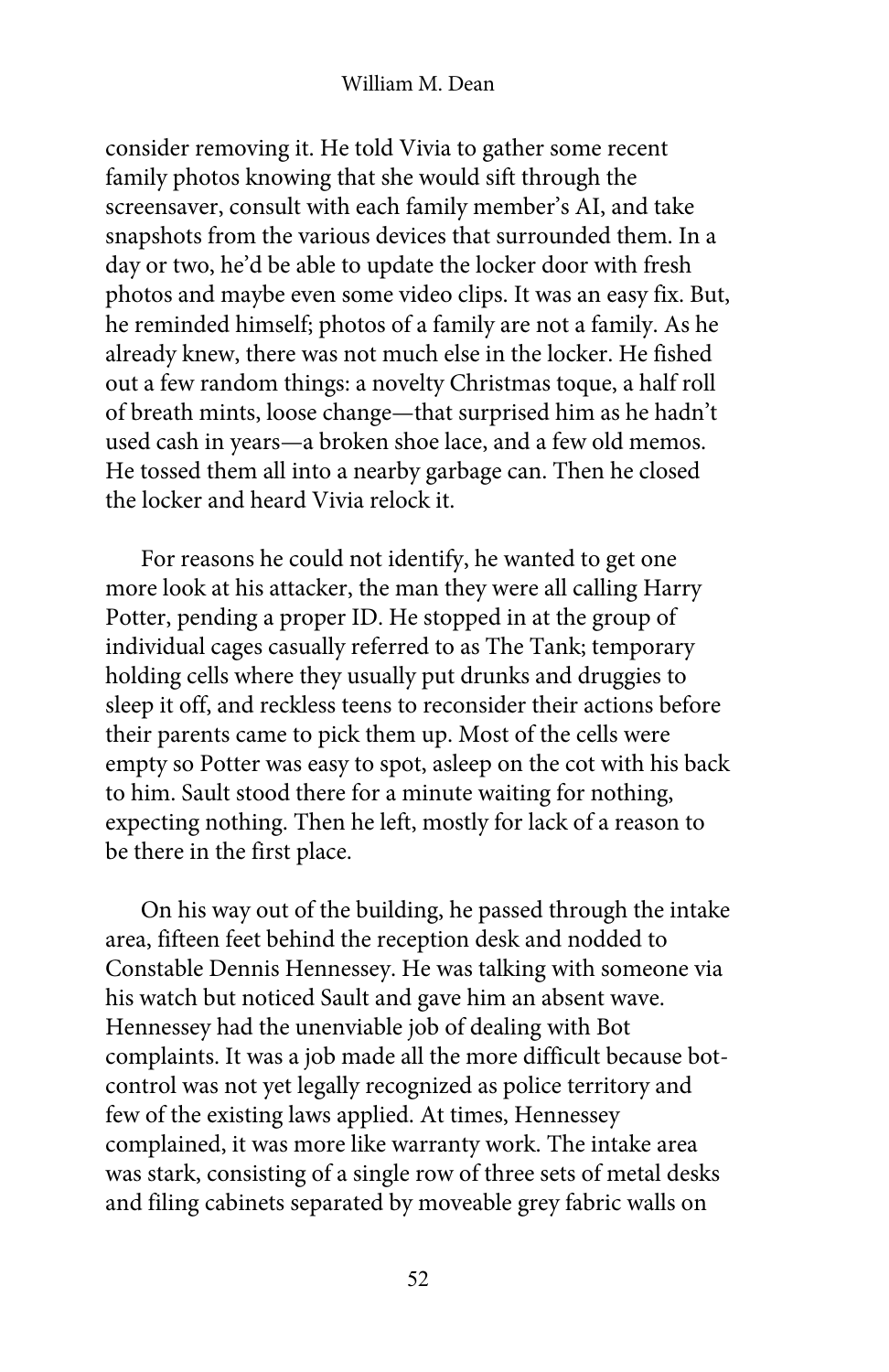#### William M. Dean

consider removing it. He told Vivia to gather some recent family photos knowing that she would sift through the screensaver, consult with each family member's AI, and take snapshots from the various devices that surrounded them. In a day or two, he'd be able to update the locker door with fresh photos and maybe even some video clips. It was an easy fix. But, he reminded himself; photos of a family are not a family. As he already knew, there was not much else in the locker. He fished out a few random things: a novelty Christmas toque, a half roll of breath mints, loose change—that surprised him as he hadn't used cash in years—a broken shoe lace, and a few old memos. He tossed them all into a nearby garbage can. Then he closed the locker and heard Vivia relock it.

For reasons he could not identify, he wanted to get one more look at his attacker, the man they were all calling Harry Potter, pending a proper ID. He stopped in at the group of individual cages casually referred to as The Tank; temporary holding cells where they usually put drunks and druggies to sleep it off, and reckless teens to reconsider their actions before their parents came to pick them up. Most of the cells were empty so Potter was easy to spot, asleep on the cot with his back to him. Sault stood there for a minute waiting for nothing, expecting nothing. Then he left, mostly for lack of a reason to be there in the first place.

On his way out of the building, he passed through the intake area, fifteen feet behind the reception desk and nodded to Constable Dennis Hennessey. He was talking with someone via his watch but noticed Sault and gave him an absent wave. Hennessey had the unenviable job of dealing with Bot complaints. It was a job made all the more difficult because botcontrol was not yet legally recognized as police territory and few of the existing laws applied. At times, Hennessey complained, it was more like warranty work. The intake area was stark, consisting of a single row of three sets of metal desks and filing cabinets separated by moveable grey fabric walls on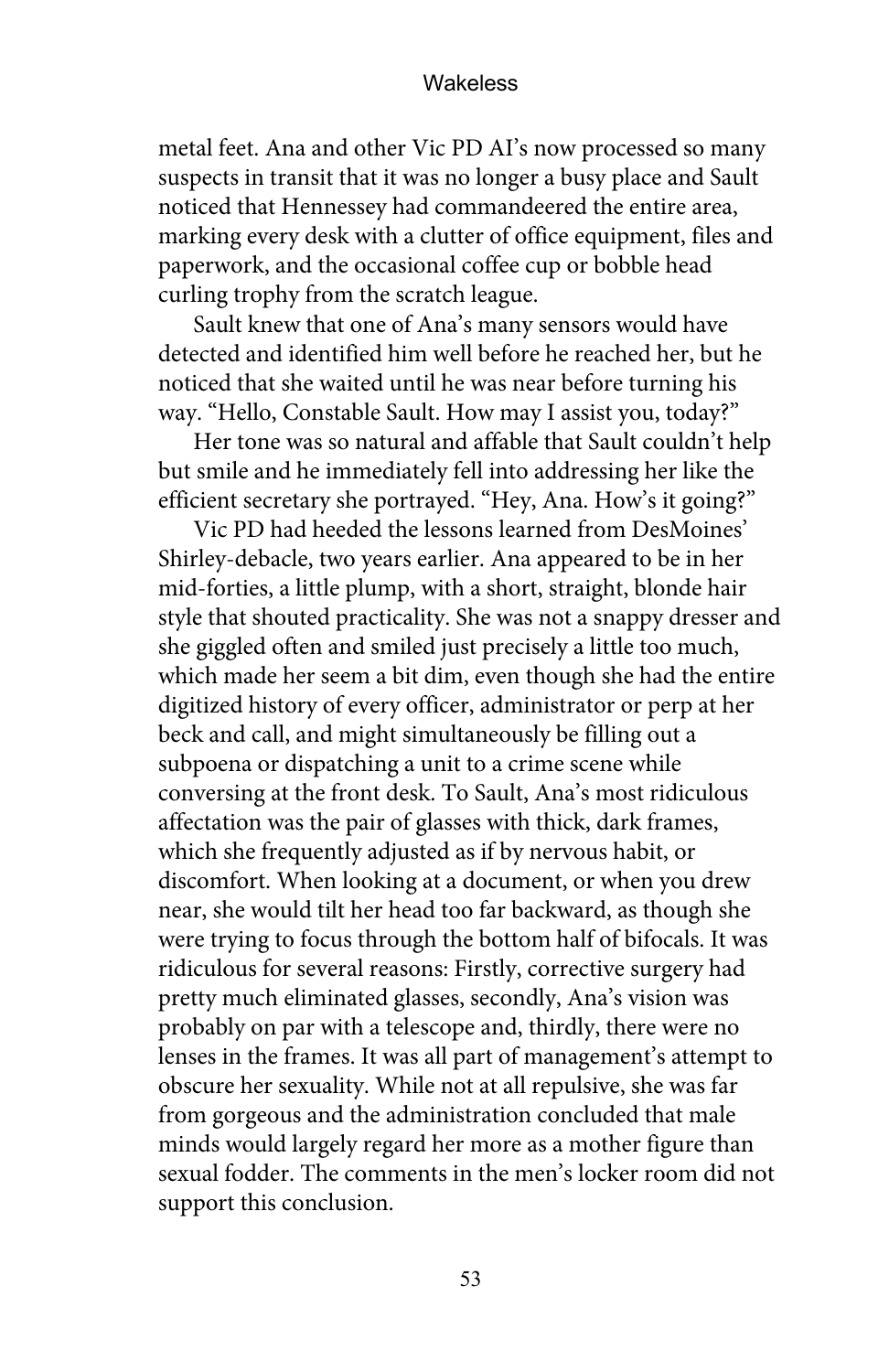metal feet. Ana and other Vic PD AI's now processed so many suspects in transit that it was no longer a busy place and Sault noticed that Hennessey had commandeered the entire area, marking every desk with a clutter of office equipment, files and paperwork, and the occasional coffee cup or bobble head curling trophy from the scratch league.

Sault knew that one of Ana's many sensors would have detected and identified him well before he reached her, but he noticed that she waited until he was near before turning his way. "Hello, Constable Sault. How may I assist you, today?"

Her tone was so natural and affable that Sault couldn't help but smile and he immediately fell into addressing her like the efficient secretary she portrayed. "Hey, Ana. How's it going?"

Vic PD had heeded the lessons learned from DesMoines' Shirley-debacle, two years earlier. Ana appeared to be in her mid-forties, a little plump, with a short, straight, blonde hair style that shouted practicality. She was not a snappy dresser and she giggled often and smiled just precisely a little too much, which made her seem a bit dim, even though she had the entire digitized history of every officer, administrator or perp at her beck and call, and might simultaneously be filling out a subpoena or dispatching a unit to a crime scene while conversing at the front desk. To Sault, Ana's most ridiculous affectation was the pair of glasses with thick, dark frames, which she frequently adjusted as if by nervous habit, or discomfort. When looking at a document, or when you drew near, she would tilt her head too far backward, as though she were trying to focus through the bottom half of bifocals. It was ridiculous for several reasons: Firstly, corrective surgery had pretty much eliminated glasses, secondly, Ana's vision was probably on par with a telescope and, thirdly, there were no lenses in the frames. It was all part of management's attempt to obscure her sexuality. While not at all repulsive, she was far from gorgeous and the administration concluded that male minds would largely regard her more as a mother figure than sexual fodder. The comments in the men's locker room did not support this conclusion.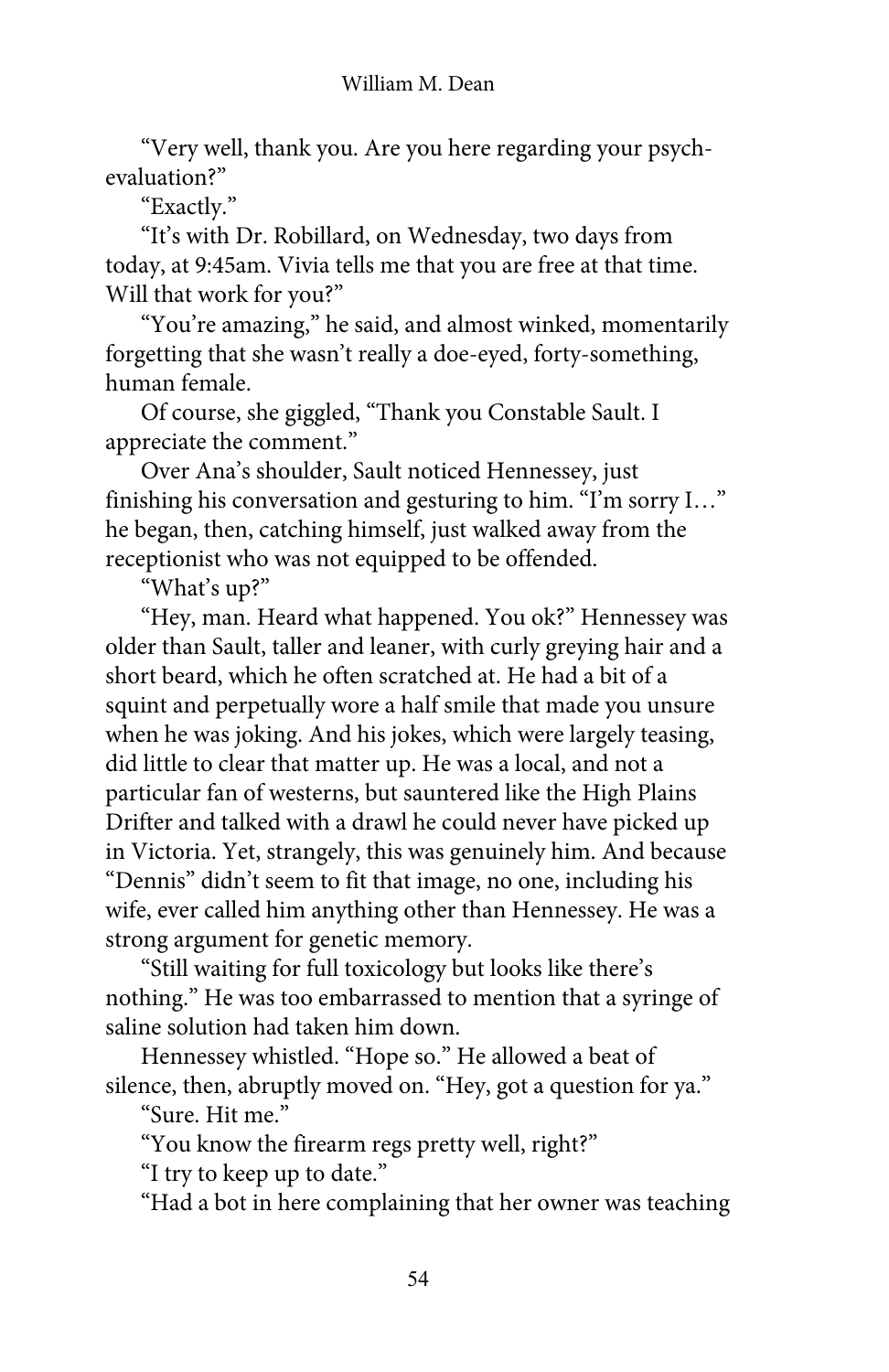"Very well, thank you. Are you here regarding your psychevaluation?"

"Exactly."

"It's with Dr. Robillard, on Wednesday, two days from today, at 9:45am. Vivia tells me that you are free at that time. Will that work for you?"

"You're amazing," he said, and almost winked, momentarily forgetting that she wasn't really a doe-eyed, forty-something, human female.

Of course, she giggled, "Thank you Constable Sault. I appreciate the comment."

Over Ana's shoulder, Sault noticed Hennessey, just finishing his conversation and gesturing to him. "I'm sorry I…" he began, then, catching himself, just walked away from the receptionist who was not equipped to be offended.

"What's up?"

"Hey, man. Heard what happened. You ok?" Hennessey was older than Sault, taller and leaner, with curly greying hair and a short beard, which he often scratched at. He had a bit of a squint and perpetually wore a half smile that made you unsure when he was joking. And his jokes, which were largely teasing, did little to clear that matter up. He was a local, and not a particular fan of westerns, but sauntered like the High Plains Drifter and talked with a drawl he could never have picked up in Victoria. Yet, strangely, this was genuinely him. And because "Dennis" didn't seem to fit that image, no one, including his wife, ever called him anything other than Hennessey. He was a strong argument for genetic memory.

"Still waiting for full toxicology but looks like there's nothing." He was too embarrassed to mention that a syringe of saline solution had taken him down.

Hennessey whistled. "Hope so." He allowed a beat of silence, then, abruptly moved on. "Hey, got a question for ya."

"Sure. Hit me."

"You know the firearm regs pretty well, right?"

"I try to keep up to date."

"Had a bot in here complaining that her owner was teaching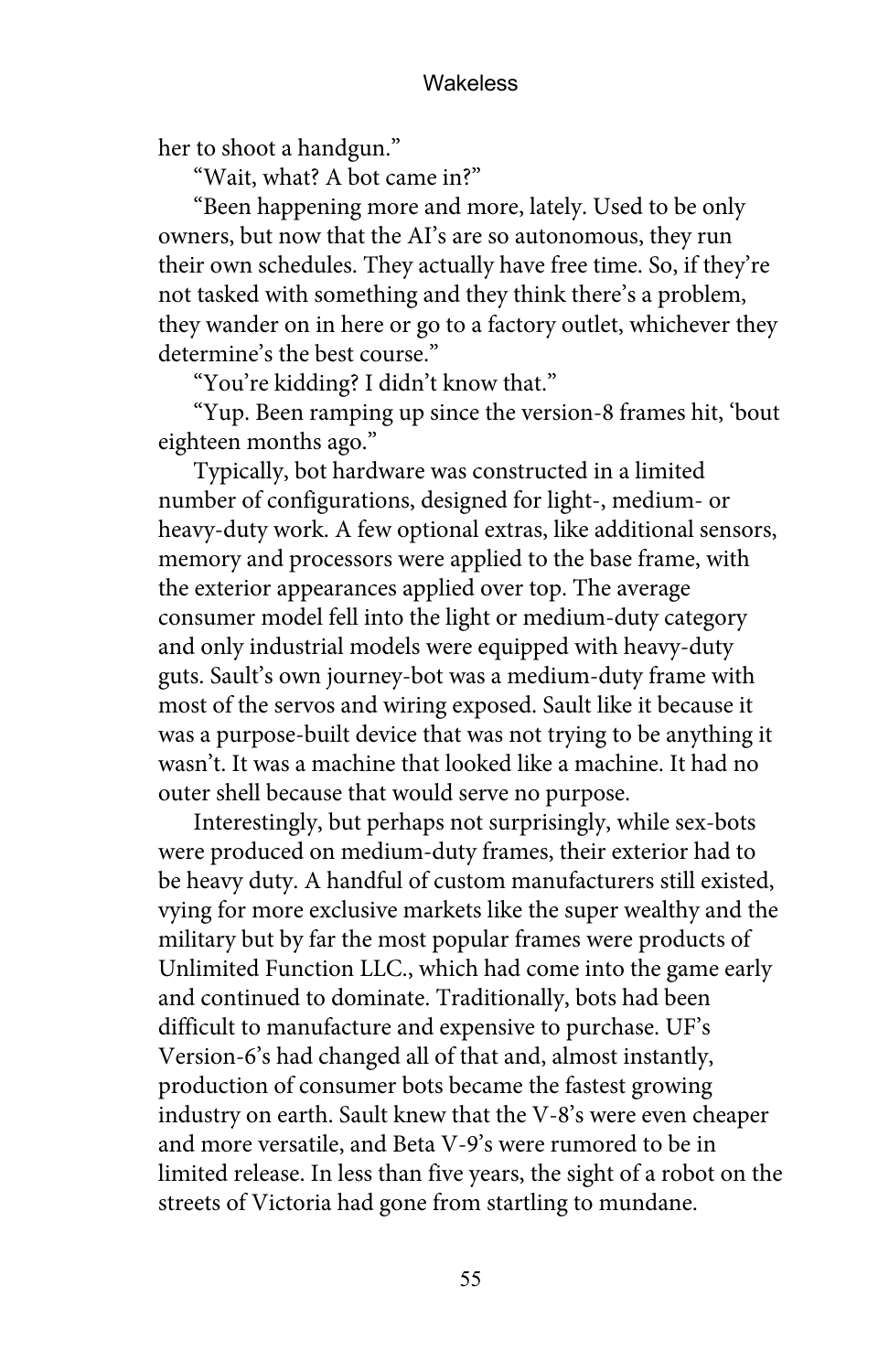her to shoot a handgun."

"Wait, what? A bot came in?"

"Been happening more and more, lately. Used to be only owners, but now that the AI's are so autonomous, they run their own schedules. They actually have free time. So, if they're not tasked with something and they think there's a problem, they wander on in here or go to a factory outlet, whichever they determine's the best course."

"You're kidding? I didn't know that."

"Yup. Been ramping up since the version-8 frames hit, 'bout eighteen months ago."

Typically, bot hardware was constructed in a limited number of configurations, designed for light-, medium- or heavy-duty work. A few optional extras, like additional sensors, memory and processors were applied to the base frame, with the exterior appearances applied over top. The average consumer model fell into the light or medium-duty category and only industrial models were equipped with heavy-duty guts. Sault's own journey-bot was a medium-duty frame with most of the servos and wiring exposed. Sault like it because it was a purpose-built device that was not trying to be anything it wasn't. It was a machine that looked like a machine. It had no outer shell because that would serve no purpose.

Interestingly, but perhaps not surprisingly, while sex-bots were produced on medium-duty frames, their exterior had to be heavy duty. A handful of custom manufacturers still existed, vying for more exclusive markets like the super wealthy and the military but by far the most popular frames were products of Unlimited Function LLC., which had come into the game early and continued to dominate. Traditionally, bots had been difficult to manufacture and expensive to purchase. UF's Version-6's had changed all of that and, almost instantly, production of consumer bots became the fastest growing industry on earth. Sault knew that the V-8's were even cheaper and more versatile, and Beta V-9's were rumored to be in limited release. In less than five years, the sight of a robot on the streets of Victoria had gone from startling to mundane.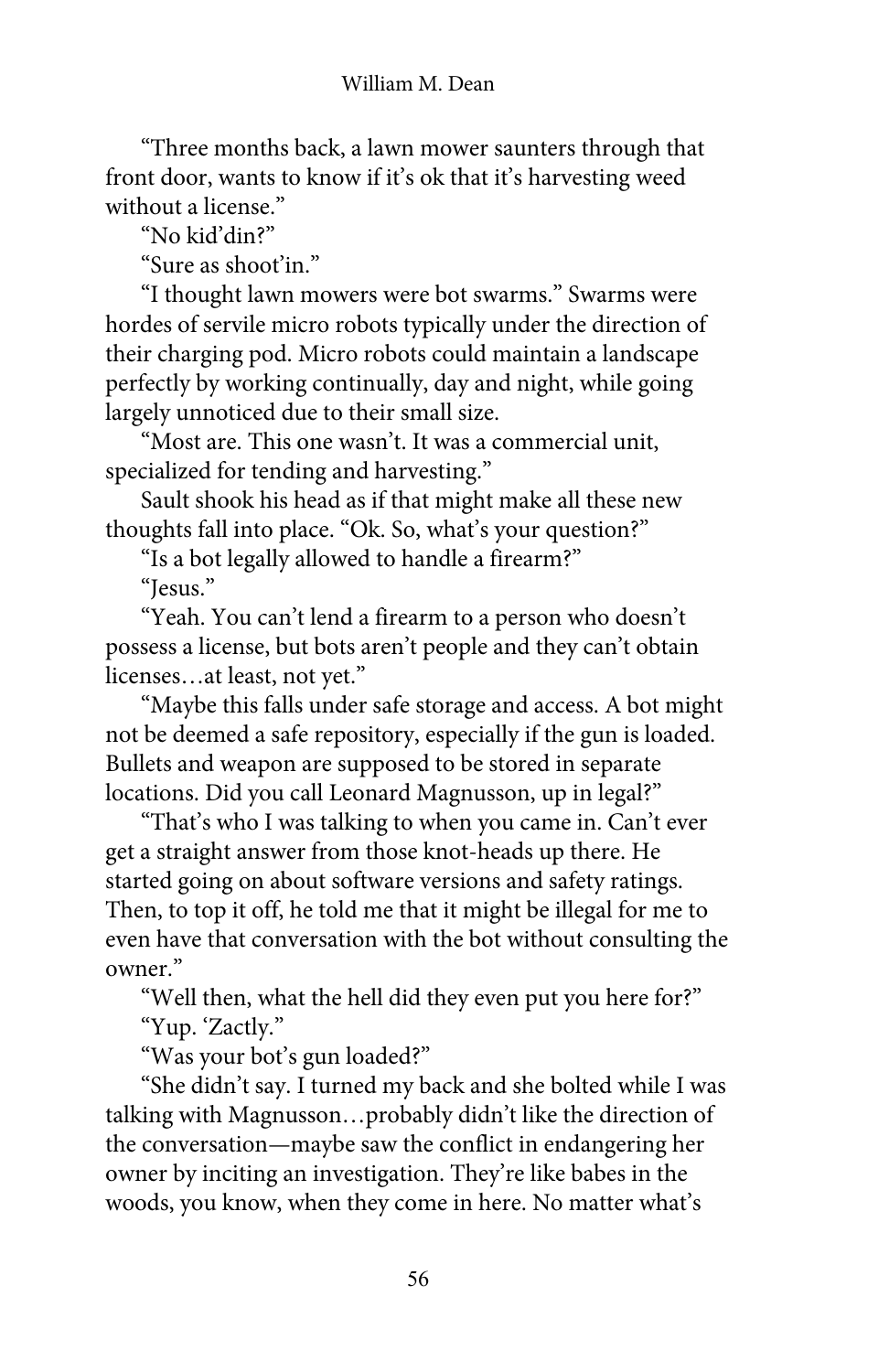"Three months back, a lawn mower saunters through that front door, wants to know if it's ok that it's harvesting weed without a license."

"No kid'din?"

"Sure as shoot'in."

"I thought lawn mowers were bot swarms." Swarms were hordes of servile micro robots typically under the direction of their charging pod. Micro robots could maintain a landscape perfectly by working continually, day and night, while going largely unnoticed due to their small size.

"Most are. This one wasn't. It was a commercial unit, specialized for tending and harvesting."

Sault shook his head as if that might make all these new thoughts fall into place. "Ok. So, what's your question?"

"Is a bot legally allowed to handle a firearm?" "Jesus."

"Yeah. You can't lend a firearm to a person who doesn't possess a license, but bots aren't people and they can't obtain licenses…at least, not yet."

"Maybe this falls under safe storage and access. A bot might not be deemed a safe repository, especially if the gun is loaded. Bullets and weapon are supposed to be stored in separate locations. Did you call Leonard Magnusson, up in legal?"

"That's who I was talking to when you came in. Can't ever get a straight answer from those knot-heads up there. He started going on about software versions and safety ratings. Then, to top it off, he told me that it might be illegal for me to even have that conversation with the bot without consulting the owner."

"Well then, what the hell did they even put you here for?" "Yup. 'Zactly."

"Was your bot's gun loaded?"

"She didn't say. I turned my back and she bolted while I was talking with Magnusson…probably didn't like the direction of the conversation—maybe saw the conflict in endangering her owner by inciting an investigation. They're like babes in the woods, you know, when they come in here. No matter what's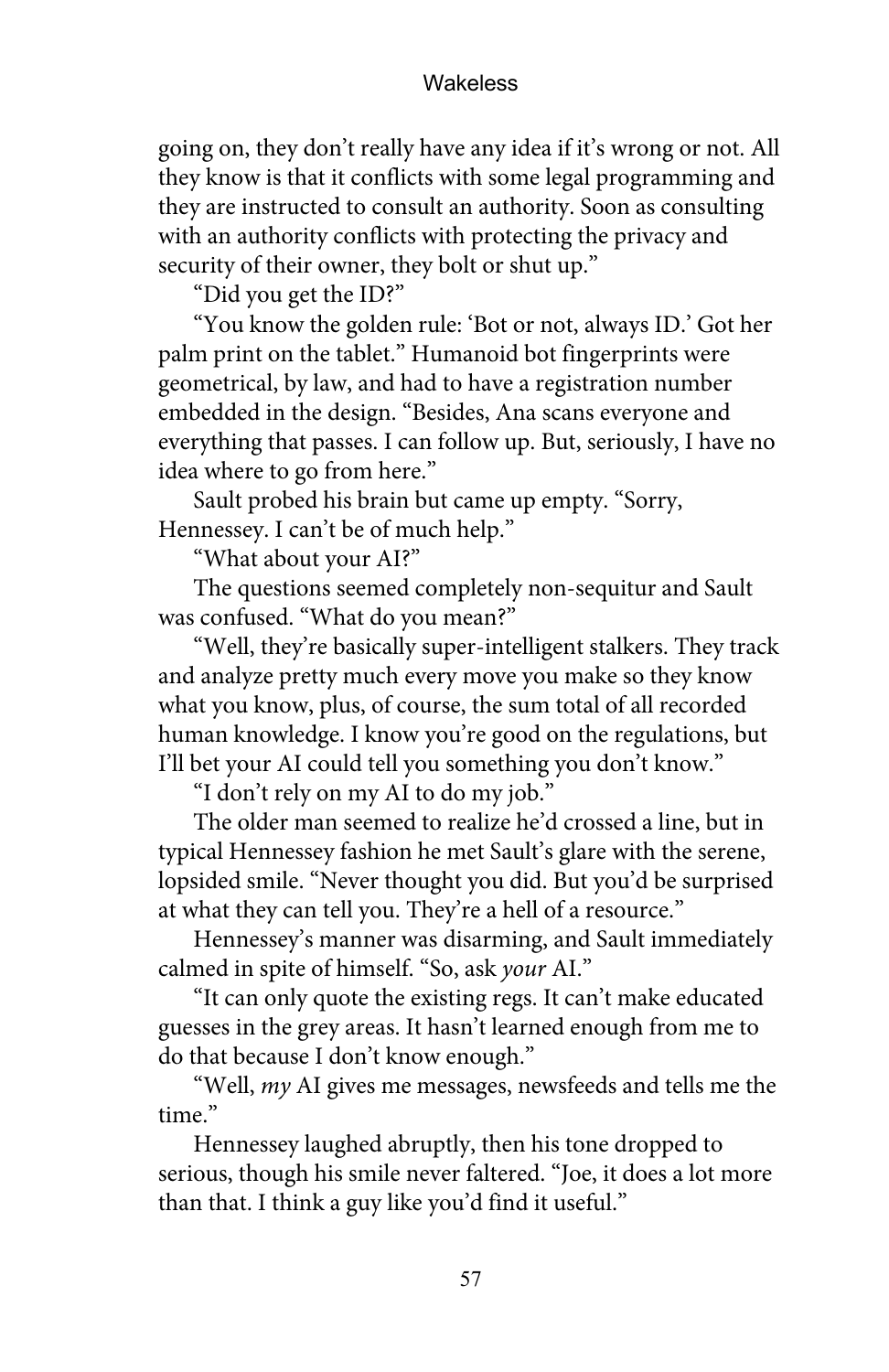going on, they don't really have any idea if it's wrong or not. All they know is that it conflicts with some legal programming and they are instructed to consult an authority. Soon as consulting with an authority conflicts with protecting the privacy and security of their owner, they bolt or shut up."

"Did you get the ID?"

"You know the golden rule: 'Bot or not, always ID.' Got her palm print on the tablet." Humanoid bot fingerprints were geometrical, by law, and had to have a registration number embedded in the design. "Besides, Ana scans everyone and everything that passes. I can follow up. But, seriously, I have no idea where to go from here."

Sault probed his brain but came up empty. "Sorry, Hennessey. I can't be of much help."

"What about your AI?"

The questions seemed completely non-sequitur and Sault was confused. "What do you mean?"

"Well, they're basically super-intelligent stalkers. They track and analyze pretty much every move you make so they know what you know, plus, of course, the sum total of all recorded human knowledge. I know you're good on the regulations, but I'll bet your AI could tell you something you don't know."

"I don't rely on my AI to do my job."

The older man seemed to realize he'd crossed a line, but in typical Hennessey fashion he met Sault's glare with the serene, lopsided smile. "Never thought you did. But you'd be surprised at what they can tell you. They're a hell of a resource."

Hennessey's manner was disarming, and Sault immediately calmed in spite of himself. "So, ask *your* AI."

"It can only quote the existing regs. It can't make educated guesses in the grey areas. It hasn't learned enough from me to do that because I don't know enough."

"Well, *my* AI gives me messages, newsfeeds and tells me the time."

Hennessey laughed abruptly, then his tone dropped to serious, though his smile never faltered. "Joe, it does a lot more than that. I think a guy like you'd find it useful."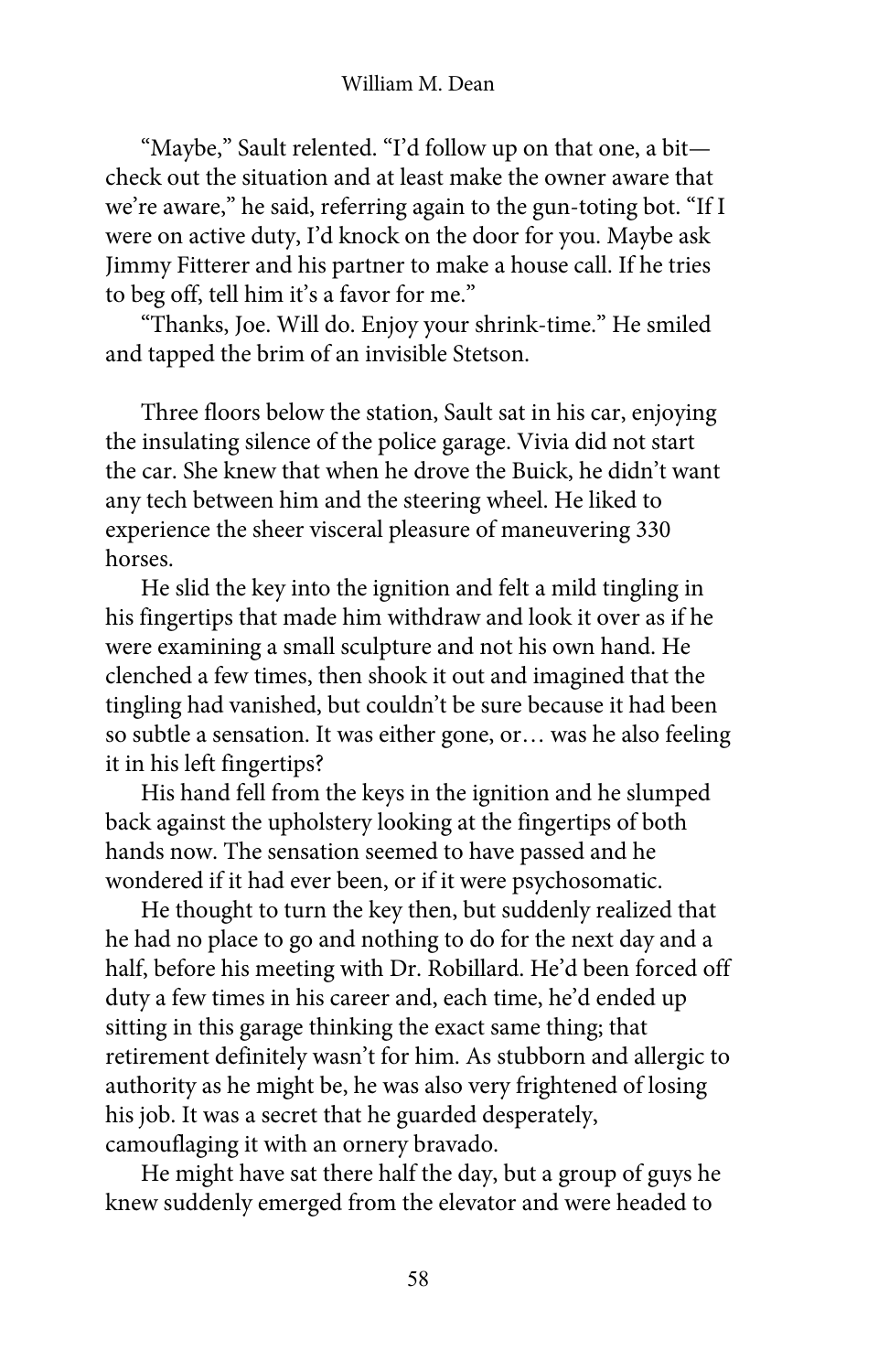"Maybe," Sault relented. "I'd follow up on that one, a bit check out the situation and at least make the owner aware that we're aware," he said, referring again to the gun-toting bot. "If I were on active duty, I'd knock on the door for you. Maybe ask Jimmy Fitterer and his partner to make a house call. If he tries to beg off, tell him it's a favor for me."

"Thanks, Joe. Will do. Enjoy your shrink-time." He smiled and tapped the brim of an invisible Stetson.

Three floors below the station, Sault sat in his car, enjoying the insulating silence of the police garage. Vivia did not start the car. She knew that when he drove the Buick, he didn't want any tech between him and the steering wheel. He liked to experience the sheer visceral pleasure of maneuvering 330 horses.

He slid the key into the ignition and felt a mild tingling in his fingertips that made him withdraw and look it over as if he were examining a small sculpture and not his own hand. He clenched a few times, then shook it out and imagined that the tingling had vanished, but couldn't be sure because it had been so subtle a sensation. It was either gone, or… was he also feeling it in his left fingertips?

His hand fell from the keys in the ignition and he slumped back against the upholstery looking at the fingertips of both hands now. The sensation seemed to have passed and he wondered if it had ever been, or if it were psychosomatic.

He thought to turn the key then, but suddenly realized that he had no place to go and nothing to do for the next day and a half, before his meeting with Dr. Robillard. He'd been forced off duty a few times in his career and, each time, he'd ended up sitting in this garage thinking the exact same thing; that retirement definitely wasn't for him. As stubborn and allergic to authority as he might be, he was also very frightened of losing his job. It was a secret that he guarded desperately, camouflaging it with an ornery bravado.

He might have sat there half the day, but a group of guys he knew suddenly emerged from the elevator and were headed to